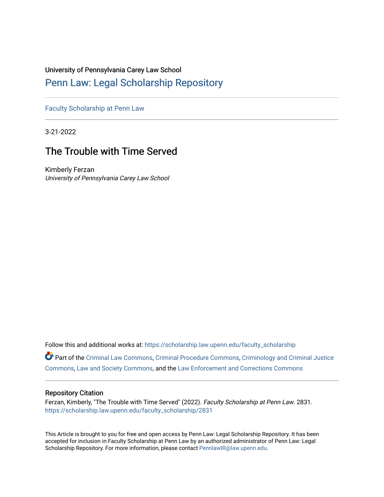# University of Pennsylvania Carey Law School

# [Penn Law: Legal Scholarship Repository](https://scholarship.law.upenn.edu/)

[Faculty Scholarship at Penn Law](https://scholarship.law.upenn.edu/faculty_scholarship)

3-21-2022

# The Trouble with Time Served

Kimberly Ferzan University of Pennsylvania Carey Law School

Follow this and additional works at: [https://scholarship.law.upenn.edu/faculty\\_scholarship](https://scholarship.law.upenn.edu/faculty_scholarship?utm_source=scholarship.law.upenn.edu%2Ffaculty_scholarship%2F2831&utm_medium=PDF&utm_campaign=PDFCoverPages) 

Part of the [Criminal Law Commons,](https://network.bepress.com/hgg/discipline/912?utm_source=scholarship.law.upenn.edu%2Ffaculty_scholarship%2F2831&utm_medium=PDF&utm_campaign=PDFCoverPages) [Criminal Procedure Commons,](https://network.bepress.com/hgg/discipline/1073?utm_source=scholarship.law.upenn.edu%2Ffaculty_scholarship%2F2831&utm_medium=PDF&utm_campaign=PDFCoverPages) [Criminology and Criminal Justice](https://network.bepress.com/hgg/discipline/367?utm_source=scholarship.law.upenn.edu%2Ffaculty_scholarship%2F2831&utm_medium=PDF&utm_campaign=PDFCoverPages) [Commons](https://network.bepress.com/hgg/discipline/367?utm_source=scholarship.law.upenn.edu%2Ffaculty_scholarship%2F2831&utm_medium=PDF&utm_campaign=PDFCoverPages), [Law and Society Commons,](https://network.bepress.com/hgg/discipline/853?utm_source=scholarship.law.upenn.edu%2Ffaculty_scholarship%2F2831&utm_medium=PDF&utm_campaign=PDFCoverPages) and the [Law Enforcement and Corrections Commons](https://network.bepress.com/hgg/discipline/854?utm_source=scholarship.law.upenn.edu%2Ffaculty_scholarship%2F2831&utm_medium=PDF&utm_campaign=PDFCoverPages)

## Repository Citation

Ferzan, Kimberly, "The Trouble with Time Served" (2022). Faculty Scholarship at Penn Law. 2831. [https://scholarship.law.upenn.edu/faculty\\_scholarship/2831](https://scholarship.law.upenn.edu/faculty_scholarship/2831?utm_source=scholarship.law.upenn.edu%2Ffaculty_scholarship%2F2831&utm_medium=PDF&utm_campaign=PDFCoverPages)

This Article is brought to you for free and open access by Penn Law: Legal Scholarship Repository. It has been accepted for inclusion in Faculty Scholarship at Penn Law by an authorized administrator of Penn Law: Legal Scholarship Repository. For more information, please contact [PennlawIR@law.upenn.edu.](mailto:PennlawIR@law.upenn.edu)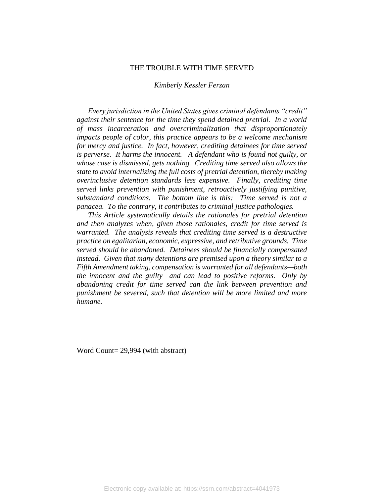#### THE TROUBLE WITH TIME SERVED

#### *Kimberly Kessler Ferzan*

*Every jurisdiction in the United States gives criminal defendants "credit" against their sentence for the time they spend detained pretrial. In a world of mass incarceration and overcriminalization that disproportionately impacts people of color, this practice appears to be a welcome mechanism for mercy and justice. In fact, however, crediting detainees for time served is perverse. It harms the innocent. A defendant who is found not guilty, or whose case is dismissed, gets nothing. Crediting time served also allows the state to avoid internalizing the full costs of pretrial detention, thereby making overinclusive detention standards less expensive. Finally, crediting time served links prevention with punishment, retroactively justifying punitive, substandard conditions. The bottom line is this: Time served is not a panacea. To the contrary, it contributes to criminal justice pathologies.* 

*This Article systematically details the rationales for pretrial detention and then analyzes when, given those rationales, credit for time served is warranted. The analysis reveals that crediting time served is a destructive practice on egalitarian, economic, expressive, and retributive grounds. Time served should be abandoned. Detainees should be financially compensated instead. Given that many detentions are premised upon a theory similar to a Fifth Amendment taking, compensation is warranted for all defendants—both the innocent and the guilty—and can lead to positive reforms. Only by abandoning credit for time served can the link between prevention and punishment be severed, such that detention will be more limited and more humane.* 

Word Count= 29,994 (with abstract)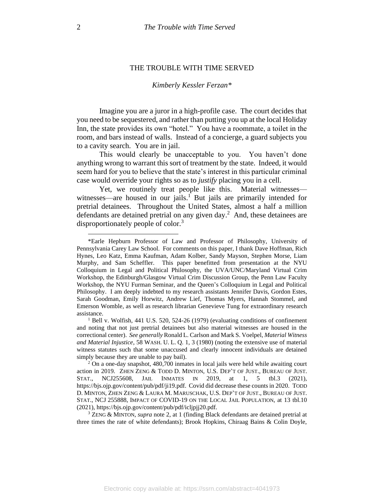#### THE TROUBLE WITH TIME SERVED

#### <span id="page-2-0"></span>*Kimberly Kessler Ferzan\**

Imagine you are a juror in a high-profile case. The court decides that you need to be sequestered, and rather than putting you up at the local Holiday Inn, the state provides its own "hotel." You have a roommate, a toilet in the room, and bars instead of walls. Instead of a concierge, a guard subjects you to a cavity search. You are in jail.

This would clearly be unacceptable to you. You haven't done anything wrong to warrant this sort of treatment by the state. Indeed, it would seem hard for you to believe that the state's interest in this particular criminal case would override your rights so as to *justify* placing you in a cell.

Yet, we routinely treat people like this. Material witnesses witnesses—are housed in our jails.<sup>1</sup> But jails are primarily intended for pretrial detainees. Throughout the United States, almost a half a million defendants are detained pretrial on any given day. 2 And, these detainees are disproportionately people of color.<sup>3</sup>

<sup>\*</sup>Earle Hepburn Professor of Law and Professor of Philosophy, University of Pennsylvania Carey Law School. For comments on this paper, I thank Dave Hoffman, Rich Hynes, Leo Katz, Emma Kaufman, Adam Kolber, Sandy Mayson, Stephen Morse, Liam Murphy, and Sam Scheffler. This paper benefitted from presentation at the NYU Colloquium in Legal and Political Philosophy, the UVA/UNC/Maryland Virtual Crim Workshop, the Edinburgh/Glasgow Virtual Crim Discussion Group, the Penn Law Faculty Workshop, the NYU Furman Seminar, and the Queen's Colloquium in Legal and Political Philosophy. I am deeply indebted to my research assistants Jennifer Davis, Gordon Estes, Sarah Goodman, Emily Horwitz, Andrew Lief, Thomas Myers, Hannah Stommel, and Emerson Womble, as well as research librarian Genevieve Tung for extraordinary research assistance.

<sup>&</sup>lt;sup>1</sup> Bell v. Wolfish, 441 U.S. 520, 524-26 (1979) (evaluating conditions of confinement and noting that not just pretrial detainees but also material witnesses are housed in the correctional center). *See generally* Ronald L. Carlson and Mark S. Voelpel, *Material Witness and Material Injustice*, 58 WASH. U. L. Q. 1, 3 (1980) (noting the extensive use of material witness statutes such that some unaccused and clearly innocent individuals are detained simply because they are unable to pay bail).

<sup>2</sup> On a one-day snapshot, 480,700 inmates in local jails were held while awaiting court action in 2019. ZHEN ZENG & TODD D. MINTON, U.S. DEP'T OF JUST., BUREAU OF JUST. STAT., NCJ255608, JAIL INMATES IN 2019, at 1, 5 tbl.3 (2021), https://bjs.ojp.gov/content/pub/pdf/ji19.pdf. Covid did decrease these counts in 2020. TODD D. MINTON, ZHEN ZENG & LAURA M. MARUSCHAK, U.S. DEP'T OF JUST., BUREAU OF JUST. STAT., NCJ 255888, IMPACT OF COVID-19 ON THE LOCAL JAIL POPULATION, at 13 tbl.10 (2021), https://bjs.ojp.gov/content/pub/pdf/icljpjj20.pdf.

<sup>3</sup> ZENG & MINTON, *supra* note [2,](#page-2-0) at 1 (finding Black defendants are detained pretrial at three times the rate of white defendants); Brook Hopkins, Chiraag Bains & Colin Doyle,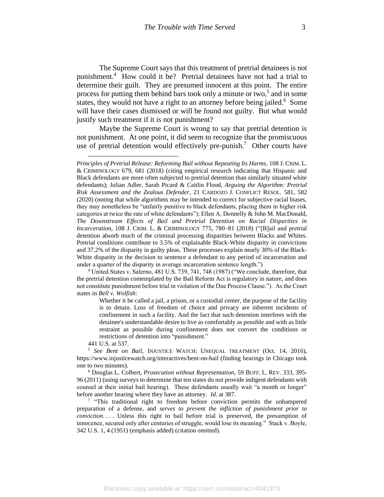The Supreme Court says that this treatment of pretrial detainees is not punishment.<sup>4</sup> How could it be? Pretrial detainees have not had a trial to determine their guilt. They are presumed innocent at this point. The entire process for putting them behind bars took only a minute or two,<sup>5</sup> and in some states, they would not have a right to an attorney before being jailed.<sup>6</sup> Some will have their cases dismissed or will be found not guilty. But what would justify such treatment if it is not punishment?

Maybe the Supreme Court is wrong to say that pretrial detention is not punishment. At one point, it did seem to recognize that the promiscuous use of pretrial detention would effectively pre-punish.<sup>7</sup> Other courts have

<sup>4</sup> United States v. Salerno, 481 U.S. 739, 741, 748 (1987) ("We conclude, therefore, that the pretrial detention contemplated by the Bail Reform Act is regulatory in nature, and does not constitute punishment before trial in violation of the Due Process Clause."). As the Court states in *Bell v. Wolfish*:

Whether it be called a jail, a prison, or a custodial center, the purpose of the facility is to detain. Loss of freedom of choice and privacy are inherent incidents of confinement in such a facility. And the fact that such detention interferes with the detainee's understandable desire to live as comfortably as possible and with as little restraint as possible during confinement does not convert the conditions or restrictions of detention into "punishment."

441 U.S. at 537.

<sup>5</sup> *See Bent on Bail*, INJUSTICE WATCH: UNEQUAL TREATMENT (Oct. 14, 2016), https://www.injusticewatch.org/interactives/bent-on-bail (finding hearings in Chicago took one to two minutes).

<sup>6</sup> Douglas L. Colbert, *Prosecution without Representation*, 59 BUFF. L. REV. 333, 395- 96 (2011) (using surveys to determine that ten states do not provide indigent defendants with counsel at their initial bail hearing). These defendants usually wait "a month or longer" before another hearing where they have an attorney. *Id.* at 387.

<sup>7</sup> "This traditional right to freedom before conviction permits the unhampered preparation of a defense, and *serves to prevent the infliction of punishment prior to conviction*.... Unless this right to bail before trial is preserved, the presumption of innocence, secured only after centuries of struggle, would lose its meaning." Stack v. Boyle, 342 U.S. 1, 4 (1951) (emphasis added) (citation omitted).

*Principles of Pretrial Release: Reforming Bail without Repeating Its Harms*, 108 J. CRIM. L. & CRIMINOLOGY 679, 681 (2018) (citing empirical research indicating that Hispanic and Black defendants are more often subjected to pretrial detention than similarly situated white defendants); Julian Adler, Sarah Picard & Caitlin Flood, *Arguing the Algorithm: Pretrial Risk Assessment and the Zealous Defender*, 21 CARDOZO J. CONFLICT RESOL. 581, 582 (2020) (noting that while algorithms may be intended to correct for subjective racial biases, they may nonetheless be "unfairly punitive to black defendants, placing them in higher risk categories at twice the rate of white defendants"); Ellen A. Donnelly & John M. MacDonald, *The Downstream Effects of Bail and Pretrial Detention on Racial Disparities in Incarceration*, 108 J. CRIM. L. & CRIMINOLOGY 775, 780–81 (2018) ("[B]ail and pretrial detention absorb much of the criminal processing disparities between Blacks and Whites. Pretrial conditions contribute to 3.5% of explainable Black-White disparity in convictions and 37.2% of the disparity in guilty pleas. These processes explain nearly 30% of the Black-White disparity in the decision to sentence a defendant to any period of incarceration and under a quarter of the disparity in average incarceration sentence length.")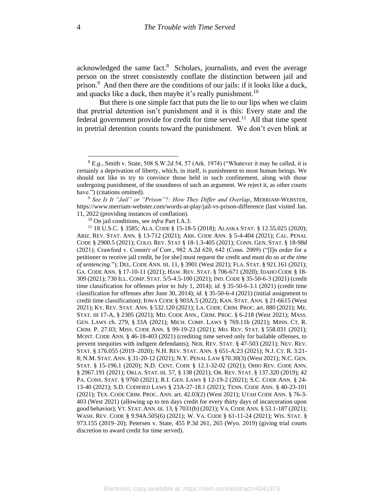acknowledged the same fact.<sup>8</sup> Scholars, journalists, and even the average person on the street consistently conflate the distinction between jail and prison.<sup>9</sup> And then there are the conditions of our jails: if it looks like a duck, and quacks like a duck, then maybe it's really punishment.<sup>10</sup>

But there is one simple fact that puts the lie to our lips when we claim that pretrial detention isn't punishment and it is this: Every state and the federal government provide for credit for time served.<sup>11</sup> All that time spent in pretrial detention counts toward the punishment. We don't even blink at

<sup>9</sup> *See Is It "Jail" or "Prison"?: How They Differ and Overlap*, MERRIAM-WEBSTER, https://www.merriam-webster.com/words-at-play/jail-vs-prison-difference (last visited Jan. 11, 2022 (providing instances of conflation).

<sup>10</sup> On jail conditions, see *infra* Part I.A.3.

<sup>11</sup> 18 U.S.C. § 3585; ALA. CODE § 15-18-5 (2018); ALASKA STAT. § 12.55.025 (2020); ARIZ. REV. STAT. ANN. § 13-712 (2021); ARK. CODE ANN. § 5-4-404 (2021); CAL. PENAL CODE § 2900.5 (2021); COLO. REV. STAT § 18-1.3-405 (2021); CONN. GEN. STAT. § 18-98d (2021); Crawford v. Comm'r of Corr., 982 A.2d 620, 642 (Conn. 2009) ("[I]n order for a petitioner to receive jail credit, he [or she] must request the credit and must do so *at the time of sentencing*."); DEL. CODE ANN. tit. 11, § 3901 (West 2021); FLA. STAT. § 921.161 (2021); GA. CODE ANN. § 17-10-11 (2021); HAW. REV. STAT. § 706-671 (2020); IDAHO CODE § 18- 309 (2021); 730 ILL. COMP. STAT. 5/5-4.5-100 (2021); IND. CODE § 35-50-6-3 (2021) (credit time classification for offenses prior to July 1, 2014); *id.* § 35-50-6-3.1 (2021) (credit time classification for offenses after June 30, 2014); *id.* § 35-50-6-4 (2021) (initial assignment to credit time classification); IOWA CODE § 903A.5 (2022); KAN. STAT. ANN. § 21-6615 (West 2021); KY. REV. STAT. ANN. § 532.120 (2021); LA. CODE. CRIM. PROC. art. 880 (2021); ME. STAT. tit 17-A, § 2305 (2021); MD. CODE ANN., CRIM. PROC. § 6-218 (West 2021); MASS. GEN. LAWS ch. 279, § 33A (2021); MICH. COMP. LAWS § 769.11b (2021); MINN. CT. R. CRIM. P. 27.03; MISS. CODE ANN. § 99-19-23 (2021); MO. REV. STAT. § 558.031 (2021); MONT. CODE ANN. § 46-18-403 (2021) (crediting time served only for bailable offenses, to prevent inequities with indigent defendants); NEB. REV. STAT. § 47-503 (2021); NEV. REV. STAT. § 176.055 (2019–2020); N.H. REV. STAT. ANN. § 651-A:23 (2021); N.J. CT. R. 3:21- 8; N.M. STAT. ANN. § 31-20-12 (2021); N.Y. PENAL LAW §70.30(3) (West 2021); N.C. GEN. STAT. § 15-196.1 (2020); N.D. CENT. CODE § 12.1-32-02 (2021); OHIO REV. CODE ANN. § 2967.191 (2021); OKLA. STAT. tit. 57, § 138 (2021); OR. REV. STAT. § 137.320 (2019); 42 PA. CONS. STAT. § 9760 (2021); R.I. GEN. LAWS § 12-19-2 (2021); S.C. CODE ANN. § 24- 13-40 (2021); S.D. CODIFIED LAWS § 23A-27-18.1 (2021); TENN. CODE ANN. § 40-23-101 (2021); TEX. CODE CRIM. PROC. ANN. art. 42.03(2) (West 2021); UTAH CODE ANN. § 76-3- 403 (West 2021) (allowing up to ten days credit for every thirty days of incarceration upon good behavior); VT. STAT. ANN. tit. 13, § 7031(b) (2021); VA.CODE ANN. § 53.1-187 (2021); WASH. REV. CODE § 9.94A.505(6) (2021); W. VA. CODE § 61-11-24 (2021); WIS. STAT. § 973.155 (2019–20); Petersen v. State, 455 P.3d 261, 265 (Wyo. 2019) (giving trial courts discretion to award credit for time served).

<sup>8</sup> *E.g.*, Smith v. State, 508 S.W.2d 54, 57 (Ark. 1974) ("Whatever it may be called, it is certainly a deprivation of liberty, which, in itself, is punishment to most human beings. We should not like to try to convince those held in such confinement, along with those undergoing punishment, of the soundness of such an argument. We reject it, as other courts have.") (citations omitted).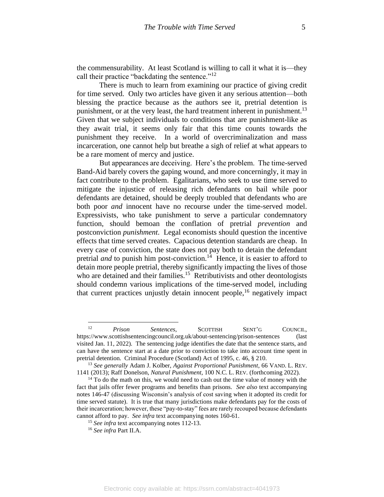the commensurability. At least Scotland is willing to call it what it is—they call their practice "backdating the sentence."<sup>12</sup>

There is much to learn from examining our practice of giving credit for time served. Only two articles have given it any serious attention—both blessing the practice because as the authors see it, pretrial detention is punishment, or at the very least, the hard treatment inherent in punishment.<sup>13</sup> Given that we subject individuals to conditions that are punishment-like as they await trial, it seems only fair that this time counts towards the punishment they receive. In a world of overcriminalization and mass incarceration, one cannot help but breathe a sigh of relief at what appears to be a rare moment of mercy and justice.

But appearances are deceiving. Here's the problem. The time-served Band-Aid barely covers the gaping wound, and more concerningly, it may in fact contribute to the problem. Egalitarians, who seek to use time served to mitigate the injustice of releasing rich defendants on bail while poor defendants are detained, should be deeply troubled that defendants who are both poor *and* innocent have no recourse under the time-served model. Expressivists, who take punishment to serve a particular condemnatory function, should bemoan the conflation of pretrial *prevention* and postconviction *punishment*. Legal economists should question the incentive effects that time served creates. Capacious detention standards are cheap. In every case of conviction, the state does not pay both to detain the defendant pretrial *and* to punish him post-conviction.<sup>14</sup> Hence, it is easier to afford to detain more people pretrial, thereby significantly impacting the lives of those who are detained and their families.<sup>15</sup> Retributivists and other deontologists should condemn various implications of the time-served model, including that current practices unjustly detain innocent people,  $16$  negatively impact

<sup>12</sup> *Prison Sentences*, SCOTTISH SENT'G COUNCIL, https://www.scottishsentencingcouncil.org.uk/about-sentencing/prison-sentences (last visited Jan. 11, 2022). The sentencing judge identifies the date that the sentence starts, and can have the sentence start at a date prior to conviction to take into account time spent in pretrial detention. Criminal Procedure (Scotland) Act of 1995, c. 46, § 210.

<sup>13</sup> *See generally* Adam J. Kolber, *Against Proportional Punishment*, 66 VAND. L. REV. 1141 (2013); Raff Donelson, *Natural Punishment*, 100 N.C. L. REV. (forthcoming 2022).

 $14$  To do the math on this, we would need to cash out the time value of money with the fact that jails offer fewer programs and benefits than prisons. *See also* text accompanying notes 146-47 (discussing Wisconsin's analysis of cost saving when it adopted its credit for time served statute). It is true that many jurisdictions make defendants pay for the costs of their incarceration; however, these "pay-to-stay" fees are rarely recouped because defendants cannot afford to pay. *See infra* text accompanying notes 160-61.

<sup>&</sup>lt;sup>15</sup> *See infra* text accompanying notes 112-13.

<sup>16</sup> *See infra* Part II.A.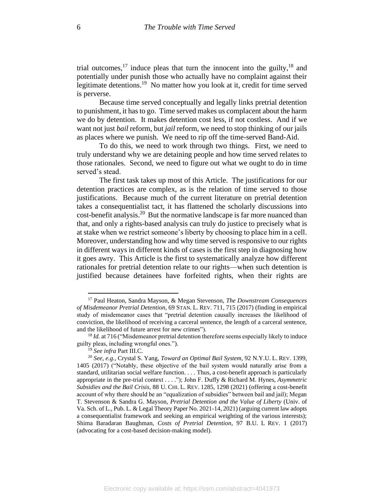<span id="page-6-0"></span>trial outcomes, <sup>17</sup> induce pleas that turn the innocent into the guilty, <sup>18</sup> and potentially under punish those who actually have no complaint against their legitimate detentions.<sup>19</sup> No matter how you look at it, credit for time served is perverse.

Because time served conceptually and legally links pretrial detention to punishment, it has to go. Time served makes us complacent about the harm we do by detention. It makes detention cost less, if not costless. And if we want not just *bail* reform, but *jail* reform, we need to stop thinking of our jails as places where we punish. We need to rip off the time-served Band-Aid.

To do this, we need to work through two things. First, we need to truly understand why we are detaining people and how time served relates to those rationales. Second, we need to figure out what we ought to do in time served's stead.

<span id="page-6-1"></span>The first task takes up most of this Article. The justifications for our detention practices are complex, as is the relation of time served to those justifications. Because much of the current literature on pretrial detention takes a consequentialist tact, it has flattened the scholarly discussions into cost-benefit analysis.<sup>20</sup> But the normative landscape is far more nuanced than that, and only a rights-based analysis can truly do justice to precisely what is at stake when we restrict someone's liberty by choosing to place him in a cell. Moreover, understanding how and why time served is responsive to our rights in different ways in different kinds of cases is the first step in diagnosing how it goes awry. This Article is the first to systematically analyze how different rationales for pretrial detention relate to our rights—when such detention is justified because detainees have forfeited rights, when their rights are

<sup>17</sup> Paul Heaton, Sandra Mayson, & Megan Stevenson, *The Downstream Consequences of Misdemeanor Pretrial Detention*, 69 STAN. L. REV. 711, 715 (2017) (finding in empirical study of misdemeanor cases that "pretrial detention causally increases the likelihood of conviction, the likelihood of receiving a carceral sentence, the length of a carceral sentence, and the likelihood of future arrest for new crimes").

<sup>&</sup>lt;sup>18</sup> *Id.* at 716 ("Misdemeanor pretrial detention therefore seems especially likely to induce guilty pleas, including wrongful ones.").

<sup>19</sup> *See infra* Part III.C.

<sup>20</sup> *See, e.g.*, Crystal S. Yang, *Toward an Optimal Bail System*, 92 N.Y.U. L. REV. 1399, 1405 (2017) ("Notably, these objective of the bail system would naturally arise from a standard, utilitarian social welfare function. . . . Thus, a cost-benefit approach is particularly appropriate in the pre-trial context . . . ."); John F. Duffy & Richard M. Hynes, *Asymmetric Subsidies and the Bail Crisis*, 88 U. CHI. L. REV. 1285, 1298 (2021) (offering a cost-benefit account of why there should be an "equalization of subsidies" between bail and jail); Megan T. Stevenson & Sandra G. Mayson, *Pretrial Detention and the Value of Liberty* (Univ. of Va. Sch. of L., Pub. L. & Legal Theory Paper No. 2021-14, 2021) (arguing current law adopts a consequentialist framework and seeking an empirical weighting of the various interests); Shima Baradaran Baughman, *Costs of Pretrial Detention*, 97 B.U. L REV. 1 (2017) (advocating for a cost-based decision-making model).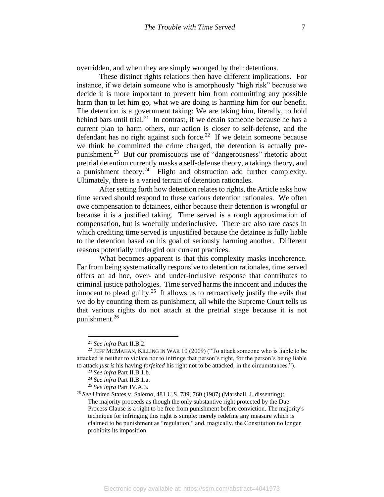overridden, and when they are simply wronged by their detentions.

These distinct rights relations then have different implications. For instance, if we detain someone who is amorphously "high risk" because we decide it is more important to prevent him from committing any possible harm than to let him go, what we are doing is harming him for our benefit. The detention is a government taking: We are taking him, literally, to hold behind bars until trial.<sup>21</sup> In contrast, if we detain someone because he has a current plan to harm others, our action is closer to self-defense, and the defendant has no right against such force.<sup>22</sup> If we detain someone because we think he committed the crime charged, the detention is actually prepunishment.<sup>23</sup> But our promiscuous use of "dangerousness" rhetoric about pretrial detention currently masks a self-defense theory, a takings theory, and a punishment theory.<sup>24</sup> Flight and obstruction add further complexity. Ultimately, there is a varied terrain of detention rationales.

<span id="page-7-0"></span>After setting forth how detention relates to rights, the Article asks how time served should respond to these various detention rationales. We often owe compensation to detainees, either because their detention is wrongful or because it is a justified taking. Time served is a rough approximation of compensation, but is woefully underinclusive. There are also rare cases in which crediting time served is unjustified because the detainee is fully liable to the detention based on his goal of seriously harming another. Different reasons potentially undergird our current practices.

What becomes apparent is that this complexity masks incoherence. Far from being systematically responsive to detention rationales, time served offers an ad hoc, over- and under-inclusive response that contributes to criminal justice pathologies. Time served harms the innocent and induces the innocent to plead guilty.<sup>25</sup> It allows us to retroactively justify the evils that we do by counting them as punishment, all while the Supreme Court tells us that various rights do not attach at the pretrial stage because it is not punishment.<sup>26</sup>

<sup>21</sup> *See infra* Part II.B.2.

<sup>&</sup>lt;sup>22</sup> JEFF MCMAHAN, KILLING IN WAR 10 (2009) ("To attack someone who is liable to be attacked is neither to violate nor to infringe that person's right, for the person's being liable to attack *just is* his having *forfeited* his right not to be attacked, in the circumstances.").

<sup>23</sup> *See infra* Part II.B.1.b.

<sup>24</sup> *See infra* Part II.B.1.a.

<sup>25</sup> *See infra* Part IV.A.3.

<sup>26</sup> *See* United States v. Salerno, 481 U.S. 739, 760 (1987) (Marshall, J. dissenting): The majority proceeds as though the only substantive right protected by the Due Process Clause is a right to be free from punishment before conviction. The majority's technique for infringing this right is simple: merely redefine any measure which is claimed to be punishment as "regulation," and, magically, the Constitution no longer prohibits its imposition.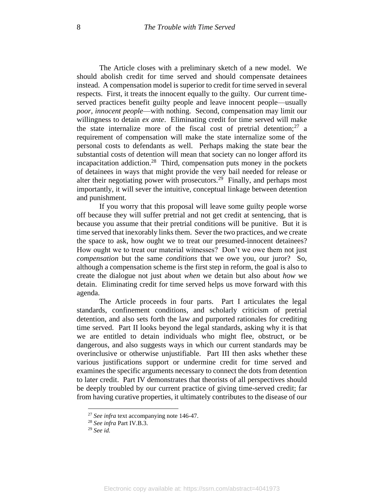The Article closes with a preliminary sketch of a new model. We should abolish credit for time served and should compensate detainees instead. A compensation model is superior to credit for time served in several respects. First, it treats the innocent equally to the guilty. Our current timeserved practices benefit guilty people and leave innocent people—usually *poor, innocent people*—with nothing. Second, compensation may limit our willingness to detain *ex ante*. Eliminating credit for time served will make the state internalize more of the fiscal cost of pretrial detention;  $27$  a requirement of compensation will make the state internalize some of the personal costs to defendants as well. Perhaps making the state bear the substantial costs of detention will mean that society can no longer afford its incapacitation addiction.<sup>28</sup> Third, compensation puts money in the pockets of detainees in ways that might provide the very bail needed for release or alter their negotiating power with prosecutors.<sup>29</sup> Finally, and perhaps most importantly, it will sever the intuitive, conceptual linkage between detention and punishment.

If you worry that this proposal will leave some guilty people worse off because they will suffer pretrial and not get credit at sentencing, that is because you assume that their pretrial conditions will be punitive. But it is time served that inexorably links them. Sever the two practices, and we create the space to ask, how ought we to treat our presumed-innocent detainees? How ought we to treat our material witnesses? Don't we owe them not just *compensation* but the same *conditions* that we owe you, our juror? So, although a compensation scheme is the first step in reform, the goal is also to create the dialogue not just about *when* we detain but also about *how* we detain. Eliminating credit for time served helps us move forward with this agenda.

The Article proceeds in four parts. Part I articulates the legal standards, confinement conditions, and scholarly criticism of pretrial detention, and also sets forth the law and purported rationales for crediting time served. Part II looks beyond the legal standards, asking why it is that we are entitled to detain individuals who might flee, obstruct, or be dangerous, and also suggests ways in which our current standards may be overinclusive or otherwise unjustifiable. Part III then asks whether these various justifications support or undermine credit for time served and examines the specific arguments necessary to connect the dots from detention to later credit. Part IV demonstrates that theorists of all perspectives should be deeply troubled by our current practice of giving time-served credit; far from having curative properties, it ultimately contributes to the disease of our

<sup>27</sup> *See infra* text accompanying note 146-47.

<sup>28</sup> *See infra* Part IV.B.3.

<sup>29</sup> *See id.*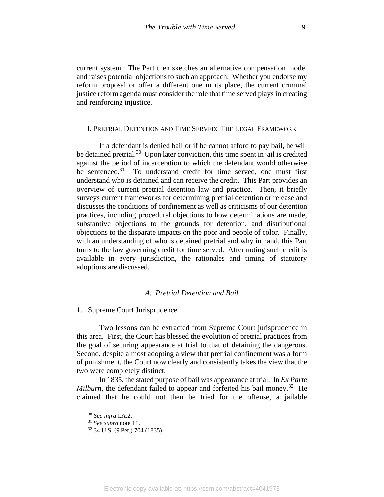current system. The Part then sketches an alternative compensation model and raises potential objections to such an approach. Whether you endorse my reform proposal or offer a different one in its place, the current criminal justice reform agenda must consider the role that time served plays in creating and reinforcing injustice.

## I. PRETRIAL DETENTION AND TIME SERVED: THE LEGAL FRAMEWORK

If a defendant is denied bail or if he cannot afford to pay bail, he will be detained pretrial.<sup>30</sup> Upon later conviction, this time spent in jail is credited against the period of incarceration to which the defendant would otherwise be sentenced. 31 To understand credit for time served, one must first understand who is detained and can receive the credit. This Part provides an overview of current pretrial detention law and practice. Then, it briefly surveys current frameworks for determining pretrial detention or release and discusses the conditions of confinement as well as criticisms of our detention practices, including procedural objections to how determinations are made, substantive objections to the grounds for detention, and distributional objections to the disparate impacts on the poor and people of color. Finally, with an understanding of who is detained pretrial and why in hand, this Part turns to the law governing credit for time served. After noting such credit is available in every jurisdiction, the rationales and timing of statutory adoptions are discussed.

## *A. Pretrial Detention and Bail*

## 1. Supreme Court Jurisprudence

Two lessons can be extracted from Supreme Court jurisprudence in this area. First, the Court has blessed the evolution of pretrial practices from the goal of securing appearance at trial to that of detaining the dangerous. Second, despite almost adopting a view that pretrial confinement was a form of punishment, the Court now clearly and consistently takes the view that the two were completely distinct.

In 1835, the stated purpose of bail was appearance at trial. In *Ex Parte*  Milburn, the defendant failed to appear and forfeited his bail money.<sup>32</sup> He claimed that he could not then be tried for the offense, a jailable

<sup>30</sup> *See infra* I.A.2.

<sup>31</sup> *See supra* note 11.

<sup>32</sup> 34 U.S. (9 Pet.) 704 (1835).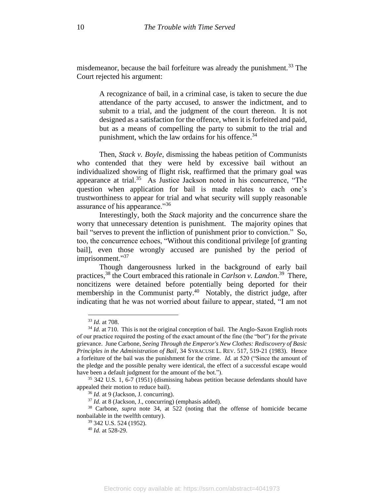misdemeanor, because the bail forfeiture was already the punishment.<sup>33</sup> The Court rejected his argument:

A recognizance of bail, in a criminal case, is taken to secure the due attendance of the party accused, to answer the indictment, and to submit to a trial, and the judgment of the court thereon. It is not designed as a satisfaction for the offence, when it is forfeited and paid, but as a means of compelling the party to submit to the trial and punishment, which the law ordains for his offence.<sup>34</sup>

Then, *Stack v. Boyle*, dismissing the habeas petition of Communists who contended that they were held by excessive bail without an individualized showing of flight risk, reaffirmed that the primary goal was appearance at trial.<sup>35</sup> As Justice Jackson noted in his concurrence, "The question when application for bail is made relates to each one's trustworthiness to appear for trial and what security will supply reasonable assurance of his appearance."<sup>36</sup>

Interestingly, both the *Stack* majority and the concurrence share the worry that unnecessary detention is punishment. The majority opines that bail "serves to prevent the infliction of punishment prior to conviction." So, too, the concurrence echoes, "Without this conditional privilege [of granting bail], even those wrongly accused are punished by the period of imprisonment."37

Though dangerousness lurked in the background of early bail practices, <sup>38</sup> the Court embraced this rationale in *Carlson v. Landon*. 39 There, noncitizens were detained before potentially being deported for their membership in the Communist party.<sup>40</sup> Notably, the district judge, after indicating that he was not worried about failure to appear, stated, "I am not

<sup>33</sup> *Id.* at 708.

<sup>&</sup>lt;sup>34</sup> *Id.* at 710. This is not the original conception of bail. The Anglo-Saxon English roots of our practice required the posting of the exact amount of the fine (the "bot") for the private grievance. June Carbone, *Seeing Through the Emperor's New Clothes: Rediscovery of Basic Principles in the Administration of Bail*, 34 SYRACUSE L. REV. 517, 519-21 (1983). Hence a forfeiture of the bail was the punishment for the crime. *Id.* at 520 ("Since the amount of the pledge and the possible penalty were identical, the effect of a successful escape would have been a default judgment for the amount of the bot.").

<sup>35</sup> 342 U.S. 1, 6-7 (1951) (dismissing habeas petition because defendants should have appealed their motion to reduce bail).

<sup>36</sup> *Id.* at 9 (Jackson, J. concurring).

<sup>37</sup> *Id.* at 8 (Jackson, J., concurring) (emphasis added).

<sup>38</sup> Carbone, *supra* note 34, at 522 (noting that the offense of homicide became nonbailable in the twelfth century).

<sup>39</sup> 342 U.S. 524 (1952).

<sup>40</sup> *Id.* at 528-29.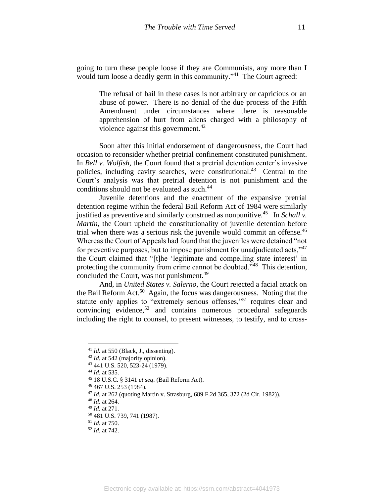going to turn these people loose if they are Communists, any more than I would turn loose a deadly germ in this community."<sup>41</sup> The Court agreed:

The refusal of bail in these cases is not arbitrary or capricious or an abuse of power. There is no denial of the due process of the Fifth Amendment under circumstances where there is reasonable apprehension of hurt from aliens charged with a philosophy of violence against this government.<sup>42</sup>

Soon after this initial endorsement of dangerousness, the Court had occasion to reconsider whether pretrial confinement constituted punishment. In *Bell v. Wolfish,* the Court found that a pretrial detention center's invasive policies, including cavity searches, were constitutional.<sup>43</sup> Central to the Court's analysis was that pretrial detention is not punishment and the conditions should not be evaluated as such.<sup>44</sup>

Juvenile detentions and the enactment of the expansive pretrial detention regime within the federal Bail Reform Act of 1984 were similarly justified as preventive and similarly construed as nonpunitive.<sup>45</sup> In *Schall v. Martin*, the Court upheld the constitutionality of juvenile detention before trial when there was a serious risk the juvenile would commit an offense.<sup>46</sup> Whereas the Court of Appeals had found that the juveniles were detained "not for preventive purposes, but to impose punishment for unadjudicated acts,"<sup>47</sup> the Court claimed that "[t]he 'legitimate and compelling state interest' in protecting the community from crime cannot be doubted."<sup>48</sup> This detention, concluded the Court, was not punishment.<sup>49</sup>

And, in *United States v. Salerno*, the Court rejected a facial attack on the Bail Reform Act.<sup>50</sup> Again, the focus was dangerousness. Noting that the statute only applies to "extremely serious offenses,"<sup>51</sup> requires clear and convincing evidence, <sup>52</sup> and contains numerous procedural safeguards including the right to counsel, to present witnesses, to testify, and to cross-

 $41$  *Id.* at 550 (Black, J., dissenting).

<sup>42</sup> *Id.* at 542 (majority opinion).

<sup>43</sup> 441 U.S. 520, 523-24 (1979).

<sup>44</sup> *Id.* at 535.

<sup>45</sup> 18 U.S.C. § 3141 *et seq*. (Bail Reform Act).

<sup>46</sup> 467 U.S. 253 (1984).

<sup>47</sup> *Id.* at 262 (quoting Martin v. Strasburg, 689 F.2d 365, 372 (2d Cir. 1982)).

<sup>48</sup> *Id.* at 264.

<sup>49</sup> *Id.* at 271.

<sup>50</sup> 481 U.S. 739, 741 (1987).

<sup>51</sup> *Id.* at 750.

<sup>52</sup> *Id.* at 742.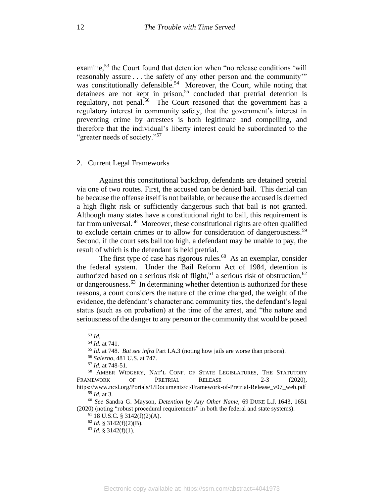examine,<sup>53</sup> the Court found that detention when "no release conditions 'will reasonably assure . . . the safety of any other person and the community'" was constitutionally defensible.<sup>54</sup> Moreover, the Court, while noting that detainees are not kept in prison,<sup>55</sup> concluded that pretrial detention is regulatory, not penal.<sup>56</sup> The Court reasoned that the government has a regulatory interest in community safety, that the government's interest in preventing crime by arrestees is both legitimate and compelling, and therefore that the individual's liberty interest could be subordinated to the "greater needs of society."<sup>57</sup>

## 2. Current Legal Frameworks

Against this constitutional backdrop, defendants are detained pretrial via one of two routes. First, the accused can be denied bail. This denial can be because the offense itself is not bailable, or because the accused is deemed a high flight risk or sufficiently dangerous such that bail is not granted. Although many states have a constitutional right to bail, this requirement is far from universal.<sup>58</sup> Moreover, these constitutional rights are often qualified to exclude certain crimes or to allow for consideration of dangerousness. 59 Second, if the court sets bail too high, a defendant may be unable to pay, the result of which is the defendant is held pretrial.

The first type of case has rigorous rules. $60$  As an exemplar, consider the federal system. Under the Bail Reform Act of 1984, detention is authorized based on a serious risk of flight,<sup>61</sup> a serious risk of obstruction,<sup>62</sup> or dangerousness.<sup>63</sup> In determining whether detention is authorized for these reasons, a court considers the nature of the crime charged, the weight of the evidence, the defendant's character and community ties, the defendant's legal status (such as on probation) at the time of the arrest, and "the nature and seriousness of the danger to any person or the community that would be posed

<sup>53</sup> *Id.*

<sup>54</sup> *Id.* at 741.

<sup>55</sup> *Id.* at 748. *But see infra* Part I.A.3 (noting how jails are worse than prisons).

<sup>56</sup> *Salerno*, 481 U.S. at 747.

<sup>57</sup> *Id.* at 748-51.

<sup>58</sup> AMBER WIDGERY, NAT'L CONF. OF STATE LEGISLATURES, THE STATUTORY FRAMEWORK OF PRETRIAL RELEASE 2-3 (2020), https://www.ncsl.org/Portals/1/Documents/cj/Framework-of-Pretrial-Release\_v07\_web.pdf

<sup>59</sup> *Id.* at 3.

<sup>60</sup> *See* Sandra G. Mayson, *Detention by Any Other Name*, 69 DUKE L.J. 1643, 1651 (2020) (noting "robust procedural requirements" in both the federal and state systems).

<sup>61</sup> 18 U.S.C. § 3142(f)(2)(A).

 $62$  *Id.* § 3142(f)(2)(B).

<sup>63</sup> *Id.* § 3142(f)(1).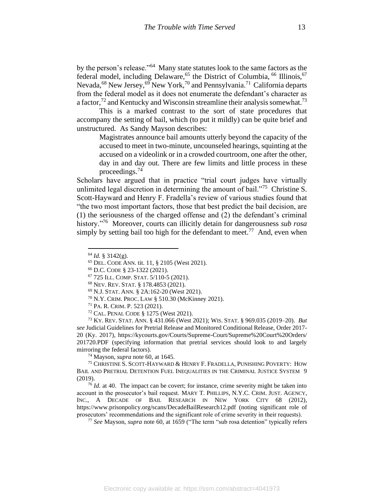by the person's release."<sup>64</sup> Many state statutes look to the same factors as the federal model, including Delaware,<sup>65</sup> the District of Columbia, <sup>66</sup> Illinois, <sup>67</sup> Nevada,<sup>68</sup> New Jersey,<sup>69</sup> New York,<sup>70</sup> and Pennsylvania.<sup>71</sup> California departs from the federal model as it does not enumerate the defendant's character as a factor,<sup>72</sup> and Kentucky and Wisconsin streamline their analysis somewhat.<sup>73</sup>

This is a marked contrast to the sort of state procedures that accompany the setting of bail, which (to put it mildly) can be quite brief and unstructured. As Sandy Mayson describes:

<span id="page-13-0"></span>Magistrates announce bail amounts utterly beyond the capacity of the accused to meet in two-minute, uncounseled hearings, squinting at the accused on a videolink or in a crowded courtroom, one after the other, day in and day out. There are few limits and little process in these proceedings.<sup>74</sup>

Scholars have argued that in practice "trial court judges have virtually unlimited legal discretion in determining the amount of bail."<sup>75</sup> Christine S. Scott-Hayward and Henry F. Fradella's review of various studies found that "the two most important factors, those that best predict the bail decision, are (1) the seriousness of the charged offense and (2) the defendant's criminal history."<sup>76</sup> Moreover, courts can illicitly detain for dangerousness *sub rosa* simply by setting bail too high for the defendant to meet.<sup>77</sup> And, even when

<sup>73</sup> KY. REV. STAT. ANN. § 431.066 (West 2021); WIS. STAT. § 969.035 (2019–20). *But see* Judicial Guidelines for Pretrial Release and Monitored Conditional Release, Order 2017- 20 (Ky. 2017), https://kycourts.gov/Courts/Supreme-Court/Supreme%20Court%20Orders/ 201720.PDF (specifying information that pretrial services should look to and largely mirroring the federal factors).

<sup>74</sup> Mayson, *supra* note 60, at 1645.

<sup>75</sup> CHRISTINE S. SCOTT-HAYWARD & HENRY F. FRADELLA, PUNISHING POVERTY: HOW BAIL AND PRETRIAL DETENTION FUEL INEQUALITIES IN THE CRIMINAL JUSTICE SYSTEM 9 (2019).

<sup>76</sup> *Id.* at 40. The impact can be covert; for instance, crime severity might be taken into account in the prosecutor's bail request. MARY T. PHILLIPS, N.Y.C. CRIM. JUST. AGENCY, INC., A DECADE OF BAIL RESEARCH IN NEW YORK CITY 68 (2012), https://www.prisonpolicy.org/scans/DecadeBailResearch12.pdf (noting significant role of prosecutors' recommendations and the significant role of crime severity in their requests).

<sup>77</sup> *See* Mayson, *supra* note 60, at 1659 ("The term "sub rosa detention" typically refers

<sup>64</sup> *Id.* § 3142(g).

<sup>65</sup> DEL. CODE ANN. tit. 11, § 2105 (West 2021).

<sup>66</sup> D.C. CODE § 23-1322 (2021).

<sup>67</sup> 725 ILL. COMP. STAT. 5/110-5 (2021).

<sup>68</sup> NEV. REV. STAT. § 178.4853 (2021).

<sup>69</sup> N.J. STAT. ANN. § 2A:162-20 (West 2021).

<sup>70</sup> N.Y. CRIM. PROC. LAW § 510.30 (McKinney 2021).

<sup>71</sup> PA. R. CRIM. P. 523 (2021).

<sup>72</sup> CAL. PENAL CODE § 1275 (West 2021).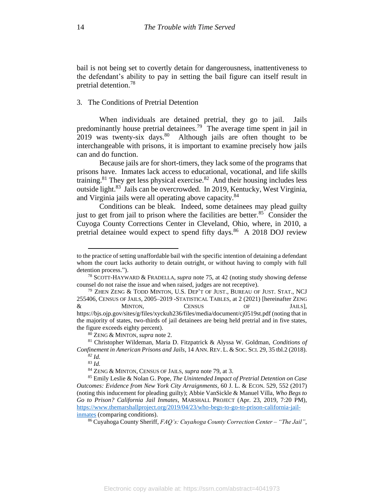bail is not being set to covertly detain for dangerousness, inattentiveness to the defendant's ability to pay in setting the bail figure can itself result in pretrial detention.<sup>78</sup>

#### 3. The Conditions of Pretrial Detention

When individuals are detained pretrial, they go to jail. Jails predominantly house pretrial detainees.<sup>79</sup> The average time spent in jail in 2019 was twenty-six days.  $80^{\circ}$  Although jails are often thought to be interchangeable with prisons, it is important to examine precisely how jails can and do function.

Because jails are for short-timers, they lack some of the programs that prisons have. Inmates lack access to educational, vocational, and life skills training.<sup>81</sup> They get less physical exercise.<sup>82</sup> And their housing includes less outside light.<sup>83</sup> Jails can be overcrowded. In 2019, Kentucky, West Virginia, and Virginia jails were all operating above capacity.<sup>84</sup>

<span id="page-14-0"></span>Conditions can be bleak. Indeed, some detainees may plead guilty just to get from jail to prison where the facilities are better. $85$  Consider the Cuyoga County Corrections Center in Cleveland, Ohio, where, in 2010, a pretrial detainee would expect to spend fifty days.<sup>86</sup> A 2018 DOJ review

to the practice of setting unaffordable bail with the specific intention of detaining a defendant whom the court lacks authority to detain outright, or without having to comply with full detention process.").

<sup>78</sup> SCOTT-HAYWARD & FRADELLA, *supra* note [75,](#page-13-0) at 42 (noting study showing defense counsel do not raise the issue and when raised, judges are not receptive).

<sup>79</sup> ZHEN ZENG & TODD MINTON, U.S. DEP'T OF JUST., BUREAU OF JUST. STAT., NCJ 255406, CENSUS OF JAILS, 2005–2019 -STATISTICAL TABLES, at 2 (2021) [hereinafter ZENG & MINTON, CENSUS OF JAILS], https://bjs.ojp.gov/sites/g/files/xyckuh236/files/media/document/cj0519st.pdf (noting that in the majority of states, two-thirds of jail detainees are being held pretrial and in five states, the figure exceeds eighty percent).

<sup>80</sup> ZENG & MINTON, *supra* note 2.

<sup>81</sup> Christopher Wildeman, Maria D. Fitzpatrick & Alyssa W. Goldman, *Conditions of Confinement in American Prisons and Jails*, 14 ANN. REV. L. & SOC. SCI. 29, 35 tbl.2 (2018). *<sup>82</sup> Id.*

<sup>83</sup> *Id.*

<sup>84</sup> ZENG & MINTON, CENSUS OF JAILS, *supra* note 79, at 3.

<sup>85</sup> Emily Leslie & Nolan G. Pope, *The Unintended Impact of Pretrial Detention on Case Outcomes: Evidence from New York City Arraignments*, 60 J. L. & ECON. 529, 552 (2017) (noting this inducement for pleading guilty); Abbie VanSickle & Manuel Villa, *Who Begs to Go to Prison? California Jail Inmates*, MARSHALL PROJECT (Apr. 23, 2019, 7:20 PM), [https://www.themarshallproject.org/2019/04/23/who-begs-to-go-to-prison-california-jail](https://www.themarshallproject.org/2019/04/23/who-begs-to-go-to-prison-california-jail-inmates)[inmates](https://www.themarshallproject.org/2019/04/23/who-begs-to-go-to-prison-california-jail-inmates) (comparing conditions).

<sup>86</sup> Cuyahoga County Sheriff, *FAQ's: Cuyahoga County Correction Center – "The Jail"*,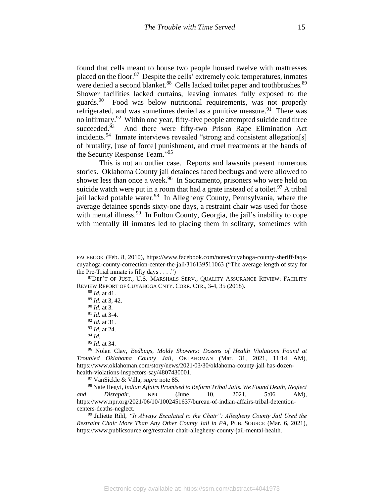found that cells meant to house two people housed twelve with mattresses placed on the floor.<sup>87</sup> Despite the cells' extremely cold temperatures, inmates were denied a second blanket.<sup>88</sup> Cells lacked toilet paper and toothbrushes.<sup>89</sup> Shower facilities lacked curtains, leaving inmates fully exposed to the guards.<sup>90</sup> Food was below nutritional requirements, was not properly refrigerated, and was sometimes denied as a punitive measure.<sup>91</sup> There was no infirmary.<sup>92</sup> Within one year, fifty-five people attempted suicide and three succeeded.<sup>93</sup> And there were fifty-two Prison Rape Elimination Act incidents.<sup>94</sup> Inmate interviews revealed "strong and consistent allegation[s] of brutality, [use of force] punishment, and cruel treatments at the hands of the Security Response Team."<sup>95</sup>

This is not an outlier case. Reports and lawsuits present numerous stories. Oklahoma County jail detainees faced bedbugs and were allowed to shower less than once a week.<sup>96</sup> In Sacramento, prisoners who were held on suicide watch were put in a room that had a grate instead of a toilet.<sup>97</sup> A tribal jail lacked potable water.<sup>98</sup> In Allegheny County, Pennsylvania, where the average detainee spends sixty-one days, a restraint chair was used for those with mental illness.<sup>99</sup> In Fulton County, Georgia, the jail's inability to cope with mentally ill inmates led to placing them in solitary, sometimes with

<sup>88</sup> *Id.* at 41.

<sup>89</sup> *Id.* at 3, 42.

<sup>90</sup> *Id.* at 3.

<sup>91</sup> *Id.* at 3-4.

<sup>92</sup> *Id.* at 31.

<sup>93</sup> *Id.* at 24.

<sup>94</sup> *Id.*

<sup>95</sup> *Id.* at 34.

<sup>97</sup> VanSickle & Villa, *supra* note 85.

<sup>98</sup> Nate Hegyi, *Indian Affairs Promised to Reform Tribal Jails. We Found Death, Neglect and Disrepair*, NPR (June 10, 2021, 5:06 AM), https://www.npr.org/2021/06/10/1002451637/bureau-of-indian-affairs-tribal-detentioncenters-deaths-neglect.

<sup>99</sup> Juliette Rihl, *"It Always Escalated to the Chair": Allegheny County Jail Used the Restraint Chair More Than Any Other County Jail in PA*, PUB. SOURCE (Mar. 6, 2021), https://www.publicsource.org/restraint-chair-allegheny-county-jail-mental-health.

FACEBOOK (Feb. 8, 2010), https://www.facebook.com/notes/cuyahoga-county-sheriff/faqscuyahoga-county-correction-center-the-jail/316139511063 ("The average length of stay for the Pre-Trial inmate is fifty days  $\dots$ .")

<sup>87</sup>DEP'T OF JUST., U.S. MARSHALS SERV., QUALITY ASSURANCE REVIEW: FACILITY REVIEW REPORT OF CUYAHOGA CNTY. CORR. CTR., 3-4, 35 (2018).

<sup>96</sup> Nolan Clay, *Bedbugs, Moldy Showers: Dozens of Health Violations Found at Troubled Oklahoma County Jail*, OKLAHOMAN (Mar. 31, 2021, 11:14 AM), https://www.oklahoman.com/story/news/2021/03/30/oklahoma-county-jail-has-dozenhealth-violations-inspectors-say/4807430001.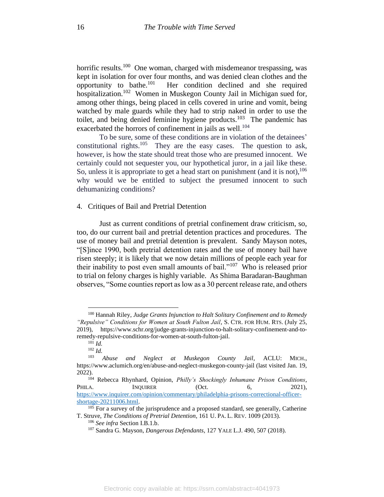horrific results.<sup>100</sup> One woman, charged with misdemeanor trespassing, was kept in isolation for over four months, and was denied clean clothes and the opportunity to bathe. $101$  Her condition declined and she required hospitalization.<sup>102</sup> Women in Muskegon County Jail in Michigan sued for, among other things, being placed in cells covered in urine and vomit, being watched by male guards while they had to strip naked in order to use the toilet, and being denied feminine hygiene products.<sup>103</sup> The pandemic has exacerbated the horrors of confinement in jails as well.<sup>104</sup>

To be sure, some of these conditions are in violation of the detainees' constitutional rights.<sup>105</sup> They are the easy cases. The question to ask, however, is how the state should treat those who are presumed innocent. We certainly could not sequester you, our hypothetical juror, in a jail like these. So, unless it is appropriate to get a head start on punishment (and it is not),  $^{106}$ why would we be entitled to subject the presumed innocent to such dehumanizing conditions?

## 4. Critiques of Bail and Pretrial Detention

Just as current conditions of pretrial confinement draw criticism, so, too, do our current bail and pretrial detention practices and procedures. The use of money bail and pretrial detention is prevalent. Sandy Mayson notes, "[S]ince 1990, both pretrial detention rates and the use of money bail have risen steeply; it is likely that we now detain millions of people each year for their inability to post even small amounts of bail."<sup>107</sup> Who is released prior to trial on felony charges is highly variable. As Shima Baradaran-Baughman observes, "Some counties report as low as a 30 percent release rate, and others

<sup>100</sup> Hannah Riley, *Judge Grants Injunction to Halt Solitary Confinement and to Remedy "Repulsive" Conditions for Women at South Fulton Jail*, S. CTR. FOR HUM. RTS. (July 25, 2019), https://www.schr.org/judge-grants-injunction-to-halt-solitary-confinement-and-toremedy-repulsive-conditions-for-women-at-south-fulton-jail.

 $^{101}$  *Id.* 

<sup>102</sup> *Id.*

<sup>103</sup> *Abuse and Neglect at Muskegon County Jail*, ACLU: MICH., https://www.aclumich.org/en/abuse-and-neglect-muskegon-county-jail (last visited Jan. 19, 2022).

<sup>104</sup> Rebecca Rhynhard, Opinion, *Philly's Shockingly Inhumane Prison Conditions*, PHILA. INQUIRER (Oct. 6, 2021), [https://www.inquirer.com/opinion/commentary/philadelphia-prisons-correctional-officer](https://www.inquirer.com/opinion/commentary/philadelphia-prisons-correctional-officer-shortage-20211006.html)[shortage-20211006.html.](https://www.inquirer.com/opinion/commentary/philadelphia-prisons-correctional-officer-shortage-20211006.html)

 $105$  For a survey of the jurisprudence and a proposed standard, see generally, Catherine T. Struve, *The Conditions of Pretrial Detention*, 161 U. PA. L. REV. 1009 (2013).

<sup>106</sup> *See infra* Section I.B.1.b.

<sup>107</sup> Sandra G. Mayson, *Dangerous Defendants*, 127 YALE L.J. 490, 507 (2018).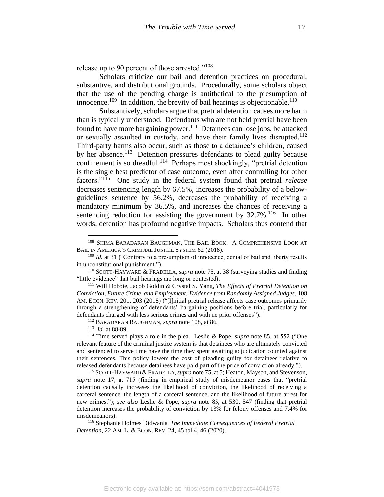release up to 90 percent of those arrested."<sup>108</sup>

Scholars criticize our bail and detention practices on procedural, substantive, and distributional grounds. Procedurally, some scholars object that the use of the pending charge is antithetical to the presumption of innocence.<sup>109</sup> In addition, the brevity of bail hearings is objectionable.<sup>110</sup>

Substantively, scholars argue that pretrial detention causes more harm than is typically understood. Defendants who are not held pretrial have been found to have more bargaining power.<sup>111</sup> Detainees can lose jobs, be attacked or sexually assaulted in custody, and have their family lives disrupted.<sup>112</sup> Third-party harms also occur, such as those to a detainee's children, caused by her absence.<sup>113</sup> Detention pressures defendants to plead guilty because confinement is so dreadful.<sup>114</sup> Perhaps most shockingly, "pretrial detention is the single best predictor of case outcome, even after controlling for other factors."<sup>115</sup> One study in the federal system found that pretrial *release* decreases sentencing length by 67.5%, increases the probability of a belowguidelines sentence by 56.2%, decreases the probability of receiving a mandatory minimum by 36.5%, and increases the chances of receiving a sentencing reduction for assisting the government by  $32.7\%$ .<sup>116</sup> In other words, detention has profound negative impacts. Scholars thus contend that

<sup>112</sup> BARADARAN BAUGHMAN, *supra* note 108, at 86.

<sup>113</sup> *Id.* at 88-89.

<sup>116</sup> Stephanie Holmes Didwania, *The Immediate Consequences of Federal Pretrial Detention*, 22 AM. L. & ECON. REV. 24, 45 tbl.4, 46 (2020).

<sup>108</sup> SHIMA BARADARAN BAUGHMAN, THE BAIL BOOK: A COMPREHENSIVE LOOK AT BAIL IN AMERICA'S CRIMINAL JUSTICE SYSTEM 62 (2018).

<sup>&</sup>lt;sup>109</sup> *Id.* at 31 ("Contrary to a presumption of innocence, denial of bail and liberty results in unconstitutional punishment.").

<sup>110</sup> SCOTT-HAYWARD & FRADELLA, *supra* note [75,](#page-13-0) at 38 (surveying studies and finding "little evidence" that bail hearings are long or contested).

<sup>111</sup> Will Dobbie, Jacob Goldin & Crystal S. Yang, *The Effects of Pretrial Detention on Conviction, Future Crime, and Employment: Evidence from Randomly Assigned Judges*, 108 AM. ECON. REV. 201, 203 (2018) ("[I]nitial pretrial release affects case outcomes primarily through a strengthening of defendants' bargaining positions before trial, particularly for defendants charged with less serious crimes and with no prior offenses").

<sup>114</sup> Time served plays a role in the plea. Leslie & Pope, *supra* note 85, at 552 ("One relevant feature of the criminal justice system is that detainees who are ultimately convicted and sentenced to serve time have the time they spent awaiting adjudication counted against their sentences. This policy lowers the cost of pleading guilty for detainees relative to released defendants because detainees have paid part of the price of conviction already.").

<sup>115</sup> SCOTT-HAYWARD &FRADELLA,*supra* not[e 75,](#page-13-0) at 5; Heaton, Mayson, and Stevenson, *supra* note [17,](#page-6-0) at 715 (finding in empirical study of misdemeanor cases that "pretrial detention causally increases the likelihood of conviction, the likelihood of receiving a carceral sentence, the length of a carceral sentence, and the likelihood of future arrest for new crimes."); *see also* Leslie & Pope, *supra* note [85,](#page-14-0) at 530, 547 (finding that pretrial detention increases the probability of conviction by 13% for felony offenses and 7.4% for misdemeanors).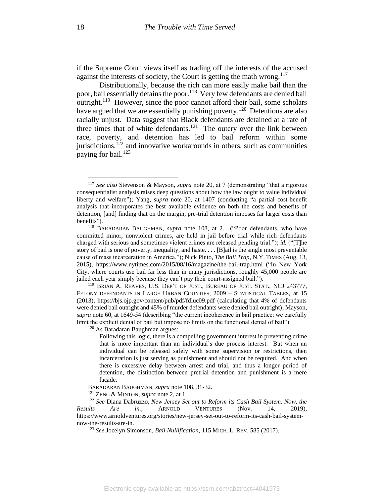if the Supreme Court views itself as trading off the interests of the accused against the interests of society, the Court is getting the math wrong.<sup>117</sup>

Distributionally, because the rich can more easily make bail than the poor, bail essentially detains the poor.<sup>118</sup> Very few defendants are denied bail outright.<sup>119</sup> However, since the poor cannot afford their bail, some scholars have argued that we are essentially punishing poverty.<sup>120</sup> Detentions are also racially unjust. Data suggest that Black defendants are detained at a rate of three times that of white defendants.<sup>121</sup> The outcry over the link between race, poverty, and detention has led to bail reform within some jurisdictions, $122$  and innovative workarounds in others, such as communities paying for bail.<sup>123</sup>

<sup>120</sup> As Baradaran Baughman argues:

BARADARAN BAUGHMAN, *supra* note 108, 31-32.

<sup>121</sup> ZENG & MINTON, *supra* not[e 2,](#page-2-0) at 1.

<sup>117</sup> *See also* Stevenson & Mayson, *supra* note [20,](#page-6-1) at 7 (demonstrating "that a rigorous consequentialist analysis raises deep questions about how the law ought to value individual liberty and welfare"); Yang, *supra* note 20, at 1407 (conducting "a partial cost-benefit analysis that incorporates the best available evidence on both the costs and benefits of detention, [and] finding that on the margin, pre-trial detention imposes far larger costs than benefits").

<sup>118</sup> BARADARAN BAUGHMAN, *supra* note 108, at 2. ("Poor defendants, who have committed minor, nonviolent crimes, are held in jail before trial while rich defendants charged with serious and sometimes violent crimes are released pending trial."); *id.* ("[T]he story of bail is one of poverty, inequality, and haste. . . . [B]ail is the single most preventable cause of mass incarceration in America."); Nick Pinto, *The Bail Trap*, N.Y. TIMES (Aug. 13, 2015), https://www.nytimes.com/2015/08/16/magazine/the-bail-trap.html ("In New York City, where courts use bail far less than in many jurisdictions, roughly 45,000 people are jailed each year simply because they can't pay their court-assigned bail.").

<sup>119</sup> BRIAN A. REAVES, U.S. DEP'T OF JUST., BUREAU OF JUST. STAT., NCJ 243777, FELONY DEFENDANTS IN LARGE URBAN COUNTIES, 2009 – STATISTICAL TABLES, at 15 (2013), https://bjs.ojp.gov/content/pub/pdf/fdluc09.pdf (calculating that 4% of defendants were denied bail outright and 45% of murder defendants were denied bail outright); Mayson, *supra* note 60, at 1649-54 (describing "the current incoherence in bail practice: we carefully limit the explicit denial of bail but impose no limits on the functional denial of bail").

Following this logic, there is a compelling government interest in preventing crime that is more important than an individual's due process interest. But when an individual can be released safely with some supervision or restrictions, then incarceration is just serving as punishment and should not be required. And when there is excessive delay between arrest and trial, and thus a longer period of detention, the distinction between pretrial detention and punishment is a mere façade.

<sup>122</sup> *See* Diana Dabruzzo, *New Jersey Set out to Reform its Cash Bail System. Now, the Results Are in.*, ARNOLD VENTURES (Nov. 14, 2019), https://www.arnoldventures.org/stories/new-jersey-set-out-to-reform-its-cash-bail-systemnow-the-results-are-in.

<sup>123</sup> *See* Jocelyn Simonson, *Bail Nullification*, 115 MICH. L. REV. 585 (2017).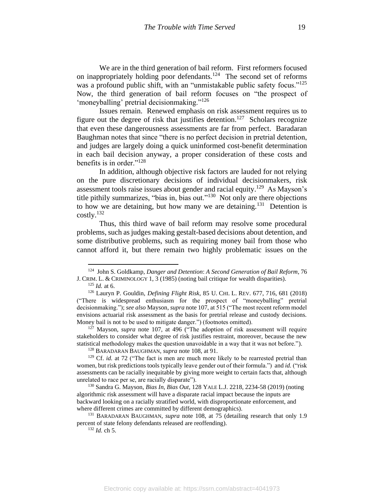We are in the third generation of bail reform. First reformers focused on inappropriately holding poor defendants.<sup>124</sup> The second set of reforms was a profound public shift, with an "unmistakable public safety focus."<sup>125</sup> Now, the third generation of bail reform focuses on "the prospect of 'moneyballing' pretrial decisionmaking."<sup>126</sup>

Issues remain. Renewed emphasis on risk assessment requires us to figure out the degree of risk that justifies detention.<sup>127</sup> Scholars recognize that even these dangerousness assessments are far from perfect. Baradaran Baughman notes that since "there is no perfect decision in pretrial detention, and judges are largely doing a quick uninformed cost-benefit determination in each bail decision anyway, a proper consideration of these costs and benefits is in order."<sup>128</sup>

In addition, although objective risk factors are lauded for not relying on the pure discretionary decisions of individual decisionmakers, risk assessment tools raise issues about gender and racial equity.<sup>129</sup> As Mayson's title pithily summarizes, "bias in, bias out."<sup>130</sup> Not only are there objections to how we are detaining, but how many we are detaining.<sup>131</sup> Detention is costly.<sup>132</sup>

Thus, this third wave of bail reform may resolve some procedural problems, such as judges making gestalt-based decisions about detention, and some distributive problems, such as requiring money bail from those who cannot afford it, but there remain two highly problematic issues on the

<sup>124</sup> John S. Goldkamp, *Danger and Detention*: *A Second Generation of Bail Reform*, 76 J. CRIM. L. & CRIMINOLOGY 1, 3 (1985) (noting bail critique for wealth disparities).

<sup>125</sup> *Id.* at 6.

<sup>126</sup> Lauryn P. Gouldin, *Defining Flight Risk*, 85 U. CHI. L. REV. 677, 716, 681 (2018) ("There is widespread enthusiasm for the prospect of "moneyballing" pretrial decisionmaking."); *see also* Mayson, *supra* note 107, at 515 ("The most recent reform model envisions actuarial risk assessment as the basis for pretrial release and custody decisions. Money bail is not to be used to mitigate danger.") (footnotes omitted).

<sup>127</sup> Mayson, *supra* note 107, at 496 ("The adoption of risk assessment will require stakeholders to consider what degree of risk justifies restraint, moreover, because the new statistical methodology makes the question unavoidable in a way that it was not before.").

<sup>128</sup> BARADARAN BAUGHMAN, *supra* note 108, at 91.

<sup>&</sup>lt;sup>129</sup> Cf. *id.* at 72 ("The fact is men are much more likely to be rearrested pretrial than women, but risk predictions tools typically leave gender out of their formula.") and *id.* ("risk assessments can be racially inequitable by giving more weight to certain facts that, although unrelated to race per se, are racially disparate").

<sup>130</sup> Sandra G. Mayson, *Bias In, Bias Out*, 128 YALE L.J. 2218, 2234-58 (2019) (noting algorithmic risk assessment will have a disparate racial impact because the inputs are backward looking on a racially stratified world, with disproportionate enforcement, and where different crimes are committed by different demographics).

<sup>131</sup> BARADARAN BAUGHMAN, *supra* note 108, at 75 (detailing research that only 1.9 percent of state felony defendants released are reoffending).

<sup>132</sup> *Id.* ch 5.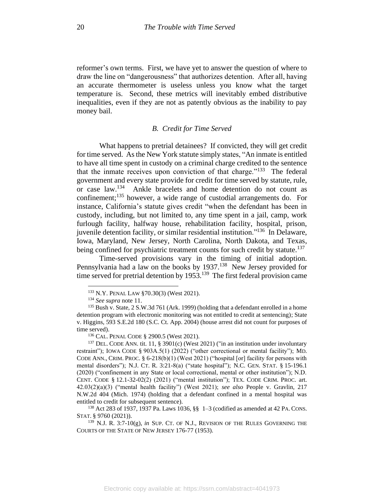reformer's own terms. First, we have yet to answer the question of where to draw the line on "dangerousness" that authorizes detention. After all, having an accurate thermometer is useless unless you know what the target temperature is. Second, these metrics will inevitably embed distributive inequalities, even if they are not as patently obvious as the inability to pay money bail.

## *B. Credit for Time Served*

What happens to pretrial detainees? If convicted, they will get credit for time served. As the New York statute simply states, "An inmate is entitled to have all time spent in custody on a criminal charge credited to the sentence that the inmate receives upon conviction of that charge."<sup>133</sup> The federal government and every state provide for credit for time served by statute, rule, or case law.<sup>134</sup> Ankle bracelets and home detention do not count as confinement;<sup>135</sup> however, a wide range of custodial arrangements do. For instance, California's statute gives credit "when the defendant has been in custody, including, but not limited to, any time spent in a jail, camp, work furlough facility, halfway house, rehabilitation facility, hospital, prison, juvenile detention facility, or similar residential institution."<sup>136</sup> In Delaware, Iowa, Maryland, New Jersey, North Carolina, North Dakota, and Texas, being confined for psychiatric treatment counts for such credit by statute.<sup>137</sup>

Time-served provisions vary in the timing of initial adoption. Pennsylvania had a law on the books by 1937.<sup>138</sup> New Jersey provided for time served for pretrial detention by  $1953$ .<sup>139</sup> The first federal provision came

<sup>133</sup> N.Y. PENAL LAW §70.30(3) (West 2021).

<sup>134</sup> *See supra* note 11.

 $135$  Bush v. State, 2 S.W.3d 761 (Ark. 1999) (holding that a defendant enrolled in a home detention program with electronic monitoring was not entitled to credit at sentencing); State v. Higgins, 593 S.E.2d 180 (S.C. Ct. App. 2004) (house arrest did not count for purposes of time served).

<sup>136</sup> CAL. PENAL CODE § 2900.5 (West 2021).

<sup>&</sup>lt;sup>137</sup> DEL. CODE ANN. tit. 11, § 3901(c) (West 2021) ("in an institution under involuntary restraint"); IOWA CODE § 903A.5(1) (2022) ("other correctional or mental facility"); MD. CODE ANN., CRIM. PROC. § 6-218(b)(1) (West 2021) ("hospital [or] facility for persons with mental disorders"); N.J. CT. R. 3:21-8(a) ("state hospital"); N.C. GEN. STAT. § 15-196.1 (2020) ("confinement in any State or local correctional, mental or other institution"); N.D. CENT. CODE § 12.1-32-02(2) (2021) ("mental institution"); TEX. CODE CRIM. PROC. art. 42.03(2)(a)(3) ("mental health facility") (West 2021); *see also* People v. Gravlin, 217 N.W.2d 404 (Mich. 1974) (holding that a defendant confined in a mental hospital was entitled to credit for subsequent sentence).

<sup>138</sup> Act 283 of 1937, 1937 Pa. Laws 1036, §§ 1–3 (codified as amended at 42 PA. CONS. STAT. § 9760 (2021)).

<sup>139</sup> N.J. R. 3:7-10(g), *in* SUP. CT. OF N.J., REVISION OF THE RULES GOVERNING THE COURTS OF THE STATE OF NEW JERSEY 176-77 (1953).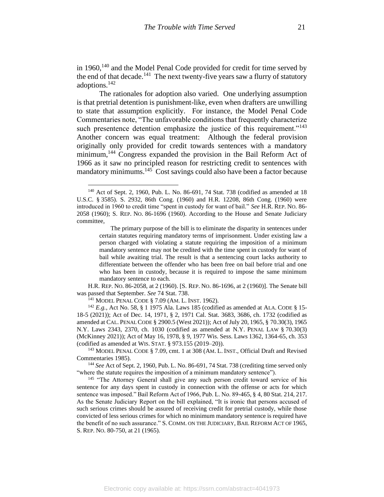in 1960, $140$  and the Model Penal Code provided for credit for time served by the end of that decade.<sup>141</sup> The next twenty-five years saw a flurry of statutory adoptions.<sup>142</sup>

The rationales for adoption also varied. One underlying assumption is that pretrial detention is punishment-like, even when drafters are unwilling to state that assumption explicitly. For instance, the Model Penal Code Commentaries note, "The unfavorable conditions that frequently characterize such presentence detention emphasize the justice of this requirement."<sup>143</sup> Another concern was equal treatment: Although the federal provision originally only provided for credit towards sentences with a mandatory minimum,<sup>144</sup> Congress expanded the provision in the Bail Reform Act of 1966 as it saw no principled reason for restricting credit to sentences with mandatory minimums.<sup>145</sup> Cost savings could also have been a factor because

H.R. REP. NO. 86-2058, at 2 (1960). [S. REP. NO. 86-1696, at 2 (1960)]. The Senate bill was passed that September. *See* 74 Stat. 738.

<sup>141</sup> MODEL PENAL CODE § 7.09 (AM. L. INST. 1962).

<sup>142</sup> *E.g.*, Act No. 58, § 1 1975 Ala. Laws 185 (codified as amended at ALA. CODE § 15- 18-5 (2021)); Act of Dec. 14, 1971, § 2, 1971 Cal. Stat. 3683, 3686, ch. 1732 (codified as amended at CAL. PENAL CODE § 2900.5 (West 2021)); Act of July 20, 1965, § 70.30(3), 1965 N.Y. Laws 2343, 2370, ch. 1030 (codified as amended at N.Y. PENAL LAW § 70.30(3) (McKinney 2021)); Act of May 16, 1978, § 9, 1977 Wis. Sess. Laws 1362, 1364-65, ch. 353 (codified as amended at WIS. STAT. § 973.155 (2019–20)).

<sup>143</sup> MODEL PENAL CODE § 7.09, cmt. 1 at 308 (AM. L. INST., Official Draft and Revised Commentaries 1985).

<sup>144</sup> *See* Act of Sept. 2, 1960, Pub. L. No. 86-691, 74 Stat. 738 (crediting time served only "where the statute requires the imposition of a minimum mandatory sentence").

<sup>145</sup> "The Attorney General shall give any such person credit toward service of his sentence for any days spent in custody in connection with the offense or acts for which sentence was imposed." Bail Reform Act of 1966, Pub. L. No. 89-465, § 4, 80 Stat. 214, 217. As the Senate Judiciary Report on the bill explained, "It is ironic that persons accused of such serious crimes should be assured of receiving credit for pretrial custody, while those convicted of less serious crimes for which no minimum mandatory sentence is required have the benefit of no such assurance." S. COMM. ON THE JUDICIARY, BAIL REFORM ACT OF 1965, S. REP. NO. 80-750, at 21 (1965).

<sup>140</sup> Act of Sept. 2, 1960, Pub. L. No. 86-691, 74 Stat. 738 (codified as amended at 18 U.S.C. § 3585). S. 2932, 86th Cong. (1960) and H.R. 12208, 86th Cong. (1960) were introduced in 1960 to credit time "spent in custody for want of bail." *See* H.R. REP. NO. 86- 2058 (1960); S. REP. NO. 86-1696 (1960). According to the House and Senate Judiciary committee,

The primary purpose of the bill is to eliminate the disparity in sentences under certain statutes requiring mandatory terms of imprisonment. Under existing law a person charged with violating a statute requiring the imposition of a minimum mandatory sentence may not be credited with the time spent in custody for want of bail while awaiting trial. The result is that a sentencing court lacks authority to differentiate between the offender who has been free on bail before trial and one who has been in custody, because it is required to impose the same minimum mandatory sentence to each.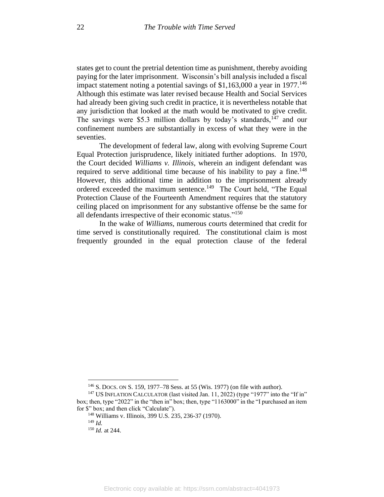states get to count the pretrial detention time as punishment, thereby avoiding paying for the later imprisonment. Wisconsin's bill analysis included a fiscal impact statement noting a potential savings of  $$1,163,000$  a year in 1977.<sup>146</sup> Although this estimate was later revised because Health and Social Services had already been giving such credit in practice, it is nevertheless notable that any jurisdiction that looked at the math would be motivated to give credit. The savings were \$5.3 million dollars by today's standards,  $147$  and our confinement numbers are substantially in excess of what they were in the seventies.

The development of federal law, along with evolving Supreme Court Equal Protection jurisprudence, likely initiated further adoptions. In 1970, the Court decided *Williams v. Illinois*, wherein an indigent defendant was required to serve additional time because of his inability to pay a fine.<sup>148</sup> However, this additional time in addition to the imprisonment already ordered exceeded the maximum sentence.<sup>149</sup> The Court held, "The Equal Protection Clause of the Fourteenth Amendment requires that the statutory ceiling placed on imprisonment for any substantive offense be the same for all defendants irrespective of their economic status."<sup>150</sup>

In the wake of *Williams*, numerous courts determined that credit for time served is constitutionally required.The constitutional claim is most frequently grounded in the equal protection clause of the federal

<sup>146</sup> S. DOCS. ON S. 159, 1977–78 Sess. at 55 (Wis. 1977) (on file with author).

<sup>&</sup>lt;sup>147</sup> US INFLATION CALCULATOR (last visited Jan. 11, 2022) (type "1977" into the "If in" box; then, type "2022" in the "then in" box; then, type "1163000" in the "I purchased an item for \$" box; and then click "Calculate").

<sup>148</sup> Williams v. Illinois, 399 U.S. 235, 236-37 (1970).

<sup>149</sup> *Id.*

<sup>150</sup> *Id.* at 244.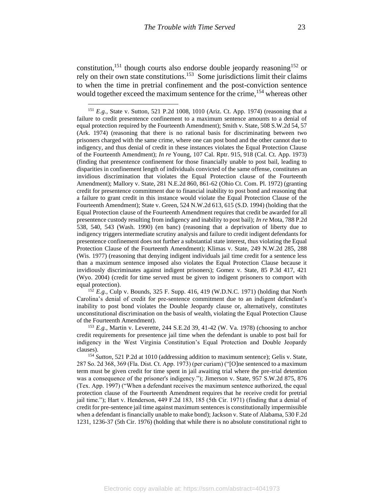constitution,<sup>151</sup> though courts also endorse double jeopardy reasoning<sup>152</sup> or rely on their own state constitutions.<sup>153</sup> Some jurisdictions limit their claims to when the time in pretrial confinement and the post-conviction sentence would together exceed the maximum sentence for the crime, <sup>154</sup> whereas other

<sup>152</sup> *E.g.,* Culp v. Bounds, 325 F. Supp. 416, 419 (W.D.N.C. 1971) (holding that North Carolina's denial of credit for pre-sentence commitment due to an indigent defendant's inability to post bond violates the Double Jeopardy clause or, alternatively, constitutes unconstitutional discrimination on the basis of wealth, violating the Equal Protection Clause of the Fourteenth Amendment).

<sup>153</sup> *E.g.,* Martin v. Leverette, 244 S.E.2d 39, 41-42 (W. Va. 1978) (choosing to anchor credit requirements for presentence jail time when the defendant is unable to post bail for indigency in the West Virginia Constitution's Equal Protection and Double Jeopardy clauses).

<sup>154</sup> Sutton, 521 P.2d at 1010 (addressing addition to maximum sentence); Gelis v. State, 287 So. 2d 368, 369 (Fla. Dist. Ct. App. 1973) (per curiam) ("[O]ne sentenced to a maximum term must be given credit for time spent in jail awaiting trial where the pre-trial detention was a consequence of the prisoner's indigency."); Jimerson v. State, 957 S.W.2d 875, 876 (Tex. App. 1997) ("When a defendant receives the maximum sentence authorized, the equal protection clause of the Fourteenth Amendment requires that he receive credit for pretrial jail time."); Hart v. Henderson, 449 F.2d 183, 185 (5th Cir. 1971) (finding that a denial of credit for pre-sentence jail time against maximum sentences is constitutionally impermissible when a defendant is financially unable to make bond); Jackson v. State of Alabama, 530 F.2d 1231, 1236-37 (5th Cir. 1976) (holding that while there is no absolute constitutional right to

<sup>151</sup> *E.g.,* State v. Sutton, 521 P.2d 1008, 1010 (Ariz. Ct. App. 1974) (reasoning that a failure to credit presentence confinement to a maximum sentence amounts to a denial of equal protection required by the Fourteenth Amendment); Smith v. State, 508 S.W.2d 54, 57 (Ark. 1974) (reasoning that there is no rational basis for discriminating between two prisoners charged with the same crime, where one can post bond and the other cannot due to indigency, and thus denial of credit in these instances violates the Equal Protection Clause of the Fourteenth Amendment); *In re* Young, 107 Cal. Rptr. 915, 918 (Cal. Ct. App. 1973) (finding that presentence confinement for those financially unable to post bail, leading to disparities in confinement length of individuals convicted of the same offense, constitutes an invidious discrimination that violates the Equal Protection clause of the Fourteenth Amendment); Mallory v. State, 281 N.E.2d 860, 861-62 (Ohio Ct. Com. Pl. 1972) (granting credit for presentence commitment due to financial inability to post bond and reasoning that a failure to grant credit in this instance would violate the Equal Protection Clause of the Fourteenth Amendment); State v. Green, 524 N.W.2d 613, 615 (S.D. 1994) (holding that the Equal Protection clause of the Fourteenth Amendment requires that credit be awarded for all presentence custody resulting from indigency and inability to post bail); *In re* Mota, 788 P.2d 538, 540, 543 (Wash. 1990) (en banc) (reasoning that a deprivation of liberty due to indigency triggers intermediate scrutiny analysis and failure to credit indigent defendants for presentence confinement does not further a substantial state interest, thus violating the Equal Protection Clause of the Fourteenth Amendment); Klimas v. State, 249 N.W.2d 285, 288 (Wis. 1977) (reasoning that denying indigent individuals jail time credit for a sentence less than a maximum sentence imposed also violates the Equal Protection Clause because it invidiously discriminates against indigent prisoners); Gomez v. State, 85 P.3d 417, 421 (Wyo. 2004) (credit for time served must be given to indigent prisoners to comport with equal protection).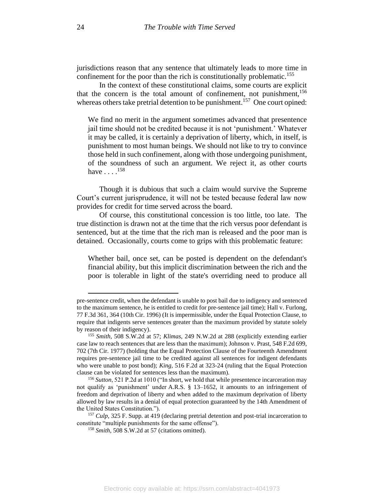jurisdictions reason that any sentence that ultimately leads to more time in confinement for the poor than the rich is constitutionally problematic.<sup>155</sup>

In the context of these constitutional claims, some courts are explicit that the concern is the total amount of confinement, not punishment,<sup>156</sup> whereas others take pretrial detention to be punishment.<sup>157</sup> One court opined:

We find no merit in the argument sometimes advanced that presentence jail time should not be credited because it is not 'punishment.' Whatever it may be called, it is certainly a deprivation of liberty, which, in itself, is punishment to most human beings. We should not like to try to convince those held in such confinement, along with those undergoing punishment, of the soundness of such an argument. We reject it, as other courts have  $\ldots$ .<sup>158</sup>

Though it is dubious that such a claim would survive the Supreme Court's current jurisprudence, it will not be tested because federal law now provides for credit for time served across the board.

Of course, this constitutional concession is too little, too late. The true distinction is drawn not at the time that the rich versus poor defendant is sentenced, but at the time that the rich man is released and the poor man is detained. Occasionally, courts come to grips with this problematic feature:

Whether bail, once set, can be posted is dependent on the defendant's financial ability, but this implicit discrimination between the rich and the poor is tolerable in light of the state's overriding need to produce all

pre-sentence credit, when the defendant is unable to post bail due to indigency and sentenced to the maximum sentence, he is entitled to credit for pre-sentence jail time); Hall v. Furlong, 77 F.3d 361, 364 (10th Cir. 1996) (It is impermissible, under the Equal Protection Clause, to require that indigents serve sentences greater than the maximum provided by statute solely by reason of their indigency).

<sup>155</sup> *Smith*, 508 S.W.2d at 57; *Klimas*, 249 N.W.2d at 288 (explicitly extending earlier case law to reach sentences that are less than the maximum); Johnson v. Prast, 548 F.2d 699, 702 (7th Cir. 1977) (holding that the Equal Protection Clause of the Fourteenth Amendment requires pre-sentence jail time to be credited against all sentences for indigent defendants who were unable to post bond); *King*, 516 F.2d at 323-24 (ruling that the Equal Protection clause can be violated for sentences less than the maximum).

<sup>156</sup> *Sutton*, 521 P.2d at 1010 ("In short, we hold that while presentence incarceration may not qualify as 'punishment' under A.R.S. § 13–1652, it amounts to an infringement of freedom and deprivation of liberty and when added to the maximum deprivation of liberty allowed by law results in a denial of equal protection guaranteed by the 14th Amendment of the United States Constitution.").

<sup>157</sup> *Culp*, 325 F. Supp. at 419 (declaring pretrial detention and post-trial incarceration to constitute "multiple punishments for the same offense").

<sup>158</sup> *Smith*, 508 S.W.2d at 57 (citations omitted).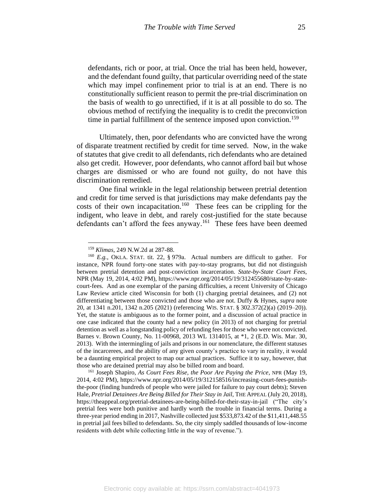defendants, rich or poor, at trial. Once the trial has been held, however, and the defendant found guilty, that particular overriding need of the state which may impel confinement prior to trial is at an end. There is no constitutionally sufficient reason to permit the pre-trial discrimination on the basis of wealth to go unrectified, if it is at all possible to do so. The obvious method of rectifying the inequality is to credit the preconviction time in partial fulfillment of the sentence imposed upon conviction.<sup>159</sup>

Ultimately, then, poor defendants who are convicted have the wrong of disparate treatment rectified by credit for time served. Now, in the wake of statutes that give credit to all defendants, rich defendants who are detained also get credit. However, poor defendants, who cannot afford bail but whose charges are dismissed or who are found not guilty, do not have this discrimination remedied.

One final wrinkle in the legal relationship between pretrial detention and credit for time served is that jurisdictions may make defendants pay the costs of their own incapacitation.<sup>160</sup> These fees can be crippling for the indigent, who leave in debt, and rarely cost-justified for the state because defendants can't afford the fees anyway.<sup>161</sup> These fees have been deemed

<sup>159</sup> *Klimas*, 249 N.W.2d at 287-88.

<sup>160</sup> *E.g.*, OKLA. STAT. tit. 22, § 979a. Actual numbers are difficult to gather. For instance, NPR found forty-one states with pay-to-stay programs, but did not distinguish between pretrial detention and post-conviction incarceration. *State-by-State Court Fees*, NPR (May 19, 2014, 4:02 PM), https://www.npr.org/2014/05/19/312455680/state-by-statecourt-fees. And as one exemplar of the parsing difficulties, a recent University of Chicago Law Review article cited Wisconsin for both (1) charging pretrial detainees, and (2) not differentiating between those convicted and those who are not. Duffy & Hynes, *supra* note 20, at 1341 n.201, 1342 n.205 (2021) (referencing WIS. STAT. § 302.372(2)(a) (2019–20)). Yet, the statute is ambiguous as to the former point, and a discussion of actual practice in one case indicated that the county had a new policy (in 2013) of not charging for pretrial detention as well as a longstanding policy of refunding fees for those who were not convicted. Barnes v. Brown County, No. 11-00968, 2013 WL 1314015, at \*1, 2 (E.D. Wis. Mar. 30, 2013). With the intermingling of jails and prisons in our nomenclature, the different statuses of the incarcerees, and the ability of any given county's practice to vary in reality, it would be a daunting empirical project to map our actual practices. Suffice it to say, however, that those who are detained pretrial may also be billed room and board.

<sup>161</sup> Joseph Shapiro, *As Court Fees Rise, the Poor Are Paying the Price*, NPR (May 19, 2014, 4:02 PM), https://www.npr.org/2014/05/19/312158516/increasing-court-fees-punishthe-poor (finding hundreds of people who were jailed for failure to pay court debts); Steven Hale, *Pretrial Detainees Are Being Billed for Their Stay in Jail*, THE APPEAL (July 20, 2018), https://theappeal.org/pretrial-detainees-are-being-billed-for-their-stay-in-jail ("The city's pretrial fees were both punitive and hardly worth the trouble in financial terms. During a three-year period ending in 2017, Nashville collected just \$533,873.42 of the \$11,411,448.55 in pretrial jail fees billed to defendants. So, the city simply saddled thousands of low-income residents with debt while collecting little in the way of revenue.").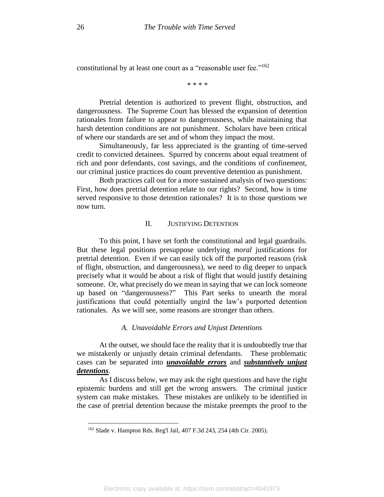constitutional by at least one court as a "reasonable user fee."<sup>162</sup>

\* \* \* \*

Pretrial detention is authorized to prevent flight, obstruction, and dangerousness. The Supreme Court has blessed the expansion of detention rationales from failure to appear to dangerousness, while maintaining that harsh detention conditions are not punishment. Scholars have been critical of where our standards are set and of whom they impact the most.

Simultaneously, far less appreciated is the granting of time-served credit to convicted detainees. Spurred by concerns about equal treatment of rich and poor defendants, cost savings, and the conditions of confinement, our criminal justice practices do count preventive detention as punishment.

Both practices call out for a more sustained analysis of two questions: First, how does pretrial detention relate to our rights? Second, how is time served responsive to those detention rationales? It is to those questions we now turn.

## II. JUSTIFYING DETENTION

To this point, I have set forth the constitutional and legal guardrails. But these legal positions presuppose underlying *moral* justifications for pretrial detention. Even if we can easily tick off the purported reasons (risk of flight, obstruction, and dangerousness), we need to dig deeper to unpack precisely what it would be about a risk of flight that would justify detaining someone. Or, what precisely do we mean in saying that we can lock someone up based on "dangerousness?" This Part seeks to unearth the moral justifications that could potentially ungird the law's purported detention rationales. As we will see, some reasons are stronger than others.

# *A. Unavoidable Errors and Unjust Detentions*

At the outset, we should face the reality that it is undoubtedly true that we mistakenly or unjustly detain criminal defendants. These problematic cases can be separated into *unavoidable errors* and *substantively unjust detentions*.

As I discuss below, we may ask the right questions and have the right epistemic burdens and still get the wrong answers. The criminal justice system can make mistakes. These mistakes are unlikely to be identified in the case of pretrial detention because the mistake preempts the proof to the

<sup>162</sup> Slade v. Hampton Rds. Reg'l Jail, 407 F.3d 243, 254 (4th Cir. 2005).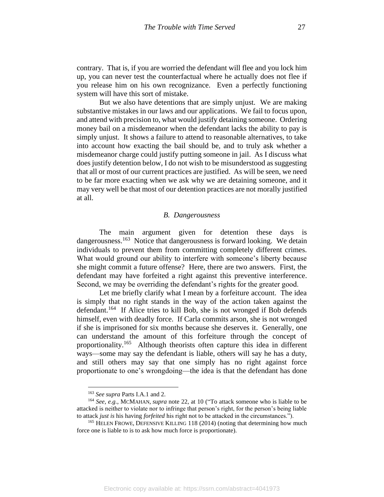contrary. That is, if you are worried the defendant will flee and you lock him up, you can never test the counterfactual where he actually does not flee if you release him on his own recognizance. Even a perfectly functioning system will have this sort of mistake.

But we also have detentions that are simply unjust. We are making substantive mistakes in our laws and our applications. We fail to focus upon, and attend with precision to, what would justify detaining someone. Ordering money bail on a misdemeanor when the defendant lacks the ability to pay is simply unjust. It shows a failure to attend to reasonable alternatives, to take into account how exacting the bail should be, and to truly ask whether a misdemeanor charge could justify putting someone in jail. As I discuss what does justify detention below, I do not wish to be misunderstood as suggesting that all or most of our current practices are justified. As will be seen, we need to be far more exacting when we ask why we are detaining someone, and it may very well be that most of our detention practices are not morally justified at all.

#### *B. Dangerousness*

The main argument given for detention these days is dangerousness.<sup>163</sup> Notice that dangerousness is forward looking. We detain individuals to prevent them from committing completely different crimes. What would ground our ability to interfere with someone's liberty because she might commit a future offense? Here, there are two answers. First, the defendant may have forfeited a right against this preventive interference. Second, we may be overriding the defendant's rights for the greater good.

Let me briefly clarify what I mean by a forfeiture account. The idea is simply that no right stands in the way of the action taken against the defendant.<sup>164</sup> If Alice tries to kill Bob, she is not wronged if Bob defends himself, even with deadly force. If Carla commits arson, she is not wronged if she is imprisoned for six months because she deserves it. Generally, one can understand the amount of this forfeiture through the concept of proportionality.<sup>165</sup> Although theorists often capture this idea in different ways—some may say the defendant is liable, others will say he has a duty, and still others may say that one simply has no right against force proportionate to one's wrongdoing—the idea is that the defendant has done

<span id="page-27-0"></span><sup>163</sup> *See supra* Parts I.A.1 and 2.

<sup>164</sup> *See, e.g.*, MCMAHAN, *supra* note [22,](#page-7-0) at 10 ("To attack someone who is liable to be attacked is neither to violate nor to infringe that person's right, for the person's being liable to attack *just is* his having *forfeited* his right not to be attacked in the circumstances.").

<sup>&</sup>lt;sup>165</sup> HELEN FROWE, DEFENSIVE KILLING 118 (2014) (noting that determining how much force one is liable to is to ask how much force is proportionate).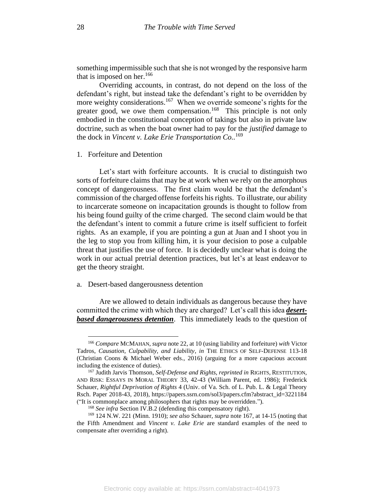<span id="page-28-1"></span>something impermissible such that she is not wronged by the responsive harm that is imposed on her. 166

<span id="page-28-0"></span>Overriding accounts, in contrast, do not depend on the loss of the defendant's right, but instead take the defendant's right to be overridden by more weighty considerations.<sup>167</sup> When we override someone's rights for the greater good, we owe them compensation.<sup>168</sup> This principle is not only embodied in the constitutional conception of takings but also in private law doctrine, such as when the boat owner had to pay for the *justified* damage to the dock in *Vincent v. Lake Erie Transportation Co..* 169

#### 1. Forfeiture and Detention

Let's start with forfeiture accounts. It is crucial to distinguish two sorts of forfeiture claims that may be at work when we rely on the amorphous concept of dangerousness. The first claim would be that the defendant's commission of the charged offense forfeits his rights. To illustrate, our ability to incarcerate someone on incapacitation grounds is thought to follow from his being found guilty of the crime charged. The second claim would be that the defendant's intent to commit a future crime is itself sufficient to forfeit rights. As an example, if you are pointing a gun at Juan and I shoot you in the leg to stop you from killing him, it is your decision to pose a culpable threat that justifies the use of force. It is decidedly unclear what is doing the work in our actual pretrial detention practices, but let's at least endeavor to get the theory straight.

## a. Desert-based dangerousness detention

Are we allowed to detain individuals as dangerous because they have committed the crime with which they are charged? Let's call this idea *desertbased dangerousness detention*. This immediately leads to the question of

<sup>166</sup> *Compare* MCMAHAN, *supra* not[e 22,](#page-7-0) at 10 (using liability and forfeiture) *with* Victor Tadros, *Causation, Culpability, and Liability*, *in* THE ETHICS OF SELF-DEFENSE 113-18 (Christian Coons & Michael Weber eds., 2016) (arguing for a more capacious account including the existence of duties).

<sup>167</sup> Judith Jarvis Thomson, *Self-Defense and Rights*, *reprinted in* RIGHTS, RESTITUTION, AND RISK: ESSAYS IN MORAL THEORY 33, 42-43 (William Parent, ed. 1986); Frederick Schauer, *Rightful Deprivation of Rights* 4 (Univ. of Va. Sch. of L. Pub. L. & Legal Theory Rsch. Paper 2018-43, 2018), https://papers.ssrn.com/sol3/papers.cfm?abstract\_id=3221184 ("It is commonplace among philosophers that rights may be overridden.").

<sup>168</sup> *See infra* Section IV.B.2 (defending this compensatory right).

<sup>169</sup> 124 N.W. 221 (Minn. 1910); *see also* Schauer, *supra* not[e 167,](#page-28-0) at 14-15 (noting that the Fifth Amendment and *Vincent v. Lake Erie* are standard examples of the need to compensate after overriding a right).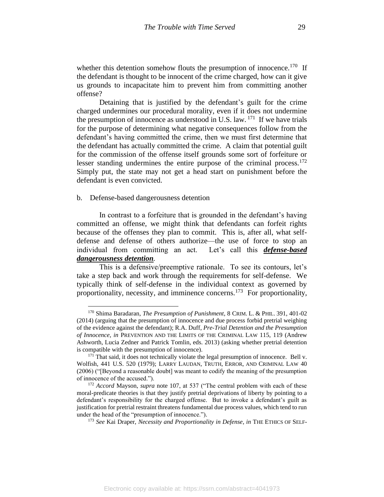whether this detention somehow flouts the presumption of innocence.<sup>170</sup> If the defendant is thought to be innocent of the crime charged, how can it give us grounds to incapacitate him to prevent him from committing another offense?

Detaining that is justified by the defendant's guilt for the crime charged undermines our procedural morality, even if it does not undermine the presumption of innocence as understood in U.S. law.  $171$  If we have trials for the purpose of determining what negative consequences follow from the defendant's having committed the crime, then we must first determine that the defendant has actually committed the crime. A claim that potential guilt for the commission of the offense itself grounds some sort of forfeiture or lesser standing undermines the entire purpose of the criminal process.<sup>172</sup> Simply put, the state may not get a head start on punishment before the defendant is even convicted.

b. Defense-based dangerousness detention

In contrast to a forfeiture that is grounded in the defendant's having committed an offense, we might think that defendants can forfeit rights because of the offenses they plan to commit. This is, after all, what selfdefense and defense of others authorize—the use of force to stop an individual from committing an act. Let's call this *defense-based dangerousness detention.*

This is a defensive/preemptive rationale. To see its contours, let's take a step back and work through the requirements for self-defense. We typically think of self-defense in the individual context as governed by proportionality, necessity, and imminence concerns.<sup>173</sup> For proportionality,

<span id="page-29-0"></span><sup>170</sup> Shima Baradaran, *The Presumption of Punishment*, 8 CRIM. L. & PHIL. 391, 401-02 (2014) (arguing that the presumption of innocence and due process forbid pretrial weighing of the evidence against the defendant); R.A. Duff, *Pre-Trial Detention and the Presumption of Innocence*, *in* PREVENTION AND THE LIMITS OF THE CRIMINAL LAW 115, 119 (Andrew Ashworth, Lucia Zedner and Patrick Tomlin, eds. 2013) (asking whether pretrial detention is compatible with the presumption of innocence).

 $171$  That said, it does not technically violate the legal presumption of innocence. Bell v. Wolfish, 441 U.S. 520 (1979); LARRY LAUDAN, TRUTH, ERROR, AND CRIMINAL LAW 40 (2006) ("[Beyond a reasonable doubt] was meant to codify the meaning of the presumption of innocence of the accused.").

<sup>172</sup> *Accord* Mayson, *supra* note 107, at 537 ("The central problem with each of these moral-predicate theories is that they justify pretrial deprivations of liberty by pointing to a defendant's responsibility for the charged offense. But to invoke a defendant's guilt as justification for pretrial restraint threatens fundamental due process values, which tend to run under the head of the "presumption of innocence.").

<sup>173</sup> *See* Kai Draper, *Necessity and Proportionality in Defense*, *in* THE ETHICS OF SELF-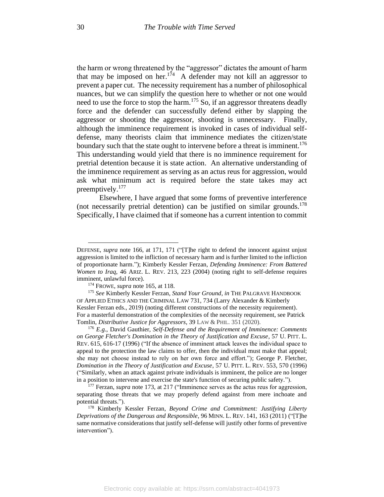the harm or wrong threatened by the "aggressor" dictates the amount of harm that may be imposed on her.<sup>174</sup> A defender may not kill an aggressor to prevent a paper cut. The necessity requirement has a number of philosophical nuances, but we can simplify the question here to whether or not one would need to use the force to stop the harm.<sup>175</sup> So, if an aggressor threatens deadly force and the defender can successfully defend either by slapping the aggressor or shooting the aggressor, shooting is unnecessary. Finally, although the imminence requirement is invoked in cases of individual selfdefense, many theorists claim that imminence mediates the citizen/state boundary such that the state ought to intervene before a threat is imminent.<sup>176</sup> This understanding would yield that there is no imminence requirement for pretrial detention because it is state action. An alternative understanding of the imminence requirement as serving as an actus reus for aggression, would ask what minimum act is required before the state takes may act preemptively. 177

Elsewhere, I have argued that some forms of preventive interference (not necessarily pretrial detention) can be justified on similar grounds.<sup>178</sup> Specifically, I have claimed that if someone has a current intention to commit

DEFENSE, *supra* note [166,](#page-28-1) at 171, 171 ("[T]he right to defend the innocent against unjust aggression is limited to the infliction of necessary harm and is further limited to the infliction of proportionate harm."); Kimberly Kessler Ferzan, *Defending Imminence: From Battered Women to Iraq*, 46 ARIZ. L. REV. 213, 223 (2004) (noting right to self-defense requires imminent, unlawful force).

<sup>174</sup> FROWE, *supra* note [165,](#page-27-0) at 118.

<sup>175</sup> *See* Kimberly Kessler Ferzan, *Stand Your Ground*, *in* THE PALGRAVE HANDBOOK OF APPLIED ETHICS AND THE CRIMINAL LAW 731, 734 (Larry Alexander & Kimberly Kessler Ferzan eds., 2019) (noting different constructions of the necessity requirement). For a masterful demonstration of the complexities of the necessity requirement, see Patrick Tomlin, *Distributive Justice for Aggressors*, 39 LAW & PHIL. 351 (2020).

<sup>176</sup> *E.g.*, David Gauthier, *Self-Defense and the Requirement of Imminence: Comments on George Fletcher's Domination in the Theory of Justification and Excuse*, 57 U. PITT. L. REV. 615, 616-17 (1996) ("If the absence of imminent attack leaves the individual space to appeal to the protection the law claims to offer, then the individual must make that appeal; she may not choose instead to rely on her own force and effort."); George P. Fletcher, *Domination in the Theory of Justification and Excuse*, 57 U. PITT. L. REV. 553, 570 (1996) ("Similarly, when an attack against private individuals is imminent, the police are no longer in a position to intervene and exercise the state's function of securing public safety.").

<sup>&</sup>lt;sup>177</sup> Ferzan, *supra* not[e 173,](#page-29-0) at 217 ("Imminence serves as the actus reus for aggression, separating those threats that we may properly defend against from mere inchoate and potential threats.").

<sup>178</sup> Kimberly Kessler Ferzan, *Beyond Crime and Commitment: Justifying Liberty Deprivations of the Dangerous and Responsible*, 96 MINN. L. REV. 141, 163 (2011) ("[T]he same normative considerations that justify self-defense will justify other forms of preventive intervention").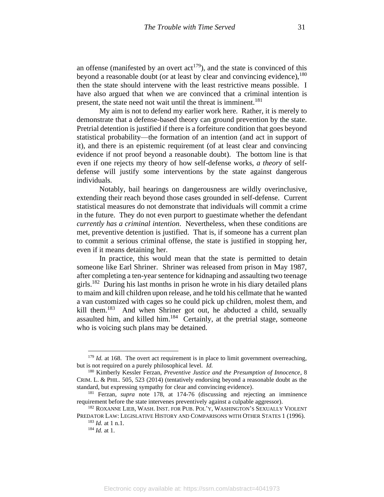an offense (manifested by an overt  $act^{179}$ ), and the state is convinced of this beyond a reasonable doubt (or at least by clear and convincing evidence),  $180$ then the state should intervene with the least restrictive means possible. I have also argued that when we are convinced that a criminal intention is present, the state need not wait until the threat is imminent.<sup>181</sup>

My aim is not to defend my earlier work here. Rather, it is merely to demonstrate that a defense-based theory can ground prevention by the state. Pretrial detention is justified if there is a forfeiture condition that goes beyond statistical probability—the formation of an intention (and act in support of it), and there is an epistemic requirement (of at least clear and convincing evidence if not proof beyond a reasonable doubt). The bottom line is that even if one rejects my theory of how self-defense works, *a theory* of selfdefense will justify some interventions by the state against dangerous individuals.

Notably, bail hearings on dangerousness are wildly overinclusive, extending their reach beyond those cases grounded in self-defense. Current statistical measures do not demonstrate that individuals will commit a crime in the future. They do not even purport to guestimate whether the defendant *currently has a criminal intention*. Nevertheless, when these conditions are met, preventive detention is justified. That is, if someone has a current plan to commit a serious criminal offense, the state is justified in stopping her, even if it means detaining her.

In practice, this would mean that the state is permitted to detain someone like Earl Shriner. Shriner was released from prison in May 1987, after completing a ten-year sentence for kidnaping and assaulting two teenage girls.<sup>182</sup> During his last months in prison he wrote in his diary detailed plans to maim and kill children upon release, and he told his cellmate that he wanted a van customized with cages so he could pick up children, molest them, and kill them.<sup>183</sup> And when Shriner got out, he abducted a child, sexually assaulted him, and killed him.<sup>184</sup> Certainly, at the pretrial stage, someone who is voicing such plans may be detained.

<sup>&</sup>lt;sup>179</sup> *Id.* at 168. The overt act requirement is in place to limit government overreaching, but is not required on a purely philosophical level. *Id.*

<sup>180</sup> Kimberly Kessler Ferzan, *Preventive Justice and the Presumption of Innocence*, 8 CRIM. L. & PHIL. 505, 523 (2014) (tentatively endorsing beyond a reasonable doubt as the standard, but expressing sympathy for clear and convincing evidence).

<sup>181</sup> Ferzan*, supra* note 178, at 174-76 (discussing and rejecting an imminence requirement before the state intervenes preventively against a culpable aggressor).

<sup>&</sup>lt;sup>182</sup> ROXANNE LIEB, WASH. INST. FOR PUB. POL'Y, WASHINGTON'S SEXUALLY VIOLENT PREDATOR LAW: LEGISLATIVE HISTORY AND COMPARISONS WITH OTHER STATES 1 (1996). <sup>183</sup> *Id.* at 1 n.1.

<sup>184</sup> *Id.* at 1.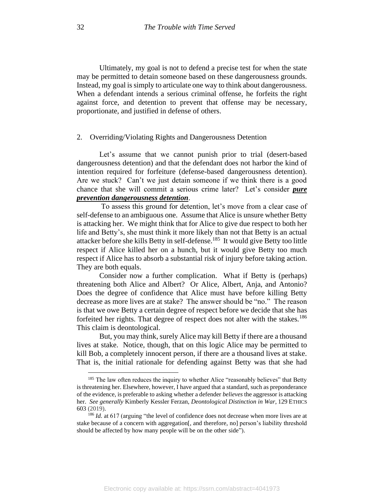Ultimately, my goal is not to defend a precise test for when the state may be permitted to detain someone based on these dangerousness grounds. Instead, my goal is simply to articulate one way to think about dangerousness. When a defendant intends a serious criminal offense, he forfeits the right against force, and detention to prevent that offense may be necessary, proportionate, and justified in defense of others.

### 2. Overriding/Violating Rights and Dangerousness Detention

Let's assume that we cannot punish prior to trial (desert-based dangerousness detention) and that the defendant does not harbor the kind of intention required for forfeiture (defense-based dangerousness detention). Are we stuck? Can't we just detain someone if we think there is a good chance that she will commit a serious crime later? Let's consider *pure prevention dangerousness detention*.

To assess this ground for detention, let's move from a clear case of self-defense to an ambiguous one. Assume that Alice is unsure whether Betty is attacking her. We might think that for Alice to give due respect to both her life and Betty's, she must think it more likely than not that Betty is an actual attacker before she kills Betty in self-defense. 185 It would give Betty too little respect if Alice killed her on a hunch, but it would give Betty too much respect if Alice has to absorb a substantial risk of injury before taking action. They are both equals.

Consider now a further complication. What if Betty is (perhaps) threatening both Alice and Albert? Or Alice, Albert, Anja, and Antonio? Does the degree of confidence that Alice must have before killing Betty decrease as more lives are at stake? The answer should be "no." The reason is that we owe Betty a certain degree of respect before we decide that she has forfeited her rights. That degree of respect does not alter with the stakes.<sup>186</sup> This claim is deontological.

But, you may think, surely Alice may kill Betty if there are a thousand lives at stake. Notice, though, that on this logic Alice may be permitted to kill Bob, a completely innocent person, if there are a thousand lives at stake. That is, the initial rationale for defending against Betty was that she had

<sup>&</sup>lt;sup>185</sup> The law often reduces the inquiry to whether Alice "reasonably believes" that Betty is threatening her. Elsewhere, however, I have argued that a standard, such as preponderance of the evidence, is preferable to asking whether a defender *believes* the aggressor is attacking her. *See generally* Kimberly Kessler Ferzan, *Deontological Distinction in War*, 129 ETHICS 603 (2019).

<sup>&</sup>lt;sup>186</sup> *Id.* at 617 (arguing "the level of confidence does not decrease when more lives are at stake because of a concern with aggregation<sup>[</sup>, and therefore, no] person's liability threshold should be affected by how many people will be on the other side").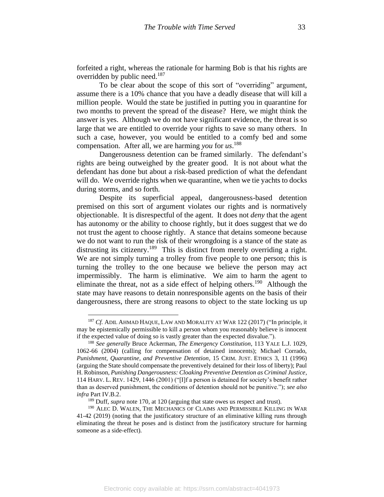forfeited a right, whereas the rationale for harming Bob is that his rights are overridden by public need.<sup>187</sup>

To be clear about the scope of this sort of "overriding" argument, assume there is a 10% chance that you have a deadly disease that will kill a million people. Would the state be justified in putting you in quarantine for two months to prevent the spread of the disease? Here, we might think the answer is yes. Although we do not have significant evidence, the threat is so large that we are entitled to override your rights to save so many others. In such a case, however, you would be entitled to a comfy bed and some compensation. After all, we are harming *you* for *us*. 188

Dangerousness detention can be framed similarly. The defendant's rights are being outweighed by the greater good. It is not about what the defendant has done but about a risk-based prediction of what the defendant will do. We override rights when we quarantine, when we tie yachts to docks during storms, and so forth.

Despite its superficial appeal, dangerousness-based detention premised on this sort of argument violates our rights and is normatively objectionable. It is disrespectful of the agent. It does not *deny* that the agent has autonomy or the ability to choose rightly, but it does suggest that we do not trust the agent to choose rightly. A stance that detains someone because we do not want to run the risk of their wrongdoing is a stance of the state as distrusting its citizenry.<sup>189</sup> This is distinct from merely overriding a right. We are not simply turning a trolley from five people to one person; this is turning the trolley to the one because we believe the person may act impermissibly. The harm is eliminative. We aim to harm the agent to eliminate the threat, not as a side effect of helping others.<sup>190</sup> Although the state may have reasons to detain nonresponsible agents on the basis of their dangerousness, there are strong reasons to object to the state locking us up

<sup>&</sup>lt;sup>187</sup> *Cf.* ADIL AHMAD HAQUE, LAW AND MORALITY AT WAR 122 (2017) ("In principle, it may be epistemically permissible to kill a person whom you reasonably believe is innocent if the expected value of doing so is vastly greater than the expected disvalue.").

<sup>188</sup> *See generally* Bruce Ackerman, *The Emergency Constitution*, 113 YALE L.J. 1029, 1062-66 (2004) (calling for compensation of detained innocents); Michael Corrado, *Punishment, Quarantine, and Preventive Detention*, 15 CRIM. JUST. ETHICS 3, 11 (1996) (arguing the State should compensate the preventively detained for their loss of liberty); Paul H. Robinson, *Punishing Dangerousness: Cloaking Preventive Detention as Criminal Justice*, 114 HARV. L. REV. 1429, 1446 (2001) ("[I]f a person is detained for society's benefit rather than as deserved punishment, the conditions of detention should not be punitive."); *see also infra* Part IV.B.2.

<sup>189</sup> Duff, *supra* note 170, at 120 (arguing that state owes us respect and trust).

<sup>&</sup>lt;sup>190</sup> ALEC D. WALEN, THE MECHANICS OF CLAIMS AND PERMISSIBLE KILLING IN WAR 41-42 (2019) (noting that the justificatory structure of an eliminative killing runs through eliminating the threat he poses and is distinct from the justificatory structure for harming someone as a side-effect).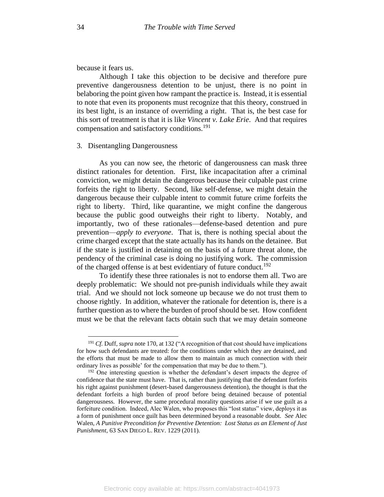because it fears us.

Although I take this objection to be decisive and therefore pure preventive dangerousness detention to be unjust, there is no point in belaboring the point given how rampant the practice is. Instead, it is essential to note that even its proponents must recognize that this theory, construed in its best light, is an instance of overriding a right. That is, the best case for this sort of treatment is that it is like *Vincent v. Lake Erie*. And that requires compensation and satisfactory conditions.<sup>191</sup>

## 3. Disentangling Dangerousness

As you can now see, the rhetoric of dangerousness can mask three distinct rationales for detention. First, like incapacitation after a criminal conviction, we might detain the dangerous because their culpable past crime forfeits the right to liberty. Second, like self-defense, we might detain the dangerous because their culpable intent to commit future crime forfeits the right to liberty. Third, like quarantine, we might confine the dangerous because the public good outweighs their right to liberty. Notably, and importantly, two of these rationales—defense-based detention and pure prevention—*apply to everyone*. That is, there is nothing special about the crime charged except that the state actually has its hands on the detainee. But if the state is justified in detaining on the basis of a future threat alone, the pendency of the criminal case is doing no justifying work. The commission of the charged offense is at best evidentiary of future conduct.<sup>192</sup>

To identify these three rationales is not to endorse them all. Two are deeply problematic: We should not pre-punish individuals while they await trial. And we should not lock someone up because we do not trust them to choose rightly. In addition, whatever the rationale for detention is, there is a further question as to where the burden of proof should be set. How confident must we be that the relevant facts obtain such that we may detain someone

<sup>&</sup>lt;sup>191</sup> *Cf.* Duff, *supra* note 170, at 132 ("A recognition of that cost should have implications for how such defendants are treated: for the conditions under which they are detained, and the efforts that must be made to allow them to maintain as much connection with their ordinary lives as possible' for the compensation that may be due to them.").

<sup>&</sup>lt;sup>192</sup> One interesting question is whether the defendant's desert impacts the degree of confidence that the state must have. That is, rather than justifying that the defendant forfeits his right against punishment (desert-based dangerousness detention), the thought is that the defendant forfeits a high burden of proof before being detained because of potential dangerousness. However, the same procedural morality questions arise if we use guilt as a forfeiture condition. Indeed, Alec Walen, who proposes this "lost status" view, deploys it as a form of punishment once guilt has been determined beyond a reasonable doubt. *See* Alec Walen, *A Punitive Precondition for Preventive Detention: Lost Status as an Element of Just Punishment*, 63 SAN DIEGO L. REV. 1229 (2011).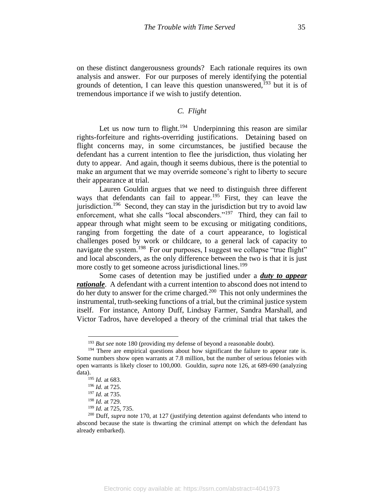on these distinct dangerousness grounds? Each rationale requires its own analysis and answer. For our purposes of merely identifying the potential grounds of detention, I can leave this question unanswered, $193$  but it is of tremendous importance if we wish to justify detention.

# *C. Flight*

Let us now turn to flight.<sup>194</sup> Underpinning this reason are similar rights-forfeiture and rights-overriding justifications. Detaining based on flight concerns may, in some circumstances, be justified because the defendant has a current intention to flee the jurisdiction, thus violating her duty to appear. And again, though it seems dubious, there is the potential to make an argument that we may override someone's right to liberty to secure their appearance at trial.

Lauren Gouldin argues that we need to distinguish three different ways that defendants can fail to appear.<sup>195</sup> First, they can leave the jurisdiction.<sup>196</sup> Second, they can stay in the jurisdiction but try to avoid law enforcement, what she calls "local absconders."<sup>197</sup> Third, they can fail to appear through what might seem to be excusing or mitigating conditions, ranging from forgetting the date of a court appearance, to logistical challenges posed by work or childcare, to a general lack of capacity to navigate the system.<sup>198</sup> For our purposes, I suggest we collapse "true flight" and local absconders, as the only difference between the two is that it is just more costly to get someone across jurisdictional lines.<sup>199</sup>

Some cases of detention may be justified under a *duty to appear rationale*. A defendant with a current intention to abscond does not intend to do her duty to answer for the crime charged.<sup>200</sup> This not only undermines the instrumental, truth-seeking functions of a trial, but the criminal justice system itself. For instance, Antony Duff, Lindsay Farmer, Sandra Marshall, and Victor Tadros, have developed a theory of the criminal trial that takes the

<sup>&</sup>lt;sup>193</sup> *But see* note 180 (providing my defense of beyond a reasonable doubt).

<sup>&</sup>lt;sup>194</sup> There are empirical questions about how significant the failure to appear rate is. Some numbers show open warrants at 7.8 million, but the number of serious felonies with open warrants is likely closer to 100,000. Gouldin, *supra* note 126, at 689-690 (analyzing data).

<sup>195</sup> *Id.* at 683.

<sup>196</sup> *Id.* at 725. <sup>197</sup> *Id.* at 735.

<sup>198</sup> *Id.* at 729.

<sup>199</sup> *Id.* at 725, 735.

<sup>200</sup> Duff, *supra* note 170, at 127 (justifying detention against defendants who intend to abscond because the state is thwarting the criminal attempt on which the defendant has already embarked).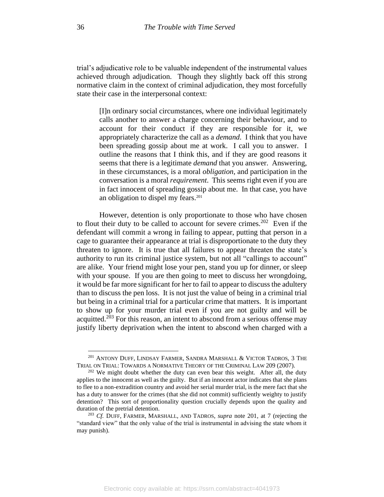trial's adjudicative role to be valuable independent of the instrumental values achieved through adjudication. Though they slightly back off this strong normative claim in the context of criminal adjudication, they most forcefully state their case in the interpersonal context:

[I]n ordinary social circumstances, where one individual legitimately calls another to answer a charge concerning their behaviour, and to account for their conduct if they are responsible for it, we appropriately characterize the call as a *demand*. I think that you have been spreading gossip about me at work. I call you to answer. I outline the reasons that I think this, and if they are good reasons it seems that there is a legitimate *demand* that you answer. Answering, in these circumstances, is a moral *obligation*, and participation in the conversation is a moral *requirement*. This seems right even if you are in fact innocent of spreading gossip about me. In that case, you have an obligation to dispel my fears.<sup>201</sup>

However, detention is only proportionate to those who have chosen to flout their duty to be called to account for severe crimes.<sup>202</sup> Even if the defendant will commit a wrong in failing to appear, putting that person in a cage to guarantee their appearance at trial is disproportionate to the duty they threaten to ignore. It is true that all failures to appear threaten the state's authority to run its criminal justice system, but not all "callings to account" are alike. Your friend might lose your pen, stand you up for dinner, or sleep with your spouse. If you are then going to meet to discuss her wrongdoing, it would be far more significant for her to fail to appear to discuss the adultery than to discuss the pen loss. It is not just the value of being in a criminal trial but being in a criminal trial for a particular crime that matters. It is important to show up for your murder trial even if you are not guilty and will be acquitted.<sup>203</sup> For this reason, an intent to abscond from a serious offense may justify liberty deprivation when the intent to abscond when charged with a

<sup>&</sup>lt;sup>201</sup> ANTONY DUFF, LINDSAY FARMER, SANDRA MARSHALL & VICTOR TADROS, 3 THE TRIAL ON TRIAL: TOWARDS A NORMATIVE THEORY OF THE CRIMINAL LAW 209 (2007).

 $202$  We might doubt whether the duty can even bear this weight. After all, the duty applies to the innocent as well as the guilty. But if an innocent actor indicates that she plans to flee to a non-extradition country and avoid her serial murder trial, is the mere fact that she has a duty to answer for the crimes (that she did not commit) sufficiently weighty to justify detention? This sort of proportionality question crucially depends upon the quality and duration of the pretrial detention.

<sup>203</sup> *Cf.* DUFF, FARMER, MARSHALL, AND TADROS, *supra* note 201, at 7 (rejecting the "standard view" that the only value of the trial is instrumental in advising the state whom it may punish).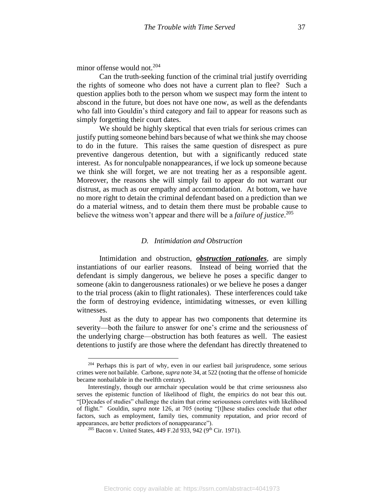minor offense would not.<sup>204</sup>

Can the truth-seeking function of the criminal trial justify overriding the rights of someone who does not have a current plan to flee? Such a question applies both to the person whom we suspect may form the intent to abscond in the future, but does not have one now, as well as the defendants who fall into Gouldin's third category and fail to appear for reasons such as simply forgetting their court dates.

We should be highly skeptical that even trials for serious crimes can justify putting someone behind bars because of what we think she may choose to do in the future. This raises the same question of disrespect as pure preventive dangerous detention, but with a significantly reduced state interest. As for nonculpable nonappearances, if we lock up someone because we think she will forget, we are not treating her as a responsible agent. Moreover, the reasons she will simply fail to appear do not warrant our distrust, as much as our empathy and accommodation. At bottom, we have no more right to detain the criminal defendant based on a prediction than we do a material witness, and to detain them there must be probable cause to believe the witness won't appear and there will be a *failure of justice*. 205

### *D. Intimidation and Obstruction*

Intimidation and obstruction, *obstruction rationales*, are simply instantiations of our earlier reasons. Instead of being worried that the defendant is simply dangerous, we believe he poses a specific danger to someone (akin to dangerousness rationales) or we believe he poses a danger to the trial process (akin to flight rationales). These interferences could take the form of destroying evidence, intimidating witnesses, or even killing witnesses.

Just as the duty to appear has two components that determine its severity—both the failure to answer for one's crime and the seriousness of the underlying charge—obstruction has both features as well. The easiest detentions to justify are those where the defendant has directly threatened to

<sup>&</sup>lt;sup>204</sup> Perhaps this is part of why, even in our earliest bail jurisprudence, some serious crimes were not bailable. Carbone, *supra* note 34, at 522 (noting that the offense of homicide became nonbailable in the twelfth century).

Interestingly, though our armchair speculation would be that crime seriousness also serves the epistemic function of likelihood of flight, the empirics do not bear this out. "[D]ecades of studies" challenge the claim that crime seriousness correlates with likelihood of flight." Gouldin, *supra* note 126, at 705 (noting "[t]hese studies conclude that other factors, such as employment, family ties, community reputation, and prior record of appearances, are better predictors of nonappearance").

 $205$  Bacon v. United States, 449 F.2d 933, 942 (9<sup>th</sup> Cir. 1971).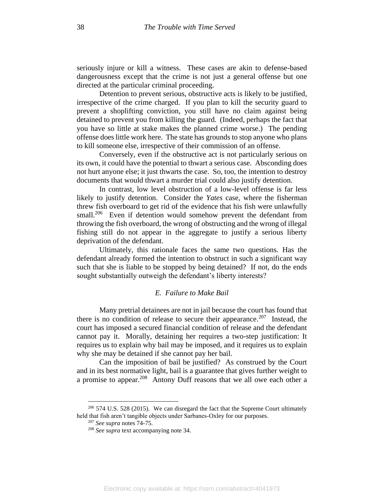seriously injure or kill a witness. These cases are akin to defense-based dangerousness except that the crime is not just a general offense but one directed at the particular criminal proceeding.

Detention to prevent serious, obstructive acts is likely to be justified, irrespective of the crime charged. If you plan to kill the security guard to prevent a shoplifting conviction, you still have no claim against being detained to prevent you from killing the guard. (Indeed, perhaps the fact that you have so little at stake makes the planned crime worse.) The pending offense does little work here. The state has grounds to stop anyone who plans to kill someone else, irrespective of their commission of an offense.

Conversely, even if the obstructive act is not particularly serious on its own, it could have the potential to thwart a serious case. Absconding does not hurt anyone else; it just thwarts the case. So, too, the intention to destroy documents that would thwart a murder trial could also justify detention.

In contrast, low level obstruction of a low-level offense is far less likely to justify detention. Consider the *Yates* case, where the fisherman threw fish overboard to get rid of the evidence that his fish were unlawfully small.<sup>206</sup> Even if detention would somehow prevent the defendant from throwing the fish overboard, the wrong of obstructing and the wrong of illegal fishing still do not appear in the aggregate to justify a serious liberty deprivation of the defendant.

Ultimately, this rationale faces the same two questions. Has the defendant already formed the intention to obstruct in such a significant way such that she is liable to be stopped by being detained? If not, do the ends sought substantially outweigh the defendant's liberty interests?

# *E. Failure to Make Bail*

Many pretrial detainees are not in jail because the court has found that there is no condition of release to secure their appearance.<sup>207</sup> Instead, the court has imposed a secured financial condition of release and the defendant cannot pay it. Morally, detaining her requires a two-step justification: It requires us to explain why bail may be imposed, and it requires us to explain why she may be detained if she cannot pay her bail.

Can the imposition of bail be justified? As construed by the Court and in its best normative light, bail is a guarantee that gives further weight to a promise to appear.<sup>208</sup> Antony Duff reasons that we all owe each other a

 $206$  574 U.S. 528 (2015). We can disregard the fact that the Supreme Court ultimately held that fish aren't tangible objects under Sarbanes-Oxley for our purposes.

<sup>207</sup> *See supra* notes 74-75.

<sup>208</sup> *See supra* text accompanying note 34.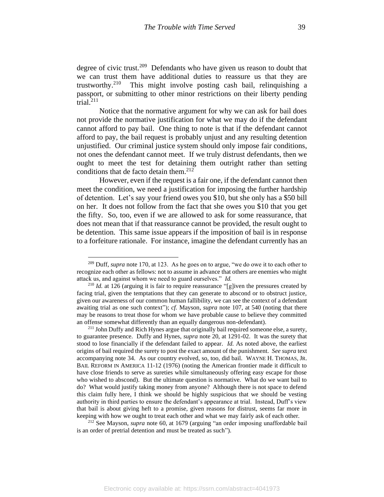degree of civic trust.<sup>209</sup> Defendants who have given us reason to doubt that we can trust them have additional duties to reassure us that they are trustworthy.<sup>210</sup> This might involve posting cash bail, relinquishing a passport, or submitting to other minor restrictions on their liberty pending trial. 211

Notice that the normative argument for why we can ask for bail does not provide the normative justification for what we may do if the defendant cannot afford to pay bail. One thing to note is that if the defendant cannot afford to pay, the bail request is probably unjust and any resulting detention unjustified. Our criminal justice system should only impose fair conditions, not ones the defendant cannot meet. If we truly distrust defendants, then we ought to meet the test for detaining them outright rather than setting conditions that de facto detain them.<sup>212</sup>

However, even if the request is a fair one, if the defendant cannot then meet the condition, we need a justification for imposing the further hardship of detention. Let's say your friend owes you \$10, but she only has a \$50 bill on her. It does not follow from the fact that she owes you \$10 that you get the fifty. So, too, even if we are allowed to ask for some reassurance, that does not mean that if that reassurance cannot be provided, the result ought to be detention. This same issue appears if the imposition of bail is in response to a forfeiture rationale. For instance, imagine the defendant currently has an

<sup>212</sup> See Mayson, *supra* note 60, at 1679 (arguing "an order imposing unaffordable bail is an order of pretrial detention and must be treated as such").

<sup>209</sup> Duff, *supra* note 170, at 123. As he goes on to argue, "we do owe it to each other to recognize each other as fellows: not to assume in advance that others are enemies who might attack us, and against whom we need to guard ourselves." *Id.*

<sup>&</sup>lt;sup>210</sup> *Id.* at 126 (arguing it is fair to require reassurance "[g]iven the pressures created by facing trial, given the temptations that they can generate to abscond or to obstruct justice, given our awareness of our common human fallibility, we can see the context of a defendant awaiting trial as one such context"); *cf.* Mayson, *supra* note 107, at 540 (noting that there may be reasons to treat those for whom we have probable cause to believe they committed an offense somewhat differently than an equally dangerous non-defendant).

<sup>&</sup>lt;sup>211</sup> John Duffy and Rich Hynes argue that originally bail required someone else, a surety, to guarantee presence. Duffy and Hynes, *supra* note 20, at 1291-02. It was the surety that stood to lose financially if the defendant failed to appear. *Id.* As noted above, the earliest origins of bail required the surety to post the exact amount of the punishment. *See supra* text accompanying note 34. As our country evolved, so, too, did bail. WAYNE H. THOMAS, JR. BAIL REFORM IN AMERICA 11-12 (1976) (noting the American frontier made it difficult to have close friends to serve as sureties while simultaneously offering easy escape for those who wished to abscond). But the ultimate question is normative. What do we want bail to do? What would justify taking money from anyone? Although there is not space to defend this claim fully here, I think we should be highly suspicious that we should be vesting authority in third parties to ensure the defendant's appearance at trial. Instead, Duff's view that bail is about giving heft to a promise, given reasons for distrust, seems far more in keeping with how we ought to treat each other and what we may fairly ask of each other.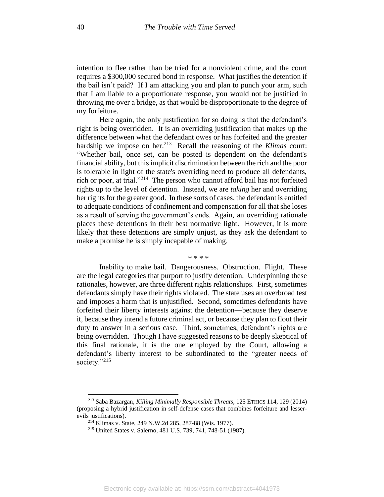intention to flee rather than be tried for a nonviolent crime, and the court requires a \$300,000 secured bond in response. What justifies the detention if the bail isn't paid? If I am attacking you and plan to punch your arm, such that I am liable to a proportionate response, you would not be justified in throwing me over a bridge, as that would be disproportionate to the degree of my forfeiture.

Here again, the only justification for so doing is that the defendant's right is being overridden. It is an overriding justification that makes up the difference between what the defendant owes or has forfeited and the greater hardship we impose on her.<sup>213</sup> Recall the reasoning of the *Klimas* court: "Whether bail, once set, can be posted is dependent on the defendant's financial ability, but this implicit discrimination between the rich and the poor is tolerable in light of the state's overriding need to produce all defendants, rich or poor, at trial."<sup>214</sup> The person who cannot afford bail has not forfeited rights up to the level of detention. Instead, we are *taking* her and overriding her rights for the greater good. In these sorts of cases, the defendant is entitled to adequate conditions of confinement and compensation for all that she loses as a result of serving the government's ends. Again, an overriding rationale places these detentions in their best normative light. However, it is more likely that these detentions are simply unjust, as they ask the defendant to make a promise he is simply incapable of making.

\* \* \* \*

Inability to make bail. Dangerousness. Obstruction. Flight. These are the legal categories that purport to justify detention. Underpinning these rationales, however, are three different rights relationships. First, sometimes defendants simply have their rights violated. The state uses an overbroad test and imposes a harm that is unjustified. Second, sometimes defendants have forfeited their liberty interests against the detention—because they deserve it, because they intend a future criminal act, or because they plan to flout their duty to answer in a serious case. Third, sometimes, defendant's rights are being overridden. Though I have suggested reasons to be deeply skeptical of this final rationale, it is the one employed by the Court, allowing a defendant's liberty interest to be subordinated to the "greater needs of society."<sup>215</sup>

<sup>213</sup> Saba Bazargan, *Killing Minimally Responsible Threats*, 125 ETHICS 114, 129 (2014) (proposing a hybrid justification in self-defense cases that combines forfeiture and lesserevils justifications).

<sup>214</sup> Klimas v. State, 249 N.W.2d 285, 287-88 (Wis. 1977).

<sup>215</sup> United States v. Salerno, 481 U.S. 739, 741, 748-51 (1987).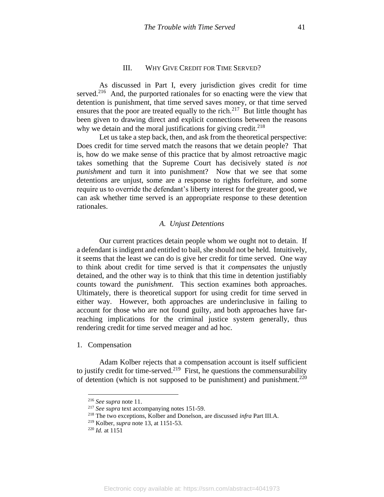#### III. WHY GIVE CREDIT FOR TIME SERVED?

As discussed in Part I, every jurisdiction gives credit for time served.<sup>216</sup> And, the purported rationales for so enacting were the view that detention is punishment, that time served saves money, or that time served ensures that the poor are treated equally to the rich.<sup>217</sup> But little thought has been given to drawing direct and explicit connections between the reasons why we detain and the moral justifications for giving credit.<sup>218</sup>

Let us take a step back, then, and ask from the theoretical perspective: Does credit for time served match the reasons that we detain people? That is, how do we make sense of this practice that by almost retroactive magic takes something that the Supreme Court has decisively stated *is not punishment* and turn it into punishment? Now that we see that some detentions are unjust, some are a response to rights forfeiture, and some require us to override the defendant's liberty interest for the greater good, we can ask whether time served is an appropriate response to these detention rationales.

## *A. Unjust Detentions*

Our current practices detain people whom we ought not to detain. If a defendant is indigent and entitled to bail, she should not be held. Intuitively, it seems that the least we can do is give her credit for time served. One way to think about credit for time served is that it *compensates* the unjustly detained, and the other way is to think that this time in detention justifiably counts toward the *punishment*. This section examines both approaches. Ultimately, there is theoretical support for using credit for time served in either way. However, both approaches are underinclusive in failing to account for those who are not found guilty, and both approaches have farreaching implications for the criminal justice system generally, thus rendering credit for time served meager and ad hoc.

1. Compensation

Adam Kolber rejects that a compensation account is itself sufficient to justify credit for time-served.<sup>219</sup> First, he questions the commensurability of detention (which is not supposed to be punishment) and punishment.<sup>220</sup>

<sup>216</sup> *See supra* note 11.

<sup>217</sup> *See supra* text accompanying notes 151-59.

<sup>218</sup> The two exceptions, Kolber and Donelson, are discussed *infra* Part III.A.

<sup>219</sup> Kolber, *supra* note 13, at 1151-53.

 $^{220}$  *Id.* at 1151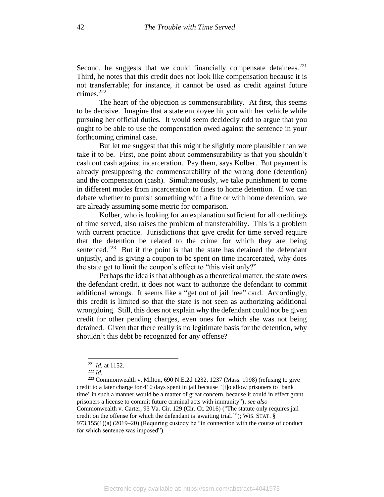Second, he suggests that we could financially compensate detainees.<sup>221</sup> Third, he notes that this credit does not look like compensation because it is not transferrable; for instance, it cannot be used as credit against future crimes.<sup>222</sup>

The heart of the objection is commensurability. At first, this seems to be decisive. Imagine that a state employee hit you with her vehicle while pursuing her official duties. It would seem decidedly odd to argue that you ought to be able to use the compensation owed against the sentence in your forthcoming criminal case.

But let me suggest that this might be slightly more plausible than we take it to be. First, one point about commensurability is that you shouldn't cash out cash against incarceration. Pay them, says Kolber. But payment is already presupposing the commensurability of the wrong done (detention) and the compensation (cash). Simultaneously, we take punishment to come in different modes from incarceration to fines to home detention. If we can debate whether to punish something with a fine or with home detention, we are already assuming some metric for comparison.

Kolber, who is looking for an explanation sufficient for all creditings of time served, also raises the problem of transferability. This is a problem with current practice. Jurisdictions that give credit for time served require that the detention be related to the crime for which they are being sentenced.<sup>223</sup> But if the point is that the state has detained the defendant unjustly, and is giving a coupon to be spent on time incarcerated, why does the state get to limit the coupon's effect to "this visit only?"

Perhaps the idea is that although as a theoretical matter, the state owes the defendant credit, it does not want to authorize the defendant to commit additional wrongs. It seems like a "get out of jail free" card. Accordingly, this credit is limited so that the state is not seen as authorizing additional wrongdoing. Still, this does not explain why the defendant could not be given credit for other pending charges, even ones for which she was not being detained. Given that there really is no legitimate basis for the detention, why shouldn't this debt be recognized for any offense?

<sup>221</sup> *Id.* at 1152.

<sup>222</sup> *Id.*

<sup>223</sup> Commonwealth v. Milton, 690 N.E.2d 1232, 1237 (Mass. 1998) (refusing to give credit to a later charge for 410 days spent in jail because "[t]o allow prisoners to 'bank time' in such a manner would be a matter of great concern, because it could in effect grant prisoners a license to commit future criminal acts with immunity"); *see also* Commonwealth v. Carter, 93 Va. Cir. 129 (Cir. Ct. 2016) ("The statute only requires jail credit on the offense for which the defendant is 'awaiting trial.'"); WIS. STAT. § 973.155(1)(a) (2019–20) (Requiring custody be "in connection with the course of conduct for which sentence was imposed").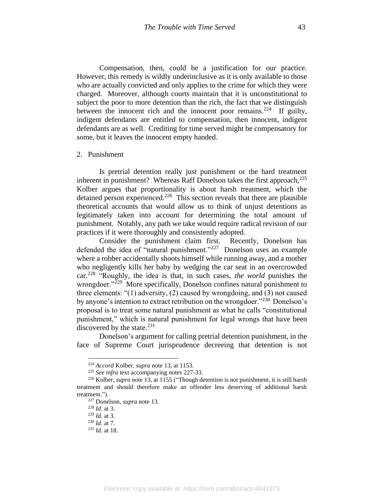Compensation, then, could be a justification for our practice. However, this remedy is wildly underinclusive as it is only available to those who are actually convicted and only applies to the crime for which they were charged. Moreover, although courts maintain that it is unconstitutional to subject the poor to more detention than the rich, the fact that we distinguish between the innocent rich and the innocent poor remains.<sup>224</sup> If guilty, indigent defendants are entitled to compensation, then innocent, indigent defendants are as well. Crediting for time served might be compensatory for some, but it leaves the innocent empty handed.

#### 2. Punishment

Is pretrial detention really just punishment or the hard treatment inherent in punishment? Whereas Raff Donelson takes the first approach,<sup>225</sup> Kolber argues that proportionality is about harsh treatment, which the detained person experienced. 226 This section reveals that there are plausible theoretical accounts that would allow us to think of unjust detentions as legitimately taken into account for determining the total amount of punishment. Notably, any path we take would require radical revision of our practices if it were thoroughly and consistently adopted.

Consider the punishment claim first. Recently, Donelson has defended the idea of "natural punishment."<sup>227</sup> Donelson uses an example where a robber accidentally shoots himself while running away, and a mother who negligently kills her baby by wedging the car seat in an overcrowded car.<sup>228</sup> "Roughly, the idea is that, in such cases, *the world* punishes the wrongdoer."<sup>229</sup> More specifically, Donelson confines natural punishment to three elements: "(1) adversity, (2) caused by wrongdoing, and (3) not caused by anyone's intention to extract retribution on the wrongdoer."<sup>230</sup> Donelson's proposal is to treat some natural punishment as what he calls "constitutional punishment," which is natural punishment for legal wrongs that have been discovered by the state.<sup>231</sup>

Donelson's argument for calling pretrial detention punishment, in the face of Supreme Court jurisprudence decreeing that detention is not

<sup>224</sup> *Accord* Kolber, *supra* note 13, at 1153.

<sup>225</sup> *See infra* text accompanying notes 227-33.

<sup>226</sup> Kolber*, supra* note 13, at 1155 ("Though detention is not punishment, it is still harsh treatment and should therefore make an offender less deserving of additional harsh treatment.").

<sup>227</sup> Donelson, *supra* note 13.

<sup>228</sup> *Id.* at 3.

<sup>229</sup> *Id.* at 3.

<sup>230</sup> *Id.* at 7.

<sup>231</sup> *Id.* at 18.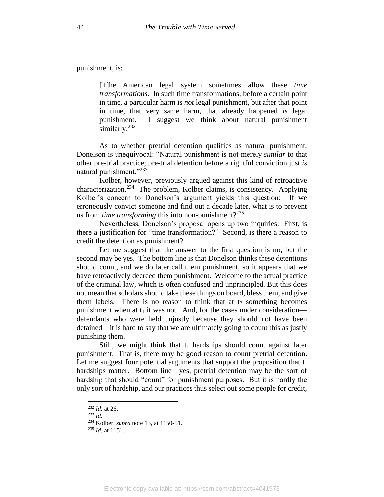punishment, is:

[T]he American legal system sometimes allow these *time transformations*. In such time transformations, before a certain point in time, a particular harm is *not* legal punishment, but after that point in time, that very same harm, that already happened *is* legal punishment. I suggest we think about natural punishment similarly.<sup>232</sup>

As to whether pretrial detention qualifies as natural punishment, Donelson is unequivocal: "Natural punishment is not merely *similar* to that other pre-trial practice; pre-trial detention before a rightful conviction just *is* natural punishment."<sup>233</sup>

Kolber, however, previously argued against this kind of retroactive characterization.<sup>234</sup> The problem, Kolber claims, is consistency. Applying Kolber's concern to Donelson's argument yields this question: If we erroneously convict someone and find out a decade later, what is to prevent us from *time transforming* this into non-punishment?<sup>235</sup>

Nevertheless, Donelson's proposal opens up two inquiries. First, is there a justification for "time transformation?" Second, is there a reason to credit the detention as punishment?

Let me suggest that the answer to the first question is no, but the second may be yes. The bottom line is that Donelson thinks these detentions should count, and we do later call them punishment, so it appears that we have retroactively decreed them punishment. Welcome to the actual practice of the criminal law, which is often confused and unprincipled. But this does not mean that scholars should take these things on board, bless them, and give them labels. There is no reason to think that at  $t_2$  something becomes punishment when at  $t_1$  it was not. And, for the cases under consideration defendants who were held unjustly because they should not have been detained—it is hard to say that we are ultimately going to count this as justly punishing them.

Still, we might think that  $t_1$  hardships should count against later punishment. That is, there may be good reason to count pretrial detention. Let me suggest four potential arguments that support the proposition that  $t_1$ hardships matter. Bottom line—yes, pretrial detention may be the sort of hardship that should "count" for punishment purposes. But it is hardly the only sort of hardship, and our practices thus select out some people for credit,

<sup>232</sup> *Id.* at 26.

<sup>233</sup> *Id.*

<sup>234</sup> Kolber, *supra* note 13, at 1150-51.

<sup>235</sup> *Id.* at 1151.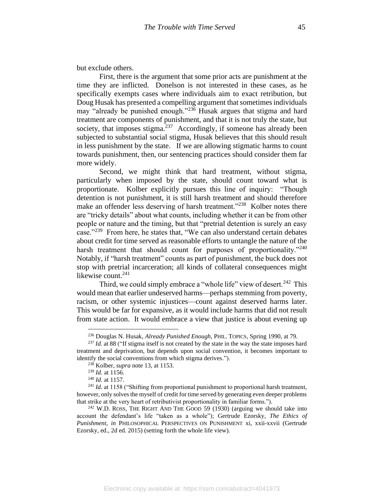but exclude others.

First, there is the argument that some prior acts are punishment at the time they are inflicted. Donelson is not interested in these cases, as he specifically exempts cases where individuals aim to exact retribution, but Doug Husak has presented a compelling argument that sometimes individuals may "already be punished enough."<sup>236</sup> Husak argues that stigma and hard treatment are components of punishment, and that it is not truly the state, but society, that imposes stigma. $237$  Accordingly, if someone has already been subjected to substantial social stigma, Husak believes that this should result in less punishment by the state. If we are allowing stigmatic harms to count towards punishment, then, our sentencing practices should consider them far more widely.

Second, we might think that hard treatment, without stigma, particularly when imposed by the state, should count toward what is proportionate. Kolber explicitly pursues this line of inquiry: "Though detention is not punishment, it is still harsh treatment and should therefore make an offender less deserving of harsh treatment."<sup>238</sup> Kolber notes there are "tricky details" about what counts, including whether it can be from other people or nature and the timing, but that "pretrial detention is surely an easy case."<sup>239</sup> From here, he states that, "We can also understand certain debates about credit for time served as reasonable efforts to untangle the nature of the harsh treatment that should count for purposes of proportionality."<sup>240</sup> Notably, if "harsh treatment" counts as part of punishment, the buck does not stop with pretrial incarceration; all kinds of collateral consequences might likewise count. 241

Third, we could simply embrace a "whole life" view of desert.<sup>242</sup> This would mean that earlier undeserved harms—perhaps stemming from poverty, racism, or other systemic injustices—count against deserved harms later. This would be far for expansive, as it would include harms that did not result from state action. It would embrace a view that justice is about evening up

<sup>236</sup> Douglas N. Husak, *Already Punished Enough*, PHIL. TOPICS, Spring 1990, at 79.

<sup>&</sup>lt;sup>237</sup> *Id.* at 88 ("If stigma itself is not created by the state in the way the state imposes hard treatment and deprivation, but depends upon social convention, it becomes important to identify the social conventions from which stigma derives.").

<sup>238</sup> Kolber, *supra* note 13, at 1153.

<sup>239</sup> *Id.* at 1156.

<sup>240</sup> *Id.* at 1157.

<sup>&</sup>lt;sup>241</sup> *Id.* at 1158 ("Shifting from proportional punishment to proportional harsh treatment, however, only solves the myself of credit for time served by generating even deeper problems that strike at the very heart of retributivist proportionality in familiar forms.").

 $242$  W.D. ROSS, THE RIGHT AND THE GOOD 59 (1930) (arguing we should take into account the defendant's life "taken as a whole"); Gertrude Ezorsky, *The Ethics of Punishment*, *in* PHILOSOPHICAL PERSPECTIVES ON PUNISHMENT xi, xxii-xxvii (Gertrude Ezorsky, ed., 2d ed. 2015) (setting forth the whole life view).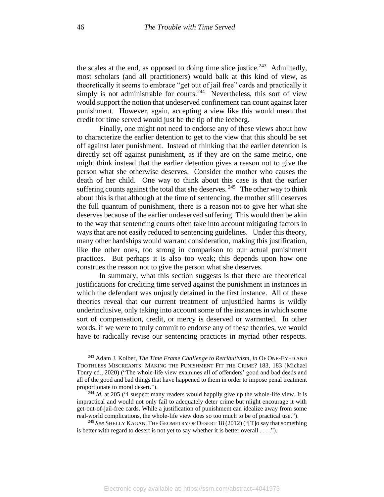the scales at the end, as opposed to doing time slice justice.<sup>243</sup> Admittedly, most scholars (and all practitioners) would balk at this kind of view, as theoretically it seems to embrace "get out of jail free" cards and practically it simply is not administrable for courts.<sup>244</sup> Nevertheless, this sort of view would support the notion that undeserved confinement can count against later punishment. However, again, accepting a view like this would mean that credit for time served would just be the tip of the iceberg.

Finally, one might not need to endorse any of these views about how to characterize the earlier detention to get to the view that this should be set off against later punishment. Instead of thinking that the earlier detention is directly set off against punishment, as if they are on the same metric, one might think instead that the earlier detention gives a reason not to give the person what she otherwise deserves. Consider the mother who causes the death of her child. One way to think about this case is that the earlier suffering counts against the total that she deserves.  $245$  The other way to think about this is that although at the time of sentencing, the mother still deserves the full quantum of punishment, there is a reason not to give her what she deserves because of the earlier undeserved suffering. This would then be akin to the way that sentencing courts often take into account mitigating factors in ways that are not easily reduced to sentencing guidelines. Under this theory, many other hardships would warrant consideration, making this justification, like the other ones, too strong in comparison to our actual punishment practices. But perhaps it is also too weak; this depends upon how one construes the reason not to give the person what she deserves.

In summary, what this section suggests is that there are theoretical justifications for crediting time served against the punishment in instances in which the defendant was unjustly detained in the first instance. All of these theories reveal that our current treatment of unjustified harms is wildly underinclusive, only taking into account some of the instances in which some sort of compensation, credit, or mercy is deserved or warranted. In other words, if we were to truly commit to endorse any of these theories, we would have to radically revise our sentencing practices in myriad other respects.

<sup>243</sup> Adam J. Kolber, *The Time Frame Challenge to Retributivism*, *in* OF ONE-EYED AND TOOTHLESS MISCREANTS: MAKING THE PUNISHMENT FIT THE CRIME? 183, 183 (Michael Tonry ed., 2020) ("The whole-life view examines all of offenders' good and bad deeds and all of the good and bad things that have happened to them in order to impose penal treatment proportionate to moral desert.").

<sup>244</sup> *Id.* at 205 ("I suspect many readers would happily give up the whole-life view. It is impractical and would not only fail to adequately deter crime but might encourage it with get-out-of-jail-free cards. While a justification of punishment can idealize away from some real-world complications, the whole-life view does so too much to be of practical use.").

<sup>245</sup> *See* SHELLY KAGAN, THE GEOMETRY OF DESERT 18 (2012) ("[T]o say that something is better with regard to desert is not yet to say whether it is better overall . . . .").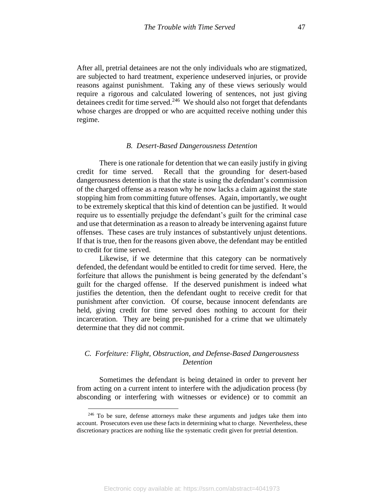After all, pretrial detainees are not the only individuals who are stigmatized, are subjected to hard treatment, experience undeserved injuries, or provide reasons against punishment. Taking any of these views seriously would require a rigorous and calculated lowering of sentences, not just giving detainees credit for time served.<sup>246</sup> We should also not forget that defendants whose charges are dropped or who are acquitted receive nothing under this regime.

#### *B. Desert-Based Dangerousness Detention*

There is one rationale for detention that we can easily justify in giving credit for time served. Recall that the grounding for desert-based dangerousness detention is that the state is using the defendant's commission of the charged offense as a reason why he now lacks a claim against the state stopping him from committing future offenses. Again, importantly, we ought to be extremely skeptical that this kind of detention can be justified. It would require us to essentially prejudge the defendant's guilt for the criminal case and use that determination as a reason to already be intervening against future offenses. These cases are truly instances of substantively unjust detentions. If that is true, then for the reasons given above, the defendant may be entitled to credit for time served.

Likewise, if we determine that this category can be normatively defended, the defendant would be entitled to credit for time served. Here, the forfeiture that allows the punishment is being generated by the defendant's guilt for the charged offense. If the deserved punishment is indeed what justifies the detention, then the defendant ought to receive credit for that punishment after conviction. Of course, because innocent defendants are held, giving credit for time served does nothing to account for their incarceration. They are being pre-punished for a crime that we ultimately determine that they did not commit.

# *C. Forfeiture: Flight, Obstruction, and Defense-Based Dangerousness Detention*

Sometimes the defendant is being detained in order to prevent her from acting on a current intent to interfere with the adjudication process (by absconding or interfering with witnesses or evidence) or to commit an

<sup>&</sup>lt;sup>246</sup> To be sure, defense attorneys make these arguments and judges take them into account. Prosecutors even use these facts in determining what to charge. Nevertheless, these discretionary practices are nothing like the systematic credit given for pretrial detention.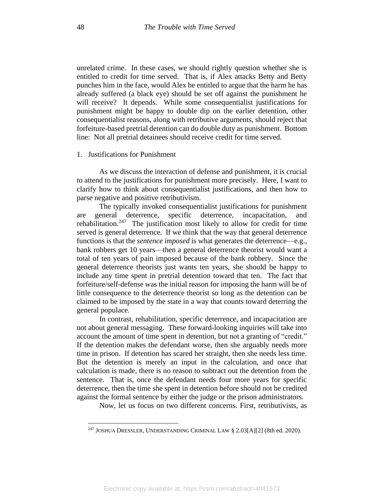unrelated crime. In these cases, we should rightly question whether she is entitled to credit for time served. That is, if Alex attacks Betty and Betty punches him in the face, would Alex be entitled to argue that the harm he has already suffered (a black eye) should be set off against the punishment he will receive? It depends. While some consequentialist justifications for punishment might be happy to double dip on the earlier detention, other consequentialist reasons, along with retributive arguments, should reject that forfeiture-based pretrial detention can do double duty as punishment. Bottom line: Not all pretrial detainees should receive credit for time served.

#### 1. Justifications for Punishment

As we discuss the interaction of defense and punishment, it is crucial to attend to the justifications for punishment more precisely. Here, I want to clarify how to think about consequentialist justifications, and then how to parse negative and positive retributivism.

The typically invoked consequentialist justifications for punishment are general deterrence, specific deterrence, incapacitation, and rehabilitation.<sup>247</sup> The justification most likely to allow for credit for time served is general deterrence. If we think that the way that general deterrence functions is that the *sentence imposed* is what generates the deterrence—e.g., bank robbers get 10 years—then a general deterrence theorist would want a total of ten years of pain imposed because of the bank robbery. Since the general deterrence theorists just wants ten years, she should be happy to include any time spent in pretrial detention toward that ten. The fact that forfeiture/self-defense was the initial reason for imposing the harm will be of little consequence to the deterrence theorist so long as the detention can be claimed to be imposed by the state in a way that counts toward deterring the general populace.

In contrast, rehabilitation, specific deterrence, and incapacitation are not about general messaging. These forward-looking inquiries will take into account the amount of time spent in detention, but not a granting of "credit." If the detention makes the defendant worse, then she arguably needs more time in prison. If detention has scared her straight, then she needs less time. But the detention is merely an input in the calculation, and once that calculation is made, there is no reason to subtract out the detention from the sentence. That is, once the defendant needs four more years for specific deterrence, then the time she spent in detention before should not be credited against the formal sentence by either the judge or the prison administrators.

Now, let us focus on two different concerns. First, retributivists, as

<sup>&</sup>lt;sup>247</sup> JOSHUA DRESSLER, UNDERSTANDING CRIMINAL LAW § 2.03[A][2] (8th ed. 2020).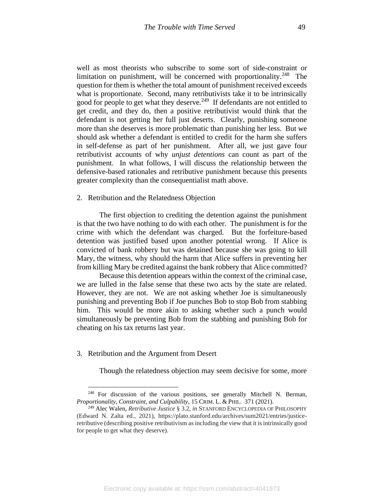well as most theorists who subscribe to some sort of side-constraint or limitation on punishment, will be concerned with proportionality.<sup>248</sup> The question for them is whether the total amount of punishment received exceeds what is proportionate. Second, many retributivists take it to be intrinsically good for people to get what they deserve.<sup>249</sup> If defendants are not entitled to get credit, and they do, then a positive retributivist would think that the defendant is not getting her full just deserts. Clearly, punishing someone more than she deserves is more problematic than punishing her less. But we should ask whether a defendant is entitled to credit for the harm she suffers in self-defense as part of her punishment. After all, we just gave four retributivist accounts of why *unjust detentions* can count as part of the punishment. In what follows, I will discuss the relationship between the defensive-based rationales and retributive punishment because this presents greater complexity than the consequentialist math above.

2. Retribution and the Relatedness Objection

The first objection to crediting the detention against the punishment is that the two have nothing to do with each other. The punishment is for the crime with which the defendant was charged. But the forfeiture-based detention was justified based upon another potential wrong. If Alice is convicted of bank robbery but was detained because she was going to kill Mary, the witness, why should the harm that Alice suffers in preventing her from killing Mary be credited against the bank robbery that Alice committed?

Because this detention appears within the context of the criminal case, we are lulled in the false sense that these two acts by the state are related. However, they are not. We are not asking whether Joe is simultaneously punishing and preventing Bob if Joe punches Bob to stop Bob from stabbing him. This would be more akin to asking whether such a punch would simultaneously be preventing Bob from the stabbing and punishing Bob for cheating on his tax returns last year.

## 3. Retribution and the Argument from Desert

Though the relatedness objection may seem decisive for some, more

 $248$  For discussion of the various positions, see generally Mitchell N. Berman, *Proportionality, Constraint, and Culpability*, 15 CRIM. L. & PHIL. 371 (2021).

<sup>249</sup> Alec Walen, *Retributive Justice* § 3.2, *in* STANFORD ENCYCLOPEDIA OF PHILOSOPHY (Edward N. Zalta ed., 2021), https://plato.stanford.edu/archives/sum2021/entries/justiceretributive (describing positive retributivism as including the view that it is intrinsically good for people to get what they deserve).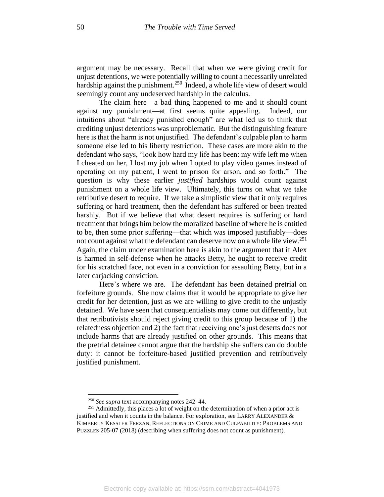argument may be necessary. Recall that when we were giving credit for unjust detentions, we were potentially willing to count a necessarily unrelated hardship against the punishment.<sup>250</sup> Indeed, a whole life view of desert would seemingly count any undeserved hardship in the calculus.

The claim here—a bad thing happened to me and it should count against my punishment—at first seems quite appealing. Indeed, our intuitions about "already punished enough" are what led us to think that crediting unjust detentions was unproblematic. But the distinguishing feature here is that the harm is not unjustified. The defendant's culpable plan to harm someone else led to his liberty restriction. These cases are more akin to the defendant who says, "look how hard my life has been: my wife left me when I cheated on her, I lost my job when I opted to play video games instead of operating on my patient, I went to prison for arson, and so forth." The question is why these earlier *justified* hardships would count against punishment on a whole life view. Ultimately, this turns on what we take retributive desert to require. If we take a simplistic view that it only requires suffering or hard treatment, then the defendant has suffered or been treated harshly. But if we believe that what desert requires is suffering or hard treatment that brings him below the moralized baseline of where he is entitled to be, then some prior suffering—that which was imposed justifiably—does not count against what the defendant can deserve now on a whole life view.<sup>251</sup> Again, the claim under examination here is akin to the argument that if Alex is harmed in self-defense when he attacks Betty, he ought to receive credit for his scratched face, not even in a conviction for assaulting Betty, but in a later carjacking conviction.

Here's where we are. The defendant has been detained pretrial on forfeiture grounds. She now claims that it would be appropriate to give her credit for her detention, just as we are willing to give credit to the unjustly detained. We have seen that consequentialists may come out differently, but that retributivists should reject giving credit to this group because of 1) the relatedness objection and 2) the fact that receiving one's just deserts does not include harms that are already justified on other grounds. This means that the pretrial detainee cannot argue that the hardship she suffers can do double duty: it cannot be forfeiture-based justified prevention and retributively justified punishment.

<sup>250</sup> *See supra* text accompanying notes 242–44.

<sup>&</sup>lt;sup>251</sup> Admittedly, this places a lot of weight on the determination of when a prior act is justified and when it counts in the balance. For exploration, see LARRY ALEXANDER & KIMBERLY KESSLER FERZAN, REFLECTIONS ON CRIME AND CULPABILITY: PROBLEMS AND PUZZLES 205-07 (2018) (describing when suffering does not count as punishment).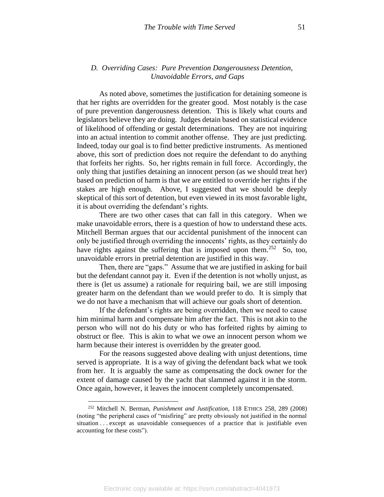# *D. Overriding Cases: Pure Prevention Dangerousness Detention, Unavoidable Errors, and Gaps*

As noted above, sometimes the justification for detaining someone is that her rights are overridden for the greater good. Most notably is the case of pure prevention dangerousness detention. This is likely what courts and legislators believe they are doing. Judges detain based on statistical evidence of likelihood of offending or gestalt determinations. They are not inquiring into an actual intention to commit another offense. They are just predicting. Indeed, today our goal is to find better predictive instruments. As mentioned above, this sort of prediction does not require the defendant to do anything that forfeits her rights. So, her rights remain in full force. Accordingly, the only thing that justifies detaining an innocent person (as we should treat her) based on prediction of harm is that we are entitled to override her rights if the stakes are high enough. Above, I suggested that we should be deeply skeptical of this sort of detention, but even viewed in its most favorable light, it is about overriding the defendant's rights.

There are two other cases that can fall in this category. When we make unavoidable errors, there is a question of how to understand these acts. Mitchell Berman argues that our accidental punishment of the innocent can only be justified through overriding the innocents' rights, as they certainly do have rights against the suffering that is imposed upon them.<sup>252</sup> So, too, unavoidable errors in pretrial detention are justified in this way.

Then, there are "gaps." Assume that we are justified in asking for bail but the defendant cannot pay it. Even if the detention is not wholly unjust, as there is (let us assume) a rationale for requiring bail, we are still imposing greater harm on the defendant than we would prefer to do. It is simply that we do not have a mechanism that will achieve our goals short of detention.

If the defendant's rights are being overridden, then we need to cause him minimal harm and compensate him after the fact. This is not akin to the person who will not do his duty or who has forfeited rights by aiming to obstruct or flee. This is akin to what we owe an innocent person whom we harm because their interest is overridden by the greater good.

For the reasons suggested above dealing with unjust detentions, time served is appropriate. It is a way of giving the defendant back what we took from her. It is arguably the same as compensating the dock owner for the extent of damage caused by the yacht that slammed against it in the storm. Once again, however, it leaves the innocent completely uncompensated.

<sup>252</sup> Mitchell N. Berman, *Punishment and Justification*, 118 ETHICS 258, 289 (2008) (noting "the peripheral cases of "misfiring" are pretty obviously not justified in the normal situation . . . except as unavoidable consequences of a practice that is justifiable even accounting for these costs").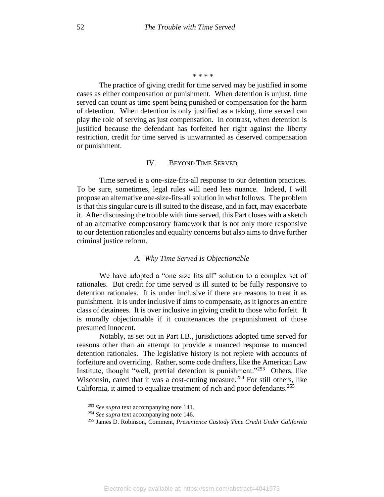\* \* \* \*

The practice of giving credit for time served may be justified in some cases as either compensation or punishment. When detention is unjust, time served can count as time spent being punished or compensation for the harm of detention. When detention is only justified as a taking, time served can play the role of serving as just compensation. In contrast, when detention is justified because the defendant has forfeited her right against the liberty restriction, credit for time served is unwarranted as deserved compensation or punishment.

## IV. BEYOND TIME SERVED

Time served is a one-size-fits-all response to our detention practices. To be sure, sometimes, legal rules will need less nuance. Indeed, I will propose an alternative one-size-fits-all solution in what follows. The problem is that this singular cure is ill suited to the disease, and in fact, may exacerbate it. After discussing the trouble with time served, this Part closes with a sketch of an alternative compensatory framework that is not only more responsive to our detention rationales and equality concerns but also aims to drive further criminal justice reform.

## *A. Why Time Served Is Objectionable*

We have adopted a "one size fits all" solution to a complex set of rationales. But credit for time served is ill suited to be fully responsive to detention rationales. It is under inclusive if there are reasons to treat it as punishment. It is under inclusive if aims to compensate, as it ignores an entire class of detainees. It is over inclusive in giving credit to those who forfeit. It is morally objectionable if it countenances the prepunishment of those presumed innocent.

Notably, as set out in Part I.B., jurisdictions adopted time served for reasons other than an attempt to provide a nuanced response to nuanced detention rationales. The legislative history is not replete with accounts of forfeiture and overriding. Rather, some code drafters, like the American Law Institute, thought "well, pretrial detention is punishment."<sup>253</sup> Others, like Wisconsin, cared that it was a cost-cutting measure.<sup>254</sup> For still others, like California, it aimed to equalize treatment of rich and poor defendants.<sup>255</sup>

<sup>253</sup> *See supra* text accompanying note 141.

<sup>254</sup> *See supra* text accompanying note 146.

<sup>255</sup> James D. Robinson, Comment, *Presentence Custody Time Credit Under California*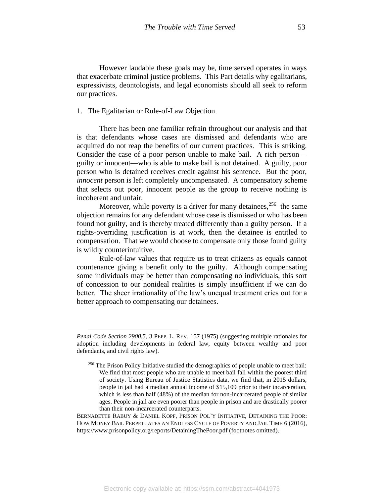However laudable these goals may be, time served operates in ways that exacerbate criminal justice problems. This Part details why egalitarians, expressivists, deontologists, and legal economists should all seek to reform our practices.

## 1. The Egalitarian or Rule-of-Law Objection

There has been one familiar refrain throughout our analysis and that is that defendants whose cases are dismissed and defendants who are acquitted do not reap the benefits of our current practices. This is striking. Consider the case of a poor person unable to make bail. A rich person guilty or innocent—who is able to make bail is not detained. A guilty, poor person who is detained receives credit against his sentence. But the poor, *innocent* person is left completely uncompensated. A compensatory scheme that selects out poor, innocent people as the group to receive nothing is incoherent and unfair.

Moreover, while poverty is a driver for many detainees,  $256$  the same objection remains for any defendant whose case is dismissed or who has been found not guilty, and is thereby treated differently than a guilty person. If a rights-overriding justification is at work, then the detainee is entitled to compensation. That we would choose to compensate only those found guilty is wildly counterintuitive.

Rule-of-law values that require us to treat citizens as equals cannot countenance giving a benefit only to the guilty. Although compensating some individuals may be better than compensating no individuals, this sort of concession to our nonideal realities is simply insufficient if we can do better. The sheer irrationality of the law's unequal treatment cries out for a better approach to compensating our detainees.

*Penal Code Section 2900.5*, 3 PEPP. L. REV. 157 (1975) (suggesting multiple rationales for adoption including developments in federal law, equity between wealthy and poor defendants, and civil rights law).

<sup>&</sup>lt;sup>256</sup> The Prison Policy Initiative studied the demographics of people unable to meet bail: We find that most people who are unable to meet bail fall within the poorest third of society. Using Bureau of Justice Statistics data, we find that, in 2015 dollars, people in jail had a median annual income of \$15,109 prior to their incarceration, which is less than half (48%) of the median for non-incarcerated people of similar ages. People in jail are even poorer than people in prison and are drastically poorer than their non-incarcerated counterparts.

BERNADETTE RABUY & DANIEL KOPF, PRISON POL'Y INITIATIVE, DETAINING THE POOR: HOW MONEY BAIL PERPETUATES AN ENDLESS CYCLE OF POVERTY AND JAIL TIME 6 (2016), https://www.prisonpolicy.org/reports/DetainingThePoor.pdf (footnotes omitted).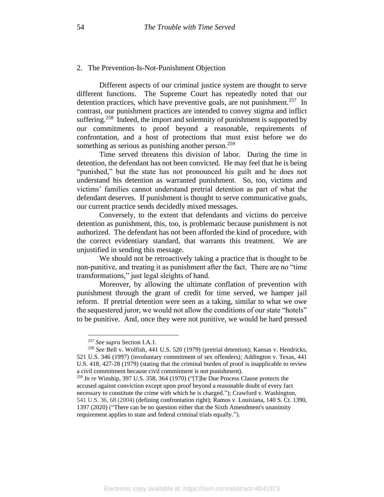#### 2. The Prevention-Is-Not-Punishment Objection

Different aspects of our criminal justice system are thought to serve different functions. The Supreme Court has repeatedly noted that our detention practices, which have preventive goals, are not punishment.<sup>257</sup> In contrast, our punishment practices are intended to convey stigma and inflict suffering.<sup>258</sup> Indeed, the import and solemnity of punishment is supported by our commitments to proof beyond a reasonable, requirements of confrontation, and a host of protections that must exist before we do something as serious as punishing another person.<sup>259</sup>

Time served threatens this division of labor. During the time in detention, the defendant has not been convicted. He may feel that he is being "punished," but the state has not pronounced his guilt and he does not understand his detention as warranted punishment. So, too, victims and victims' families cannot understand pretrial detention as part of what the defendant deserves. If punishment is thought to serve communicative goals, our current practice sends decidedly mixed messages.

Conversely, to the extent that defendants and victims do perceive detention as punishment, this, too, is problematic because punishment is not authorized. The defendant has not been afforded the kind of procedure, with the correct evidentiary standard, that warrants this treatment. We are unjustified in sending this message.

We should not be retroactively taking a practice that is thought to be non-punitive, and treating it as punishment after the fact. There are no "time transformations," just legal sleights of hand.

Moreover, by allowing the ultimate conflation of prevention with punishment through the grant of credit for time served, we hamper jail reform. If pretrial detention were seen as a taking, similar to what we owe the sequestered juror, we would not allow the conditions of our state "hotels" to be punitive. And, once they were not punitive, we would be hard pressed

<sup>257</sup> *See supra* Section I.A.1.

<sup>258</sup> *See* Bell v. Wolfish, 441 U.S. 520 (1979) (pretrial detention); Kansas v. Hendricks, 521 U.S. 346 (1997) (involuntary commitment of sex offenders); Addington v. Texas, 441 U.S. 418, 427-28 (1979) (stating that the criminal burden of proof is inapplicable to review a civil commitment because civil commitment is not punishment).

<sup>259</sup> *In re* Winship, 397 U.S. 358, 364 (1970) ("[T]he Due Process Clause protects the accused against conviction except upon proof beyond a reasonable doubt of every fact necessary to constitute the crime with which he is charged."); Crawford v. Washington, 541 U.S. 36, 68 (2004) (defining confrontation right); Ramos v. Louisiana, 140 S. Ct. 1390, 1397 (2020) ("There can be no question either that the Sixth Amendment's unanimity requirement applies to state and federal criminal trials equally.").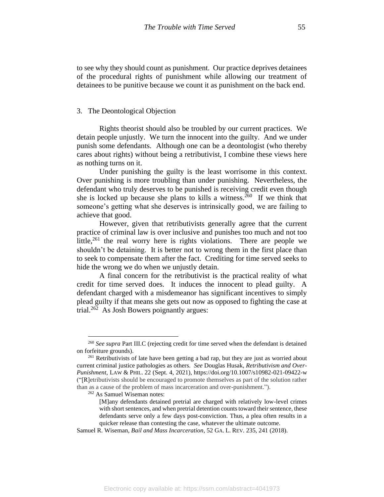to see why they should count as punishment. Our practice deprives detainees of the procedural rights of punishment while allowing our treatment of detainees to be punitive because we count it as punishment on the back end.

## 3. The Deontological Objection

Rights theorist should also be troubled by our current practices. We detain people unjustly. We turn the innocent into the guilty. And we under punish some defendants. Although one can be a deontologist (who thereby cares about rights) without being a retributivist, I combine these views here as nothing turns on it.

Under punishing the guilty is the least worrisome in this context. Over punishing is more troubling than under punishing. Nevertheless, the defendant who truly deserves to be punished is receiving credit even though she is locked up because she plans to kills a witness.<sup>260</sup> If we think that someone's getting what she deserves is intrinsically good, we are failing to achieve that good.

However, given that retributivists generally agree that the current practice of criminal law is over inclusive and punishes too much and not too little,<sup>261</sup> the real worry here is rights violations. There are people we shouldn't be detaining. It is better not to wrong them in the first place than to seek to compensate them after the fact. Crediting for time served seeks to hide the wrong we do when we unjustly detain.

A final concern for the retributivist is the practical reality of what credit for time served does. It induces the innocent to plead guilty. A defendant charged with a misdemeanor has significant incentives to simply plead guilty if that means she gets out now as opposed to fighting the case at trial.<sup>262</sup> As Josh Bowers poignantly argues:

<sup>262</sup> As Samuel Wiseman notes:

<sup>260</sup> *See supra* Part III.C (rejecting credit for time served when the defendant is detained on forfeiture grounds).

<sup>&</sup>lt;sup>261</sup> Retributivists of late have been getting a bad rap, but they are just as worried about current criminal justice pathologies as others. *See* Douglas Husak, *Retributivism and Over-Punishment*, LAW & PHIL. 22 (Sept. 4, 2021), https://doi.org/10.1007/s10982-021-09422-w ("[R]etributivists should be encouraged to promote themselves as part of the solution rather than as a cause of the problem of mass incarceration and over-punishment.").

<sup>[</sup>M]any defendants detained pretrial are charged with relatively low-level crimes with short sentences, and when pretrial detention counts toward their sentence, these defendants serve only a few days post-conviction. Thus, a plea often results in a quicker release than contesting the case, whatever the ultimate outcome.

Samuel R. Wiseman, *Bail and Mass Incarceration*, 52 GA. L. REV. 235, 241 (2018).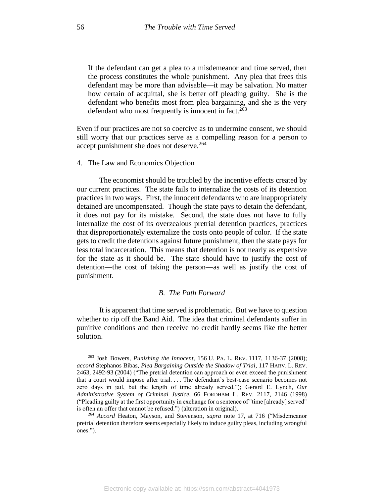If the defendant can get a plea to a misdemeanor and time served, then the process constitutes the whole punishment. Any plea that frees this defendant may be more than advisable—it may be salvation. No matter how certain of acquittal, she is better off pleading guilty. She is the defendant who benefits most from plea bargaining, and she is the very defendant who most frequently is innocent in fact.<sup>263</sup>

Even if our practices are not so coercive as to undermine consent, we should still worry that our practices serve as a compelling reason for a person to accept punishment she does not deserve.<sup>264</sup>

4. The Law and Economics Objection

The economist should be troubled by the incentive effects created by our current practices. The state fails to internalize the costs of its detention practices in two ways. First, the innocent defendants who are inappropriately detained are uncompensated. Though the state pays to detain the defendant, it does not pay for its mistake. Second, the state does not have to fully internalize the cost of its overzealous pretrial detention practices, practices that disproportionately externalize the costs onto people of color. If the state gets to credit the detentions against future punishment, then the state pays for less total incarceration. This means that detention is not nearly as expensive for the state as it should be. The state should have to justify the cost of detention—the cost of taking the person—as well as justify the cost of punishment.

## *B. The Path Forward*

It is apparent that time served is problematic. But we have to question whether to rip off the Band Aid. The idea that criminal defendants suffer in punitive conditions and then receive no credit hardly seems like the better solution.

<sup>263</sup> Josh Bowers, *Punishing the Innocent*, 156 U. PA. L. REV. 1117, 1136-37 (2008); *accord* Stephanos Bibas, *Plea Bargaining Outside the Shadow of Trial*, 117 HARV. L. REV. 2463, 2492-93 (2004) ("The pretrial detention can approach or even exceed the punishment that a court would impose after trial. . . . The defendant's best-case scenario becomes not zero days in jail, but the length of time already served."); Gerard E. Lynch, *Our Administrative System of Criminal Justice*, 66 FORDHAM L. REV. 2117, 2146 (1998) ("Pleading guilty at the first opportunity in exchange for a sentence of "time [already] served" is often an offer that cannot be refused.") (alteration in original).

<sup>264</sup> *Accord* Heaton, Mayson, and Stevenson, *supra* note 17, at 716 ("Misdemeanor pretrial detention therefore seems especially likely to induce guilty pleas, including wrongful ones.").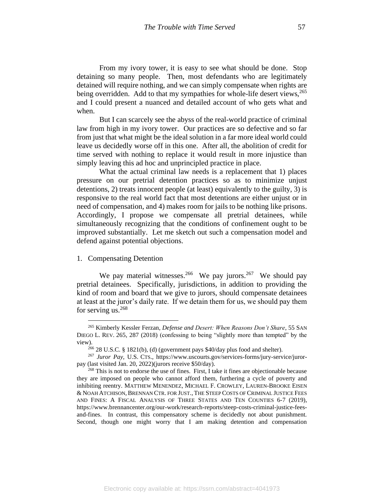From my ivory tower, it is easy to see what should be done. Stop detaining so many people. Then, most defendants who are legitimately detained will require nothing, and we can simply compensate when rights are being overridden. Add to that my sympathies for whole-life desert views,  $265$ and I could present a nuanced and detailed account of who gets what and when.

But I can scarcely see the abyss of the real-world practice of criminal law from high in my ivory tower. Our practices are so defective and so far from just that what might be the ideal solution in a far more ideal world could leave us decidedly worse off in this one. After all, the abolition of credit for time served with nothing to replace it would result in more injustice than simply leaving this ad hoc and unprincipled practice in place.

What the actual criminal law needs is a replacement that 1) places pressure on our pretrial detention practices so as to minimize unjust detentions, 2) treats innocent people (at least) equivalently to the guilty, 3) is responsive to the real world fact that most detentions are either unjust or in need of compensation, and 4) makes room for jails to be nothing like prisons. Accordingly, I propose we compensate all pretrial detainees, while simultaneously recognizing that the conditions of confinement ought to be improved substantially. Let me sketch out such a compensation model and defend against potential objections.

## 1. Compensating Detention

We pay material witnesses.<sup>266</sup> We pay jurors.<sup>267</sup> We should pay pretrial detainees. Specifically, jurisdictions, in addition to providing the kind of room and board that we give to jurors, should compensate detainees at least at the juror's daily rate. If we detain them for us, we should pay them for serving us. $268$ 

<sup>265</sup> Kimberly Kessler Ferzan, *Defense and Desert: When Reasons Don't Share*, 55 SAN DIEGO L. REV. 265, 287 (2018) (confessing to being "slightly more than tempted" by the view).

 $266$  28 U.S.C. § 1821(b), (d) (government pays \$40/day plus food and shelter).

<sup>267</sup> *Juror Pay*, U.S. CTS., https://www.uscourts.gov/services-forms/jury-service/jurorpay (last visited Jan. 20, 2022)(jurors receive \$50/day).

<sup>&</sup>lt;sup>268</sup> This is not to endorse the use of fines. First, I take it fines are objectionable because they are imposed on people who cannot afford them, furthering a cycle of poverty and inhibiting reentry. MATTHEW MENENDEZ, MICHAEL F. CROWLEY, LAUREN-BROOKE EISEN & NOAH ATCHISON, BRENNAN CTR. FOR JUST., THE STEEP COSTS OF CRIMINAL JUSTICE FEES AND FINES: A FISCAL ANALYSIS OF THREE STATES AND TEN COUNTIES 6-7 (2019), https://www.brennancenter.org/our-work/research-reports/steep-costs-criminal-justice-feesand-fines. In contrast, this compensatory scheme is decidedly not about punishment. Second, though one might worry that I am making detention and compensation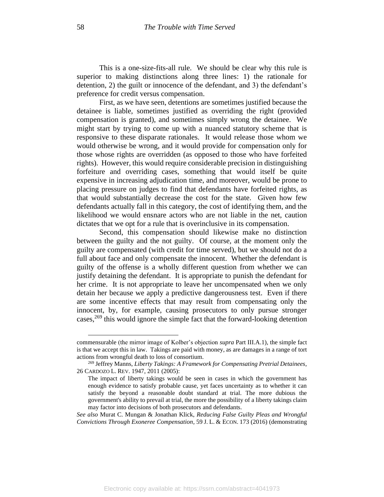This is a one-size-fits-all rule. We should be clear why this rule is superior to making distinctions along three lines: 1) the rationale for detention, 2) the guilt or innocence of the defendant, and 3) the defendant's preference for credit versus compensation.

First, as we have seen, detentions are sometimes justified because the detainee is liable, sometimes justified as overriding the right (provided compensation is granted), and sometimes simply wrong the detainee. We might start by trying to come up with a nuanced statutory scheme that is responsive to these disparate rationales. It would release those whom we would otherwise be wrong, and it would provide for compensation only for those whose rights are overridden (as opposed to those who have forfeited rights). However, this would require considerable precision in distinguishing forfeiture and overriding cases, something that would itself be quite expensive in increasing adjudication time, and moreover, would be prone to placing pressure on judges to find that defendants have forfeited rights, as that would substantially decrease the cost for the state. Given how few defendants actually fall in this category, the cost of identifying them, and the likelihood we would ensnare actors who are not liable in the net, caution dictates that we opt for a rule that is overinclusive in its compensation.

Second, this compensation should likewise make no distinction between the guilty and the not guilty. Of course, at the moment only the guilty are compensated (with credit for time served), but we should not do a full about face and only compensate the innocent. Whether the defendant is guilty of the offense is a wholly different question from whether we can justify detaining the defendant. It is appropriate to punish the defendant for her crime. It is not appropriate to leave her uncompensated when we only detain her because we apply a predictive dangerousness test. Even if there are some incentive effects that may result from compensating only the innocent, by, for example, causing prosecutors to only pursue stronger cases,<sup>269</sup> this would ignore the simple fact that the forward-looking detention

commensurable (the mirror image of Kolber's objection *supra* Part III.A.1), the simple fact is that we accept this in law. Takings are paid with money, as are damages in a range of tort actions from wrongful death to loss of consortium.

<sup>269</sup> Jeffrey Manns, *Liberty Takings: A Framework for Compensating Pretrial Detainees*, 26 CARDOZO L. REV. 1947, 2011 (2005):

The impact of liberty takings would be seen in cases in which the government has enough evidence to satisfy probable cause, yet faces uncertainty as to whether it can satisfy the beyond a reasonable doubt standard at trial. The more dubious the government's ability to prevail at trial, the more the possibility of a liberty takings claim may factor into decisions of both prosecutors and defendants.

*See also* Murat C. Mungan & Jonathan Klick, *Reducing False Guilty Pleas and Wrongful Convictions Through Exoneree Compensation*, 59 J. L. & ECON. 173 (2016) (demonstrating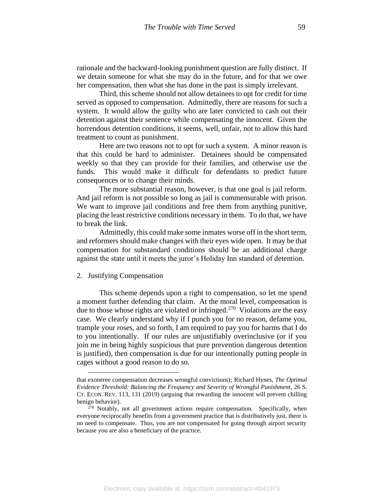rationale and the backward-looking punishment question are fully distinct. If we detain someone for what she may do in the future, and for that we owe her compensation, then what she has done in the past is simply irrelevant.

Third, this scheme should not allow detainees to opt for credit for time served as opposed to compensation. Admittedly, there are reasons for such a system. It would allow the guilty who are later convicted to cash out their detention against their sentence while compensating the innocent. Given the horrendous detention conditions, it seems, well, unfair, not to allow this hard treatment to count as punishment.

Here are two reasons not to opt for such a system. A minor reason is that this could be hard to administer. Detainees should be compensated weekly so that they can provide for their families, and otherwise use the funds. This would make it difficult for defendants to predict future consequences or to change their minds.

The more substantial reason, however, is that one goal is jail reform. And jail reform is not possible so long as jail is commensurable with prison. We want to improve jail conditions and free them from anything punitive, placing the least restrictive conditions necessary in them. To do that, we have to break the link.

Admittedly, this could make some inmates worse off in the short term, and reformers should make changes with their eyes wide open. It may be that compensation for substandard conditions should be an additional charge against the state until it meets the juror's Holiday Inn standard of detention.

## 2. Justifying Compensation

This scheme depends upon a right to compensation, so let me spend a moment further defending that claim. At the moral level, compensation is due to those whose rights are violated or infringed.<sup>270</sup> Violations are the easy case. We clearly understand why if I punch you for no reason, defame you, trample your roses, and so forth, I am required to pay you for harms that I do to you intentionally. If our rules are unjustifiably overinclusive (or if you join me in being highly suspicious that pure prevention dangerous detention is justified), then compensation is due for our intentionally putting people in cages without a good reason to do so.

that exoneree compensation decreases wrongful convictions); Richard Hynes, *The Optimal Evidence Threshold: Balancing the Frequency and Severity of Wrongful Punishment*, 26 S. CT. ECON. REV. 113, 131 (2019) (arguing that rewarding the innocent will prevent chilling benign behavior).

 $270$  Notably, not all government actions require compensation. Specifically, when everyone reciprocally benefits from a government practice that is distributively just, there is no need to compensate. Thus, you are not compensated for going through airport security because you are also a beneficiary of the practice.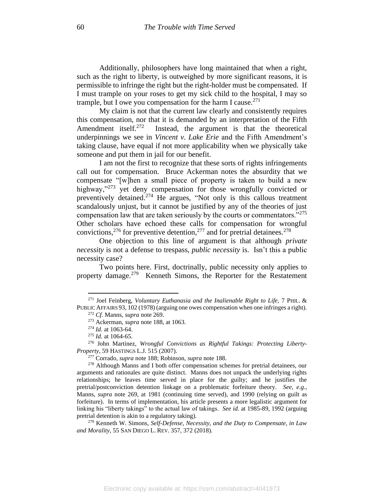Additionally, philosophers have long maintained that when a right, such as the right to liberty, is outweighed by more significant reasons, it is permissible to infringe the right but the right-holder must be compensated. If I must trample on your roses to get my sick child to the hospital, I may so trample, but I owe you compensation for the harm I cause.<sup>271</sup>

My claim is not that the current law clearly and consistently requires this compensation, nor that it is demanded by an interpretation of the Fifth Amendment itself. $272$  Instead, the argument is that the theoretical underpinnings we see in *Vincent v. Lake Erie* and the Fifth Amendment's taking clause, have equal if not more applicability when we physically take someone and put them in jail for our benefit.

I am not the first to recognize that these sorts of rights infringements call out for compensation. Bruce Ackerman notes the absurdity that we compensate "[w]hen a small piece of property is taken to build a new highway,"<sup>273</sup> yet deny compensation for those wrongfully convicted or preventively detained.<sup>274</sup> He argues, "Not only is this callous treatment scandalously unjust, but it cannot be justified by any of the theories of just compensation law that are taken seriously by the courts or commentators."<sup>275</sup> Other scholars have echoed these calls for compensation for wrongful convictions,  $276$  for preventive detention,  $277$  and for pretrial detainees.  $278$ 

One objection to this line of argument is that although *private necessity* is not a defense to trespass, *public necessity* is. Isn't this a public necessity case?

Two points here. First, doctrinally, public necessity only applies to property damage.<sup>279</sup> Kenneth Simons, the Reporter for the Restatement

<sup>271</sup> Joel Feinberg, *Voluntary Euthanasia and the Inalienable Right to Life,* 7 PHIL. & PUBLIC AFFAIRS 93, 102 (1978) (arguing one owes compensation when one infringes a right).

<sup>272</sup> *Cf*. Manns, *supra* note 269.

<sup>273</sup> Ackerman, *supra* note 188, at 1063.

<sup>274</sup> *Id.* at 1063-64.

<sup>275</sup> *Id.* at 1064-65.

<sup>276</sup> John Martinez, *Wrongful Convictions as Rightful Takings: Protecting Liberty-Property*, 59 HASTINGS L.J. 515 (2007).

<sup>277</sup> Corrado, *supra* note 188; Robinson, *supra* note 188.

<sup>278</sup> Although Manns and I both offer compensation schemes for pretrial detainees, our arguments and rationales are quite distinct. Manns does not unpack the underlying rights relationships; he leaves time served in place for the guilty; and he justifies the pretrial/postconviction detention linkage on a problematic forfeiture theory. *See, e.g.,*  Manns, *supra* note 269, at 1981 (continuing time served), and 1990 (relying on guilt as forfeiture). In terms of implementation, his article presents a more legalistic argument for linking his "liberty takings" to the actual law of takings. *See id.* at 1985-89, 1992 (arguing pretrial detention is akin to a regulatory taking).

<sup>279</sup> Kenneth W. Simons, *Self-Defense, Necessity, and the Duty to Compensate, in Law and Morality*, 55 SAN DIEGO L. REV. 357, 372 (2018).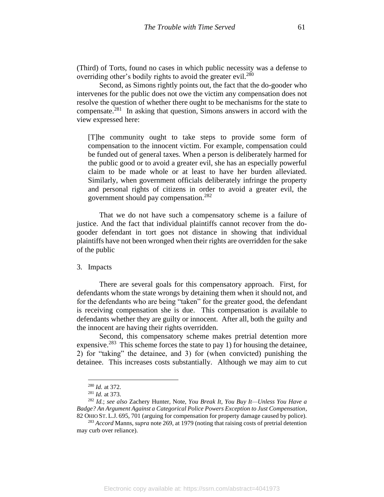(Third) of Torts, found no cases in which public necessity was a defense to overriding other's bodily rights to avoid the greater evil.<sup>280</sup>

Second, as Simons rightly points out, the fact that the do-gooder who intervenes for the public does not owe the victim any compensation does not resolve the question of whether there ought to be mechanisms for the state to compensate. $281$  In asking that question, Simons answers in accord with the view expressed here:

[T]he community ought to take steps to provide some form of compensation to the innocent victim. For example, compensation could be funded out of general taxes. When a person is deliberately harmed for the public good or to avoid a greater evil, she has an especially powerful claim to be made whole or at least to have her burden alleviated. Similarly, when government officials deliberately infringe the property and personal rights of citizens in order to avoid a greater evil, the government should pay compensation.<sup>282</sup>

That we do not have such a compensatory scheme is a failure of justice. And the fact that individual plaintiffs cannot recover from the dogooder defendant in tort goes not distance in showing that individual plaintiffs have not been wronged when their rights are overridden for the sake of the public

## 3. Impacts

There are several goals for this compensatory approach. First, for defendants whom the state wrongs by detaining them when it should not, and for the defendants who are being "taken" for the greater good, the defendant is receiving compensation she is due. This compensation is available to defendants whether they are guilty or innocent. After all, both the guilty and the innocent are having their rights overridden.

Second, this compensatory scheme makes pretrial detention more expensive.<sup>283</sup> This scheme forces the state to pay 1) for housing the detainee, 2) for "taking" the detainee, and 3) for (when convicted) punishing the detainee. This increases costs substantially. Although we may aim to cut

<sup>280</sup> *Id.* at 372.

<sup>281</sup> *Id.* at 373.

<sup>282</sup> *Id.*; *see also* Zachery Hunter, Note, *You Break It, You Buy It—Unless You Have a Badge? An Argument Against a Categorical Police Powers Exception to Just Compensation*, 82 OHIO ST. L.J. 695, 701 (arguing for compensation for property damage caused by police).

<sup>283</sup> *Accord* Manns, *supra* note 269, at 1979 (noting that raising costs of pretrial detention may curb over reliance).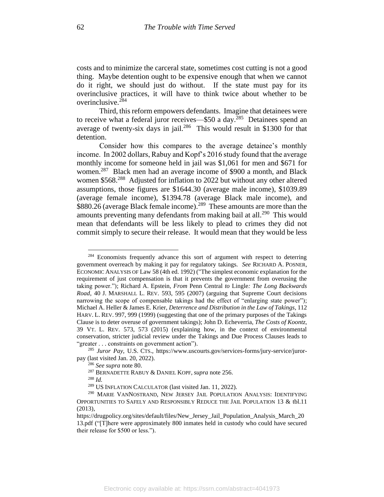costs and to minimize the carceral state, sometimes cost cutting is not a good thing. Maybe detention ought to be expensive enough that when we cannot do it right, we should just do without. If the state must pay for its overinclusive practices, it will have to think twice about whether to be overinclusive.<sup>284</sup>

Third, this reform empowers defendants. Imagine that detainees were to receive what a federal juror receives— $$50$  a day.<sup>285</sup> Detainees spend an average of twenty-six days in jail. $286$  This would result in \$1300 for that detention.

Consider how this compares to the average detainee's monthly income. In 2002 dollars, Rabuy and Kopf's 2016 study found that the average monthly income for someone held in jail was \$1,061 for men and \$671 for women.<sup>287</sup> Black men had an average income of \$900 a month, and Black women \$568.<sup>288</sup> Adjusted for inflation to 2022 but without any other altered assumptions, those figures are \$1644.30 (average male income), \$1039.89 (average female income), \$1394.78 (average Black male income), and \$880.26 (average Black female income).<sup>289</sup> These amounts are more than the amounts preventing many defendants from making bail at all.<sup>290</sup> This would mean that defendants will be less likely to plead to crimes they did not commit simply to secure their release. It would mean that they would be less

 $284$  Economists frequently advance this sort of argument with respect to deterring government overreach by making it pay for regulatory takings. *See* RICHARD A. POSNER, ECONOMIC ANALYSIS OF Law 58 (4th ed. 1992) ("The simplest economic explanation for the requirement of just compensation is that it prevents the government from overusing the taking power."); Richard A. Epstein, *From* Penn Central *to* Lingle*: The Long Backwards Road*, 40 J. MARSHALL L. REV. 593, 595 (2007) (arguing that Supreme Court decisions narrowing the scope of compensable takings had the effect of "enlarging state power"); Michael A. Heller & James E. Krier, *Deterrence and Distribution in the Law of Takings*, 112 HARV. L. REV. 997, 999 (1999) (suggesting that one of the primary purposes of the Takings Clause is to deter overuse of government takings); John D. Echeverria, *The Costs of Koontz*, 39 VT. L. REV. 573, 573 (2015) (explaining how, in the context of environmental conservation, stricter judicial review under the Takings and Due Process Clauses leads to "greater . . . constraints on government action").

<sup>285</sup> *Juror Pay*, U.S. CTS., https://www.uscourts.gov/services-forms/jury-service/jurorpay (last visited Jan. 20, 2022).

<sup>286</sup> *See supra* note 80.

<sup>287</sup> BERNADETTE RABUY & DANIEL KOPF, *supra* note 256.

<sup>288</sup> *Id.*

<sup>289</sup> US INFLATION CALCULATOR (last visited Jan. 11, 2022).

<sup>290</sup> MARIE VANNOSTRAND, NEW JERSEY JAIL POPULATION ANALYSIS: IDENTIFYING OPPORTUNITIES TO SAFELY AND RESPONSIBLY REDUCE THE JAIL POPULATION 13 & tbl.11 (2013),

https://drugpolicy.org/sites/default/files/New Jersey Jail Population Analysis March 20 13.pdf ("[T]here were approximately 800 inmates held in custody who could have secured their release for \$500 or less.").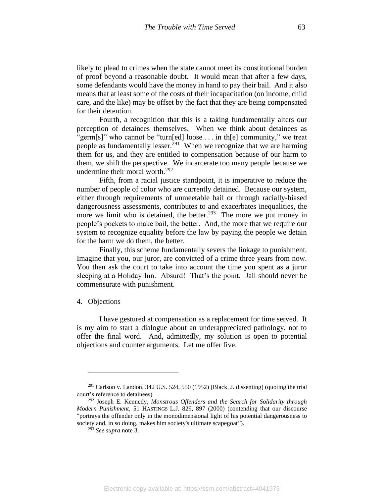likely to plead to crimes when the state cannot meet its constitutional burden of proof beyond a reasonable doubt. It would mean that after a few days, some defendants would have the money in hand to pay their bail. And it also means that at least some of the costs of their incapacitation (on income, child care, and the like) may be offset by the fact that they are being compensated for their detention.

Fourth, a recognition that this is a taking fundamentally alters our perception of detainees themselves. When we think about detainees as "germ[s]" who cannot be "turn[ed] loose . . . in th[e] community," we treat people as fundamentally lesser.<sup>291</sup> When we recognize that we are harming them for us, and they are entitled to compensation because of our harm to them, we shift the perspective. We incarcerate too many people because we undermine their moral worth.<sup>292</sup>

Fifth, from a racial justice standpoint, it is imperative to reduce the number of people of color who are currently detained. Because our system, either through requirements of unmeetable bail or through racially-biased dangerousness assessments, contributes to and exacerbates inequalities, the more we limit who is detained, the better.<sup>293</sup> The more we put money in people's pockets to make bail, the better. And, the more that we require our system to recognize equality before the law by paying the people we detain for the harm we do them, the better.

Finally, this scheme fundamentally severs the linkage to punishment. Imagine that you, our juror, are convicted of a crime three years from now. You then ask the court to take into account the time you spent as a juror sleeping at a Holiday Inn. Absurd! That's the point. Jail should never be commensurate with punishment.

#### 4. Objections

I have gestured at compensation as a replacement for time served. It is my aim to start a dialogue about an underappreciated pathology, not to offer the final word. And, admittedly, my solution is open to potential objections and counter arguments. Let me offer five.

 $291$  Carlson v. Landon, 342 U.S. 524, 550 (1952) (Black, J. dissenting) (quoting the trial court's reference to detainees).

<sup>292</sup> Joseph E. Kennedy, *Monstrous Offenders and the Search for Solidarity through Modern Punishment*, 51 HASTINGS L.J. 829, 897 (2000) (contending that our discourse "portrays the offender only in the monodimensional light of his potential dangerousness to society and, in so doing, makes him society's ultimate scapegoat").

<sup>293</sup> *See supra* note 3.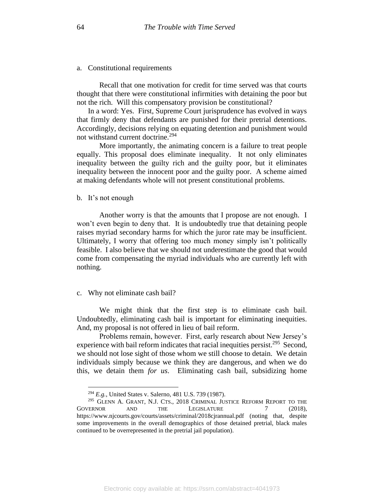### a. Constitutional requirements

Recall that one motivation for credit for time served was that courts thought that there were constitutional infirmities with detaining the poor but not the rich. Will this compensatory provision be constitutional?

In a word: Yes. First, Supreme Court jurisprudence has evolved in ways that firmly deny that defendants are punished for their pretrial detentions. Accordingly, decisions relying on equating detention and punishment would not withstand current doctrine.<sup>294</sup>

More importantly, the animating concern is a failure to treat people equally. This proposal does eliminate inequality. It not only eliminates inequality between the guilty rich and the guilty poor, but it eliminates inequality between the innocent poor and the guilty poor. A scheme aimed at making defendants whole will not present constitutional problems.

#### b. It's not enough

Another worry is that the amounts that I propose are not enough. I won't even begin to deny that. It is undoubtedly true that detaining people raises myriad secondary harms for which the juror rate may be insufficient. Ultimately, I worry that offering too much money simply isn't politically feasible. I also believe that we should not underestimate the good that would come from compensating the myriad individuals who are currently left with nothing.

#### c. Why not eliminate cash bail?

We might think that the first step is to eliminate cash bail. Undoubtedly, eliminating cash bail is important for eliminating inequities. And, my proposal is not offered in lieu of bail reform.

Problems remain, however. First, early research about New Jersey's experience with bail reform indicates that racial inequities persist.<sup>295</sup> Second, we should not lose sight of those whom we still choose to detain. We detain individuals simply because we think they are dangerous, and when we do this, we detain them *for us*. Eliminating cash bail, subsidizing home

<sup>294</sup> *E.g.*, United States v. Salerno, 481 U.S. 739 (1987).

<sup>295</sup> GLENN A. GRANT, N.J. CTS., 2018 CRIMINAL JUSTICE REFORM REPORT TO THE GOVERNOR AND THE LEGISLATURE 7 (2018), https://www.njcourts.gov/courts/assets/criminal/2018cjrannual.pdf (noting that, despite some improvements in the overall demographics of those detained pretrial, black males continued to be overrepresented in the pretrial jail population).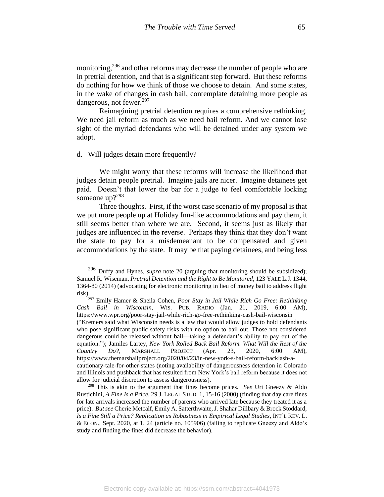monitoring,<sup>296</sup> and other reforms may decrease the number of people who are in pretrial detention, and that is a significant step forward. But these reforms do nothing for how we think of those we choose to detain. And some states, in the wake of changes in cash bail, contemplate detaining more people as dangerous, not fewer.<sup>297</sup>

Reimagining pretrial detention requires a comprehensive rethinking. We need jail reform as much as we need bail reform. And we cannot lose sight of the myriad defendants who will be detained under any system we adopt.

d. Will judges detain more frequently?

We might worry that these reforms will increase the likelihood that judges detain people pretrial. Imagine jails are nicer. Imagine detainees get paid. Doesn't that lower the bar for a judge to feel comfortable locking someone up?<sup>298</sup>

Three thoughts. First, if the worst case scenario of my proposal is that we put more people up at Holiday Inn-like accommodations and pay them, it still seems better than where we are. Second, it seems just as likely that judges are influenced in the reverse. Perhaps they think that they don't want the state to pay for a misdemeanant to be compensated and given accommodations by the state. It may be that paying detainees, and being less

("Kremers said what Wisconsin needs is a law that would allow judges to hold defendants who pose significant public safety risks with no option to bail out. Those not considered dangerous could be released without bail—taking a defendant's ability to pay out of the equation."); Jamiles Lartey, *New York Rolled Back Bail Reform. What Will the Rest of the Country Do?*, MARSHALL PROJECT (Apr. 23, 2020, 6:00 AM), https://www.themarshallproject.org/2020/04/23/in-new-york-s-bail-reform-backlash-acautionary-tale-for-other-states (noting availability of dangerousness detention in Colorado and Illinois and pushback that has resulted from New York's bail reform because it does not allow for judicial discretion to assess dangerousness).

<sup>296</sup> Duffy and Hynes, *supra* note 20 (arguing that monitoring should be subsidized); Samuel R. Wiseman, *Pretrial Detention and the Right to Be Monitored*, 123 YALE L.J. 1344, 1364-80 (2014) (advocating for electronic monitoring in lieu of money bail to address flight risk).

<sup>297</sup> Emily Hamer & Sheila Cohen, *Poor Stay in Jail While Rich Go Free: Rethinking Cash Bail in Wisconsin*, WIS. PUB. RADIO (Jan. 21, 2019, 6:00 AM), https://www.wpr.org/poor-stay-jail-while-rich-go-free-rethinking-cash-bail-wisconsin

<sup>298</sup> This is akin to the argument that fines become prices. *See* Uri Gneezy & Aldo Rustichini, *A Fine Is a Price*, 29 J. LEGAL STUD. 1, 15-16 (2000) (finding that day care fines for late arrivals increased the number of parents who arrived late because they treated it as a price). *But see* Cherie Metcalf, Emily A. Satterthwaite, J. Shahar Dillbary & Brock Stoddard, *Is a Fine Still a Price? Replication as Robustness in Empirical Legal Studies*, INT'L REV. L. & ECON., Sept. 2020, at 1, 24 (article no. 105906) (failing to replicate Gneezy and Aldo's study and finding the fines did decrease the behavior).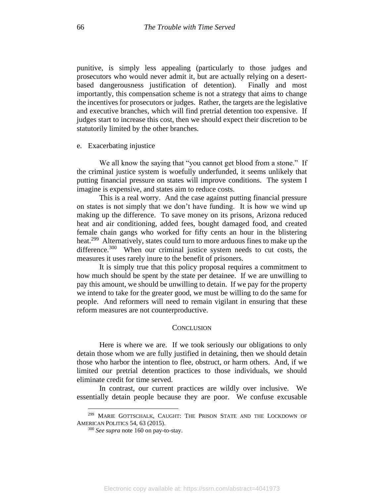punitive, is simply less appealing (particularly to those judges and prosecutors who would never admit it, but are actually relying on a desertbased dangerousness justification of detention). Finally and most importantly, this compensation scheme is not a strategy that aims to change the incentives for prosecutors or judges. Rather, the targets are the legislative and executive branches, which will find pretrial detention too expensive. If judges start to increase this cost, then we should expect their discretion to be statutorily limited by the other branches.

#### e. Exacerbating injustice

We all know the saying that "you cannot get blood from a stone." If the criminal justice system is woefully underfunded, it seems unlikely that putting financial pressure on states will improve conditions. The system I imagine is expensive, and states aim to reduce costs.

This is a real worry. And the case against putting financial pressure on states is not simply that we don't have funding. It is how we wind up making up the difference. To save money on its prisons, Arizona reduced heat and air conditioning, added fees, bought damaged food, and created female chain gangs who worked for fifty cents an hour in the blistering heat.<sup>299</sup> Alternatively, states could turn to more arduous fines to make up the difference.<sup>300</sup> When our criminal justice system needs to cut costs, the measures it uses rarely inure to the benefit of prisoners.

It is simply true that this policy proposal requires a commitment to how much should be spent by the state per detainee. If we are unwilling to pay this amount, we should be unwilling to detain. If we pay for the property we intend to take for the greater good, we must be willing to do the same for people. And reformers will need to remain vigilant in ensuring that these reform measures are not counterproductive.

#### **CONCLUSION**

Here is where we are. If we took seriously our obligations to only detain those whom we are fully justified in detaining, then we should detain those who harbor the intention to flee, obstruct, or harm others. And, if we limited our pretrial detention practices to those individuals, we should eliminate credit for time served.

In contrast, our current practices are wildly over inclusive. We essentially detain people because they are poor. We confuse excusable

<sup>299</sup> MARIE GOTTSCHALK, CAUGHT: THE PRISON STATE AND THE LOCKDOWN OF AMERICAN POLITICS 54, 63 (2015).

<sup>300</sup> *See supra* note 160 on pay-to-stay.